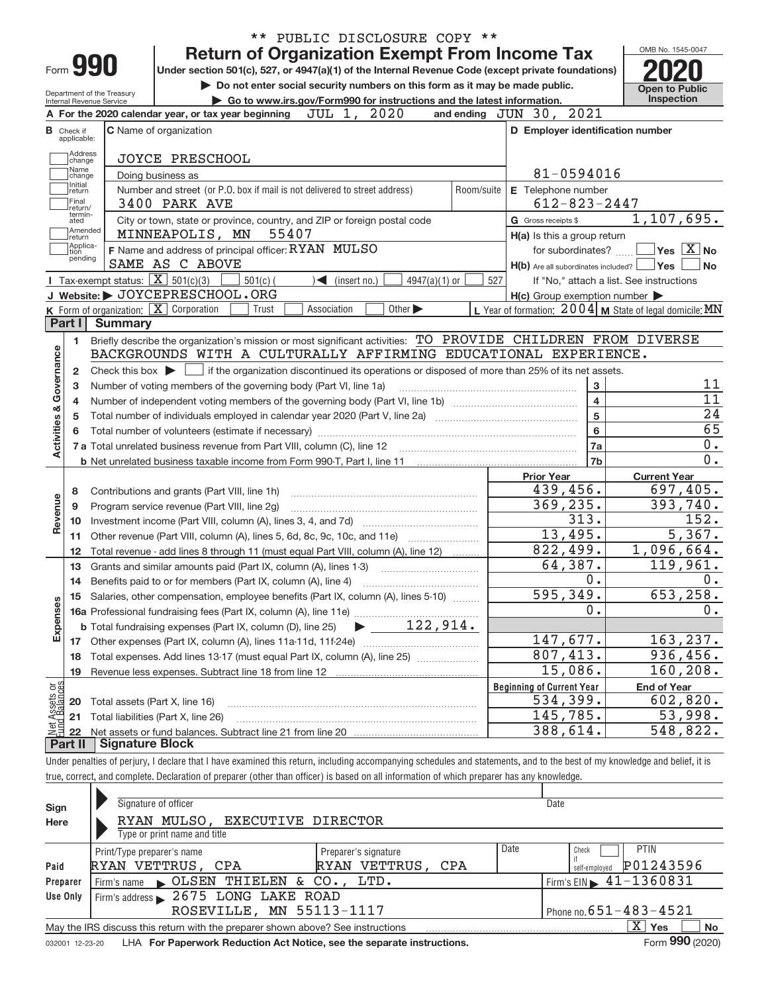|                                |                                  |                                                   | ** PUBLIC DISCLOSURE COPY **                                                                                                                                               |                                                                 |                                |
|--------------------------------|----------------------------------|---------------------------------------------------|----------------------------------------------------------------------------------------------------------------------------------------------------------------------------|-----------------------------------------------------------------|--------------------------------|
|                                |                                  |                                                   | <b>Return of Organization Exempt From Income Tax</b>                                                                                                                       |                                                                 | OMB No. 1545-0047              |
|                                |                                  | Form 990                                          | Under section 501(c), 527, or 4947(a)(1) of the Internal Revenue Code (except private foundations)                                                                         |                                                                 |                                |
|                                |                                  | Department of the Treasury                        | Do not enter social security numbers on this form as it may be made public.                                                                                                |                                                                 | <b>Open to Public</b>          |
|                                |                                  | <b>Internal Revenue Service</b>                   | Go to www.irs.gov/Form990 for instructions and the latest information.                                                                                                     |                                                                 | <b>Inspection</b>              |
|                                |                                  |                                                   | 2020<br>JUL 1,<br>A For the 2020 calendar year, or tax year beginning                                                                                                      | 2021<br>and ending $JUN$ $30$ ,                                 |                                |
|                                | <b>B</b> Check if<br>applicable: |                                                   | <b>C</b> Name of organization                                                                                                                                              | D Employer identification number                                |                                |
|                                | Address<br>change<br>Name        |                                                   | <b>JOYCE PRESCHOOL</b>                                                                                                                                                     |                                                                 |                                |
|                                | change<br>Initial                |                                                   | Doing business as                                                                                                                                                          | 81-0594016                                                      |                                |
|                                | return<br> Final<br>return/      |                                                   | Number and street (or P.O. box if mail is not delivered to street address)<br>Room/suite<br>3400 PARK AVE                                                                  | E Telephone number<br>$612 - 823 - 2447$                        |                                |
|                                | termin-<br>ated                  |                                                   | City or town, state or province, country, and ZIP or foreign postal code                                                                                                   | G Gross receipts \$                                             | 1, 107, 695.                   |
|                                | Amended<br>return                |                                                   | 55407<br>MINNEAPOLIS, MN                                                                                                                                                   | H(a) Is this a group return                                     |                                |
|                                | Applica-<br>tion                 |                                                   | F Name and address of principal officer: RYAN MULSO                                                                                                                        | for subordinates?                                               | $\sqrt{}$ Yes $\sqrt{X}$ No    |
|                                | pending                          |                                                   | SAME AS C ABOVE                                                                                                                                                            | $H(b)$ Are all subordinates included? $\Box$ Yes                | No                             |
|                                |                                  | Tax-exempt status: $\boxed{\mathbf{X}}$ 501(c)(3) | $501(c)$ (<br>$\leq$ (insert no.)<br>$4947(a)(1)$ or                                                                                                                       | 527<br>If "No," attach a list. See instructions                 |                                |
|                                |                                  |                                                   | J Website: JOYCEPRESCHOOL.ORG                                                                                                                                              | $H(c)$ Group exemption number $\blacktriangleright$             |                                |
|                                |                                  |                                                   | K Form of organization: X Corporation<br>Other $\blacktriangleright$<br>Trust<br>Association                                                                               | L Year of formation: $2004 \vert$ M State of legal domicile: MN |                                |
|                                | Part I                           | <b>Summary</b>                                    |                                                                                                                                                                            |                                                                 |                                |
|                                | 1                                |                                                   | Briefly describe the organization's mission or most significant activities: TO PROVIDE CHILDREN FROM DIVERSE                                                               |                                                                 |                                |
|                                |                                  |                                                   | BACKGROUNDS WITH A CULTURALLY AFFIRMING EDUCATIONAL EXPERIENCE.                                                                                                            |                                                                 |                                |
| Governance                     | 2                                |                                                   |                                                                                                                                                                            |                                                                 |                                |
|                                | 3                                |                                                   | Number of voting members of the governing body (Part VI, line 1a)                                                                                                          | 3                                                               | 11                             |
|                                | 4                                |                                                   |                                                                                                                                                                            | $\overline{4}$                                                  | $\overline{11}$                |
|                                | 5                                |                                                   |                                                                                                                                                                            | $\overline{5}$                                                  | 24                             |
|                                |                                  |                                                   |                                                                                                                                                                            | 6                                                               | 65                             |
| <b>Activities &amp;</b>        |                                  |                                                   |                                                                                                                                                                            | 7a                                                              | 0.                             |
|                                |                                  |                                                   |                                                                                                                                                                            | 7b                                                              | 0.                             |
|                                |                                  |                                                   |                                                                                                                                                                            | <b>Prior Year</b>                                               | <b>Current Year</b>            |
|                                | 8                                |                                                   | Contributions and grants (Part VIII, line 1h)                                                                                                                              | 439,456.                                                        | 697,405.                       |
| Revenue                        | 9                                |                                                   | Program service revenue (Part VIII, line 2g)                                                                                                                               | 369, 235.                                                       | 393,740.                       |
|                                | 10                               |                                                   |                                                                                                                                                                            | 313.                                                            | 152.                           |
|                                | 11                               |                                                   | Other revenue (Part VIII, column (A), lines 5, 6d, 8c, 9c, 10c, and 11e)                                                                                                   | 13,495.                                                         | 5,367.                         |
|                                | 12                               |                                                   | Total revenue - add lines 8 through 11 (must equal Part VIII, column (A), line 12)                                                                                         | 822,499.                                                        | 1,096,664.                     |
|                                | 13                               |                                                   | Grants and similar amounts paid (Part IX, column (A), lines 1-3)                                                                                                           | 64,387.                                                         | 119,961.                       |
|                                | 14                               |                                                   |                                                                                                                                                                            | 0.                                                              | 0.                             |
|                                | 15                               |                                                   | Salaries, other compensation, employee benefits (Part IX, column (A), lines 5-10)                                                                                          | 595,349.                                                        | 653, 258.                      |
|                                |                                  |                                                   |                                                                                                                                                                            | 0.                                                              | 0.                             |
| Expenses                       |                                  |                                                   | 122,914.<br><b>b</b> Total fundraising expenses (Part IX, column (D), line 25)                                                                                             |                                                                 |                                |
|                                | 17                               |                                                   |                                                                                                                                                                            | 147,677.                                                        | 163,237.                       |
|                                | 18                               |                                                   | Total expenses. Add lines 13-17 (must equal Part IX, column (A), line 25) [                                                                                                | 807,413.                                                        | 936,456.                       |
|                                | 19                               |                                                   | Revenue less expenses. Subtract line 18 from line 12                                                                                                                       | 15,086.                                                         | 160,208.                       |
| Net Assets or<br>Eund Balances |                                  |                                                   |                                                                                                                                                                            | <b>Beginning of Current Year</b><br>534,399.                    | <b>End of Year</b><br>602,820. |
|                                | 20                               | Total assets (Part X, line 16)                    |                                                                                                                                                                            | 145,785.                                                        | 53,998.                        |
|                                | 21                               |                                                   | Total liabilities (Part X, line 26)                                                                                                                                        | 388,614.                                                        | 548,822.                       |
|                                | 22<br>Part II                    | <b>Signature Block</b>                            |                                                                                                                                                                            |                                                                 |                                |
|                                |                                  |                                                   | Under penalties of perjury, I declare that I have examined this return, including accompanying schedules and statements, and to the best of my knowledge and belief, it is |                                                                 |                                |
|                                |                                  |                                                   |                                                                                                                                                                            |                                                                 |                                |
|                                |                                  |                                                   | true, correct, and complete. Declaration of preparer (other than officer) is based on all information of which preparer has any knowledge.                                 |                                                                 |                                |

| Sign<br>Here | Signature of officer<br>RYAN MULSO, EXECUTIVE DIRECTOR<br>Type or print name and title                    |                      |      | Date                                          |  |  |  |  |  |  |
|--------------|-----------------------------------------------------------------------------------------------------------|----------------------|------|-----------------------------------------------|--|--|--|--|--|--|
|              | Print/Type preparer's name                                                                                | Preparer's signature | Date | <b>PTIN</b><br>Check                          |  |  |  |  |  |  |
| Paid         | RYAN VETTRUS, CPA                                                                                         | RYAN VETTRUS, CPA    |      | P01243596<br>self-emploved                    |  |  |  |  |  |  |
| Preparer     | Firm's name CLSEN THIELEN & CO., LTD.                                                                     |                      |      | $1$ Firm's EIN $\triangleright$ 41-1360831    |  |  |  |  |  |  |
| Use Only     | Firm's address 2675 LONG LAKE ROAD                                                                        |                      |      |                                               |  |  |  |  |  |  |
|              | Phone no. $651 - 483 - 4521$<br>ROSEVILLE, MN 55113-1117                                                  |                      |      |                                               |  |  |  |  |  |  |
|              | X.<br>No<br>May the IRS discuss this return with the preparer shown above? See instructions<br><b>Yes</b> |                      |      |                                               |  |  |  |  |  |  |
|              |                                                                                                           |                      |      | $000 \times 0.00$<br>$\overline{\phantom{0}}$ |  |  |  |  |  |  |

032001 12-23-20 LHA **For Paperwork Reduction Act Notice, see the separate instructions.** Form **990** (2020)

Form **990** (2020)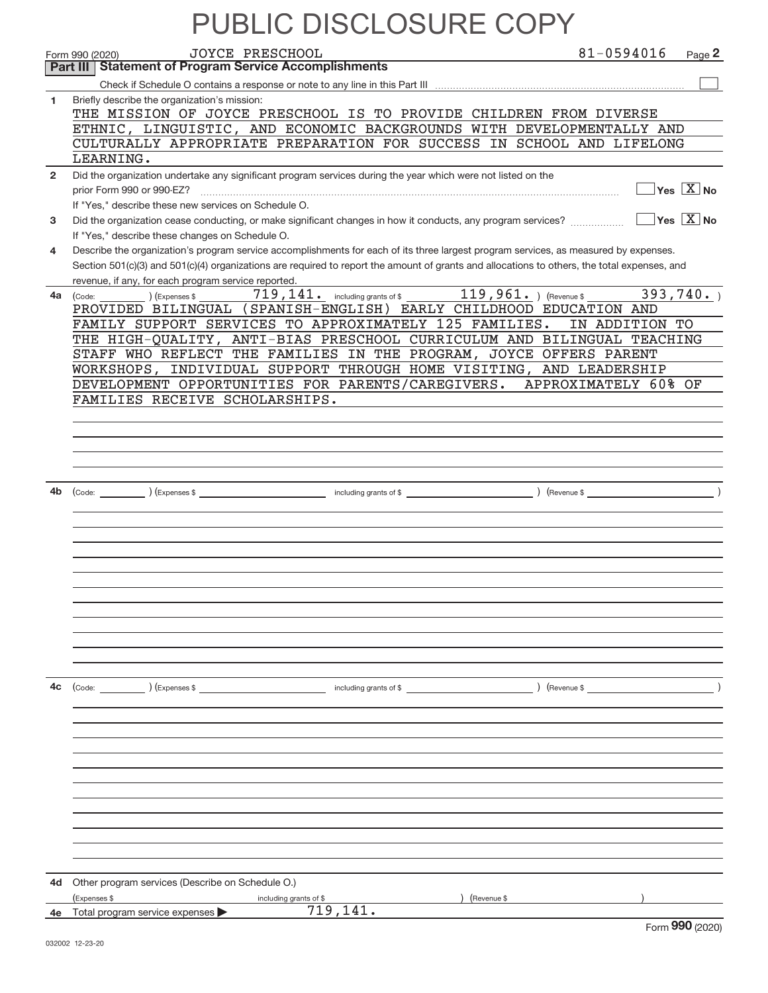|              |                                                                                                              |                                    | <b>PUBLIC DISCLOSURE COPY</b>                                                                                                                                                                                                                                                        |                       |
|--------------|--------------------------------------------------------------------------------------------------------------|------------------------------------|--------------------------------------------------------------------------------------------------------------------------------------------------------------------------------------------------------------------------------------------------------------------------------------|-----------------------|
|              | JOYCE PRESCHOOL<br>Form 990 (2020)                                                                           |                                    | 81-0594016                                                                                                                                                                                                                                                                           | Page 2                |
|              | Part III   Statement of Program Service Accomplishments                                                      |                                    |                                                                                                                                                                                                                                                                                      |                       |
|              |                                                                                                              |                                    |                                                                                                                                                                                                                                                                                      |                       |
| 1.           | Briefly describe the organization's mission:                                                                 |                                    |                                                                                                                                                                                                                                                                                      |                       |
|              |                                                                                                              |                                    | THE MISSION OF JOYCE PRESCHOOL IS TO PROVIDE CHILDREN FROM DIVERSE<br>ETHNIC, LINGUISTIC, AND ECONOMIC BACKGROUNDS WITH DEVELOPMENTALLY AND                                                                                                                                          |                       |
|              |                                                                                                              |                                    | CULTURALLY APPROPRIATE PREPARATION FOR SUCCESS IN SCHOOL AND LIFELONG                                                                                                                                                                                                                |                       |
|              | LEARNING.                                                                                                    |                                    |                                                                                                                                                                                                                                                                                      |                       |
| $\mathbf{2}$ | Did the organization undertake any significant program services during the year which were not listed on the |                                    |                                                                                                                                                                                                                                                                                      |                       |
|              | prior Form 990 or 990-EZ?                                                                                    |                                    |                                                                                                                                                                                                                                                                                      | $Yes \ \boxed{X}$ No  |
|              | If "Yes," describe these new services on Schedule O.                                                         |                                    |                                                                                                                                                                                                                                                                                      |                       |
| 3            | Did the organization cease conducting, or make significant changes in how it conducts, any program services? |                                    |                                                                                                                                                                                                                                                                                      | $Yes \overline{X}$ No |
|              | If "Yes," describe these changes on Schedule O.                                                              |                                    |                                                                                                                                                                                                                                                                                      |                       |
| 4            |                                                                                                              |                                    | Describe the organization's program service accomplishments for each of its three largest program services, as measured by expenses.<br>Section 501(c)(3) and 501(c)(4) organizations are required to report the amount of grants and allocations to others, the total expenses, and |                       |
|              | revenue, if any, for each program service reported.                                                          |                                    |                                                                                                                                                                                                                                                                                      |                       |
|              | (Expenses \$<br>4a (Code:                                                                                    |                                    | 719, 141. including grants of \$ 119, 961. (Revenue \$                                                                                                                                                                                                                               | 393,740.              |
|              |                                                                                                              |                                    | PROVIDED BILINGUAL (SPANISH-ENGLISH) EARLY CHILDHOOD EDUCATION AND                                                                                                                                                                                                                   |                       |
|              | FAMILY SUPPORT SERVICES TO APPROXIMATELY 125 FAMILIES.                                                       |                                    | IN ADDITION TO                                                                                                                                                                                                                                                                       |                       |
|              |                                                                                                              |                                    | THE HIGH-QUALITY, ANTI-BIAS PRESCHOOL CURRICULUM AND BILINGUAL TEACHING                                                                                                                                                                                                              |                       |
|              |                                                                                                              |                                    | STAFF WHO REFLECT THE FAMILIES IN THE PROGRAM, JOYCE OFFERS PARENT                                                                                                                                                                                                                   |                       |
|              |                                                                                                              |                                    | WORKSHOPS, INDIVIDUAL SUPPORT THROUGH HOME VISITING, AND LEADERSHIP<br>DEVELOPMENT OPPORTUNITIES FOR PARENTS/CAREGIVERS. APPROXIMATELY 60% OF                                                                                                                                        |                       |
|              | FAMILIES RECEIVE SCHOLARSHIPS.                                                                               |                                    |                                                                                                                                                                                                                                                                                      |                       |
|              |                                                                                                              |                                    |                                                                                                                                                                                                                                                                                      |                       |
|              |                                                                                                              |                                    |                                                                                                                                                                                                                                                                                      |                       |
|              |                                                                                                              |                                    |                                                                                                                                                                                                                                                                                      |                       |
|              |                                                                                                              |                                    |                                                                                                                                                                                                                                                                                      |                       |
|              |                                                                                                              |                                    |                                                                                                                                                                                                                                                                                      |                       |
| 4b           |                                                                                                              |                                    |                                                                                                                                                                                                                                                                                      |                       |
|              |                                                                                                              |                                    |                                                                                                                                                                                                                                                                                      |                       |
|              |                                                                                                              |                                    |                                                                                                                                                                                                                                                                                      |                       |
|              |                                                                                                              |                                    |                                                                                                                                                                                                                                                                                      |                       |
|              |                                                                                                              |                                    |                                                                                                                                                                                                                                                                                      |                       |
|              |                                                                                                              |                                    |                                                                                                                                                                                                                                                                                      |                       |
|              |                                                                                                              |                                    |                                                                                                                                                                                                                                                                                      |                       |
|              |                                                                                                              |                                    |                                                                                                                                                                                                                                                                                      |                       |
|              |                                                                                                              |                                    |                                                                                                                                                                                                                                                                                      |                       |
|              |                                                                                                              |                                    |                                                                                                                                                                                                                                                                                      |                       |
|              |                                                                                                              |                                    |                                                                                                                                                                                                                                                                                      |                       |
| 4c           |                                                                                                              |                                    | $\left(\text{Revenue }$                                                                                                                                                                                                                                                              |                       |
|              |                                                                                                              |                                    |                                                                                                                                                                                                                                                                                      |                       |
|              |                                                                                                              |                                    |                                                                                                                                                                                                                                                                                      |                       |
|              |                                                                                                              |                                    |                                                                                                                                                                                                                                                                                      |                       |
|              |                                                                                                              |                                    |                                                                                                                                                                                                                                                                                      |                       |
|              |                                                                                                              |                                    |                                                                                                                                                                                                                                                                                      |                       |
|              |                                                                                                              |                                    |                                                                                                                                                                                                                                                                                      |                       |
|              |                                                                                                              |                                    |                                                                                                                                                                                                                                                                                      |                       |
|              |                                                                                                              |                                    |                                                                                                                                                                                                                                                                                      |                       |
|              |                                                                                                              |                                    |                                                                                                                                                                                                                                                                                      |                       |
|              |                                                                                                              |                                    |                                                                                                                                                                                                                                                                                      |                       |
| 4d           | Other program services (Describe on Schedule O.)                                                             |                                    |                                                                                                                                                                                                                                                                                      |                       |
|              | Expenses \$<br>4e Total program service expenses                                                             | including grants of \$<br>719,141. | (Revenue \$                                                                                                                                                                                                                                                                          |                       |
|              |                                                                                                              |                                    |                                                                                                                                                                                                                                                                                      |                       |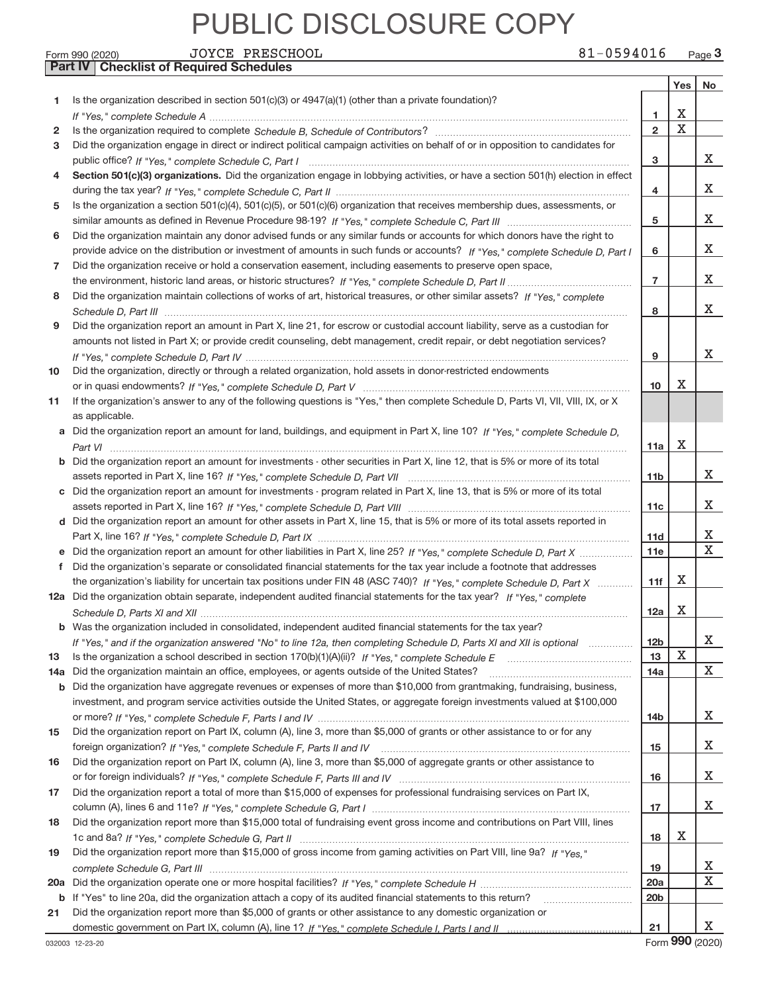**Part IV Checklist of Required Schedules**

| Form 990 (2020) | PRESCHOOL<br>JOYCE | 81-0594016<br>Page 3 |
|-----------------|--------------------|----------------------|
|-----------------|--------------------|----------------------|

|     |                                                                                                                                                                                                                               |                 | Yes $ $ | No          |
|-----|-------------------------------------------------------------------------------------------------------------------------------------------------------------------------------------------------------------------------------|-----------------|---------|-------------|
| 1.  | Is the organization described in section 501(c)(3) or 4947(a)(1) (other than a private foundation)?                                                                                                                           |                 |         |             |
|     |                                                                                                                                                                                                                               | 1.              | X       |             |
| 2   |                                                                                                                                                                                                                               | $\overline{2}$  | X       |             |
| 3   | Did the organization engage in direct or indirect political campaign activities on behalf of or in opposition to candidates for                                                                                               |                 |         |             |
|     |                                                                                                                                                                                                                               | 3               |         | X.          |
| 4   | Section 501(c)(3) organizations. Did the organization engage in lobbying activities, or have a section 501(h) election in effect                                                                                              |                 |         |             |
|     |                                                                                                                                                                                                                               | 4               |         | х           |
| 5   | Is the organization a section 501(c)(4), 501(c)(5), or 501(c)(6) organization that receives membership dues, assessments, or                                                                                                  |                 |         |             |
|     |                                                                                                                                                                                                                               | 5               |         | х           |
| 6   | Did the organization maintain any donor advised funds or any similar funds or accounts for which donors have the right to                                                                                                     |                 |         |             |
|     | provide advice on the distribution or investment of amounts in such funds or accounts? If "Yes," complete Schedule D, Part I                                                                                                  | 6               |         | х           |
| 7   | Did the organization receive or hold a conservation easement, including easements to preserve open space,                                                                                                                     |                 |         |             |
|     |                                                                                                                                                                                                                               | $\overline{7}$  |         | х           |
| 8   | Did the organization maintain collections of works of art, historical treasures, or other similar assets? If "Yes," complete                                                                                                  |                 |         |             |
|     |                                                                                                                                                                                                                               | 8               |         | x           |
| 9   | Did the organization report an amount in Part X, line 21, for escrow or custodial account liability, serve as a custodian for                                                                                                 |                 |         |             |
|     | amounts not listed in Part X; or provide credit counseling, debt management, credit repair, or debt negotiation services?                                                                                                     |                 |         |             |
|     |                                                                                                                                                                                                                               | 9               |         | х           |
| 10  | Did the organization, directly or through a related organization, hold assets in donor-restricted endowments                                                                                                                  |                 | х       |             |
|     |                                                                                                                                                                                                                               | 10              |         |             |
| 11  | If the organization's answer to any of the following questions is "Yes," then complete Schedule D, Parts VI, VII, VIII, IX, or X                                                                                              |                 |         |             |
|     | as applicable.                                                                                                                                                                                                                |                 |         |             |
|     | a Did the organization report an amount for land, buildings, and equipment in Part X, line 10? If "Yes," complete Schedule D.                                                                                                 | 11a             | х       |             |
|     | <b>b</b> Did the organization report an amount for investments - other securities in Part X, line 12, that is 5% or more of its total                                                                                         |                 |         |             |
|     |                                                                                                                                                                                                                               | 11 <sub>b</sub> |         | х           |
|     | c Did the organization report an amount for investments - program related in Part X, line 13, that is 5% or more of its total                                                                                                 |                 |         |             |
|     |                                                                                                                                                                                                                               | 11c             |         | x           |
|     | d Did the organization report an amount for other assets in Part X, line 15, that is 5% or more of its total assets reported in                                                                                               |                 |         |             |
|     |                                                                                                                                                                                                                               | 11d             |         | х           |
|     | e Did the organization report an amount for other liabilities in Part X, line 25? If "Yes," complete Schedule D, Part X                                                                                                       | 11e             |         | $\mathbf X$ |
| f   | Did the organization's separate or consolidated financial statements for the tax year include a footnote that addresses                                                                                                       |                 |         |             |
|     | the organization's liability for uncertain tax positions under FIN 48 (ASC 740)? If "Yes," complete Schedule D, Part X                                                                                                        | 11f             | х       |             |
|     | 12a Did the organization obtain separate, independent audited financial statements for the tax year? If "Yes," complete                                                                                                       |                 |         |             |
|     |                                                                                                                                                                                                                               | 12a             | х       |             |
|     | b Was the organization included in consolidated, independent audited financial statements for the tax year?                                                                                                                   |                 |         |             |
|     | If "Yes," and if the organization answered "No" to line 12a, then completing Schedule D, Parts XI and XII is optional                                                                                                         | 12 <sub>b</sub> |         | ∡⊾          |
| 13  |                                                                                                                                                                                                                               | 13              | X       |             |
| 14a | Did the organization maintain an office, employees, or agents outside of the United States?                                                                                                                                   | 14a             |         | x           |
|     | <b>b</b> Did the organization have aggregate revenues or expenses of more than \$10,000 from grantmaking, fundraising, business,                                                                                              |                 |         |             |
|     | investment, and program service activities outside the United States, or aggregate foreign investments valued at \$100,000                                                                                                    |                 |         |             |
|     |                                                                                                                                                                                                                               | 14b             |         | X.          |
| 15  | Did the organization report on Part IX, column (A), line 3, more than \$5,000 of grants or other assistance to or for any                                                                                                     |                 |         |             |
|     |                                                                                                                                                                                                                               | 15              |         | X           |
| 16  | Did the organization report on Part IX, column (A), line 3, more than \$5,000 of aggregate grants or other assistance to                                                                                                      |                 |         |             |
|     |                                                                                                                                                                                                                               | 16              |         | X           |
| 17  | Did the organization report a total of more than \$15,000 of expenses for professional fundraising services on Part IX,                                                                                                       |                 |         |             |
|     |                                                                                                                                                                                                                               | 17              |         | X.          |
| 18  | Did the organization report more than \$15,000 total of fundraising event gross income and contributions on Part VIII, lines                                                                                                  |                 |         |             |
|     |                                                                                                                                                                                                                               | 18              | х       |             |
| 19  | Did the organization report more than \$15,000 of gross income from gaming activities on Part VIII, line 9a? If "Yes."                                                                                                        |                 |         |             |
|     |                                                                                                                                                                                                                               | 19              |         | х<br>Χ      |
|     |                                                                                                                                                                                                                               | 20a             |         |             |
|     | b If "Yes" to line 20a, did the organization attach a copy of its audited financial statements to this return?<br>Did the organization report more than \$5,000 of grants or other assistance to any domestic organization or | 20 <sub>b</sub> |         |             |
| 21  |                                                                                                                                                                                                                               | 21              |         | х           |
|     |                                                                                                                                                                                                                               |                 |         |             |

Form 990 (2020)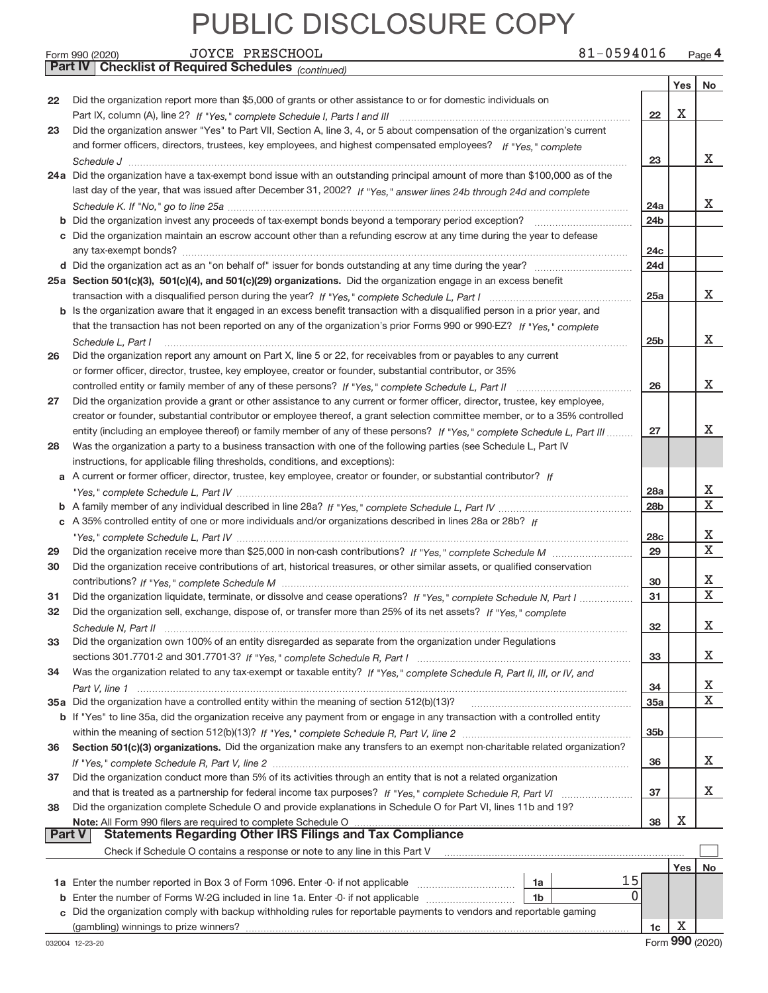|               | 81-0594016<br>JOYCE PRESCHOOL<br>Form 990 (2020)                                                                                       |                 |     | Page 4      |
|---------------|----------------------------------------------------------------------------------------------------------------------------------------|-----------------|-----|-------------|
|               | Part IV   Checklist of Required Schedules (continued)                                                                                  |                 |     |             |
|               |                                                                                                                                        |                 | Yes | No          |
| 22            | Did the organization report more than \$5,000 of grants or other assistance to or for domestic individuals on                          |                 |     |             |
|               |                                                                                                                                        | 22              | X   |             |
| 23            | Did the organization answer "Yes" to Part VII, Section A, line 3, 4, or 5 about compensation of the organization's current             |                 |     |             |
|               | and former officers, directors, trustees, key employees, and highest compensated employees? If "Yes," complete                         |                 |     |             |
|               |                                                                                                                                        | 23              |     | x           |
|               | 24a Did the organization have a tax-exempt bond issue with an outstanding principal amount of more than \$100,000 as of the            |                 |     |             |
|               | last day of the year, that was issued after December 31, 2002? If "Yes," answer lines 24b through 24d and complete                     |                 |     |             |
|               |                                                                                                                                        | 24a             |     | x           |
|               |                                                                                                                                        | 24 <sub>b</sub> |     |             |
|               | c Did the organization maintain an escrow account other than a refunding escrow at any time during the year to defease                 |                 |     |             |
|               |                                                                                                                                        | 24c             |     |             |
|               |                                                                                                                                        | 24d             |     |             |
|               | 25a Section 501(c)(3), 501(c)(4), and 501(c)(29) organizations. Did the organization engage in an excess benefit                       |                 |     |             |
|               |                                                                                                                                        | 25a             |     | X.          |
|               | b Is the organization aware that it engaged in an excess benefit transaction with a disqualified person in a prior year, and           |                 |     |             |
|               | that the transaction has not been reported on any of the organization's prior Forms 990 or 990-EZ? If "Yes," complete                  |                 |     |             |
|               | Schedule L, Part I                                                                                                                     | 25 <sub>b</sub> |     | X.          |
| 26            | Did the organization report any amount on Part X, line 5 or 22, for receivables from or payables to any current                        |                 |     |             |
|               | or former officer, director, trustee, key employee, creator or founder, substantial contributor, or 35%                                |                 |     |             |
|               |                                                                                                                                        | 26              |     | X.          |
| 27            | Did the organization provide a grant or other assistance to any current or former officer, director, trustee, key employee,            |                 |     |             |
|               | creator or founder, substantial contributor or employee thereof, a grant selection committee member, or to a 35% controlled            |                 |     |             |
|               | entity (including an employee thereof) or family member of any of these persons? If "Yes," complete Schedule L, Part III               | 27              |     | x           |
| 28            | Was the organization a party to a business transaction with one of the following parties (see Schedule L, Part IV                      |                 |     |             |
|               | instructions, for applicable filing thresholds, conditions, and exceptions):                                                           |                 |     |             |
|               | a A current or former officer, director, trustee, key employee, creator or founder, or substantial contributor? If                     |                 |     |             |
|               |                                                                                                                                        | 28a             |     | х           |
|               |                                                                                                                                        | 28 <sub>b</sub> |     | $\mathbf X$ |
|               | c A 35% controlled entity of one or more individuals and/or organizations described in lines 28a or 28b? If                            |                 |     |             |
|               |                                                                                                                                        | 28c             |     | х           |
| 29            |                                                                                                                                        | 29              |     | X           |
| 30            | Did the organization receive contributions of art, historical treasures, or other similar assets, or qualified conservation            |                 |     |             |
|               |                                                                                                                                        | 30              |     | х           |
| 31            | Did the organization liquidate, terminate, or dissolve and cease operations? If "Yes," complete Schedule N, Part I                     | 31              |     | $\mathbf X$ |
| 32            | Did the organization sell, exchange, dispose of, or transfer more than 25% of its net assets? If "Yes," complete                       |                 |     |             |
|               | Schedule N. Part II www.communication.com/communications/communications/communications/communications/communic                         | 32              |     | х           |
| 33            | Did the organization own 100% of an entity disregarded as separate from the organization under Regulations                             |                 |     |             |
|               |                                                                                                                                        | 33              |     | х           |
| 34            | Was the organization related to any tax-exempt or taxable entity? If "Yes," complete Schedule R, Part II, III, or IV, and              |                 |     |             |
|               |                                                                                                                                        | 34              |     | х           |
|               |                                                                                                                                        | 35a             |     | $\mathbf X$ |
|               | b If "Yes" to line 35a, did the organization receive any payment from or engage in any transaction with a controlled entity            |                 |     |             |
|               |                                                                                                                                        | 35 <sub>b</sub> |     |             |
| 36            | Section 501(c)(3) organizations. Did the organization make any transfers to an exempt non-charitable related organization?             |                 |     |             |
|               |                                                                                                                                        | 36              |     | x           |
| 37            | Did the organization conduct more than 5% of its activities through an entity that is not a related organization                       |                 |     |             |
|               |                                                                                                                                        | 37              |     | х           |
| 38            | Did the organization complete Schedule O and provide explanations in Schedule O for Part VI, lines 11b and 19?                         |                 |     |             |
| <b>Part V</b> |                                                                                                                                        | 38              | Х   |             |
|               |                                                                                                                                        |                 |     |             |
|               | Check if Schedule O contains a response or note to any line in this Part V                                                             |                 |     |             |
|               | 15                                                                                                                                     |                 | Yes | No          |
|               | 1a<br>0                                                                                                                                |                 |     |             |
|               | 1 <sub>b</sub><br>c Did the organization comply with backup withholding rules for reportable payments to vendors and reportable gaming |                 |     |             |
|               |                                                                                                                                        |                 | X   |             |
|               |                                                                                                                                        | 1c              |     |             |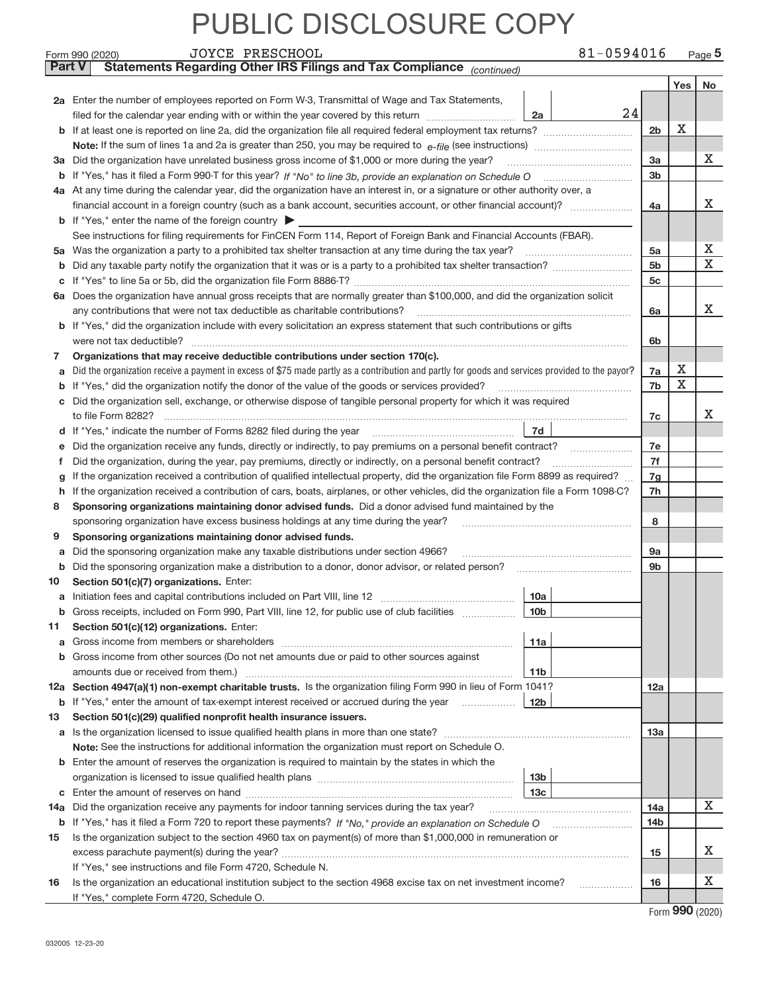|               | 81-0594016<br>JOYCE PRESCHOOL<br>Form 990 (2020)                                                                                                                                                               |                |            | Page $5$ |  |  |  |  |  |
|---------------|----------------------------------------------------------------------------------------------------------------------------------------------------------------------------------------------------------------|----------------|------------|----------|--|--|--|--|--|
| <b>Part V</b> | Statements Regarding Other IRS Filings and Tax Compliance (continued)                                                                                                                                          |                |            |          |  |  |  |  |  |
|               |                                                                                                                                                                                                                |                | Yes        | No       |  |  |  |  |  |
|               | 2a Enter the number of employees reported on Form W-3, Transmittal of Wage and Tax Statements,                                                                                                                 |                |            |          |  |  |  |  |  |
|               | 24<br>filed for the calendar year ending with or within the year covered by this return<br>2a                                                                                                                  |                |            |          |  |  |  |  |  |
|               |                                                                                                                                                                                                                |                |            |          |  |  |  |  |  |
|               |                                                                                                                                                                                                                |                |            |          |  |  |  |  |  |
|               | 3a Did the organization have unrelated business gross income of \$1,000 or more during the year?                                                                                                               |                |            |          |  |  |  |  |  |
|               |                                                                                                                                                                                                                | 3 <sub>b</sub> |            |          |  |  |  |  |  |
|               | 4a At any time during the calendar year, did the organization have an interest in, or a signature or other authority over, a                                                                                   |                |            |          |  |  |  |  |  |
|               |                                                                                                                                                                                                                | 4a             |            | х        |  |  |  |  |  |
|               | <b>b</b> If "Yes," enter the name of the foreign country                                                                                                                                                       |                |            |          |  |  |  |  |  |
|               | See instructions for filing requirements for FinCEN Form 114, Report of Foreign Bank and Financial Accounts (FBAR).                                                                                            |                |            |          |  |  |  |  |  |
| 5а            |                                                                                                                                                                                                                | 5a             |            | X        |  |  |  |  |  |
| b             |                                                                                                                                                                                                                | 5 <sub>b</sub> |            | X        |  |  |  |  |  |
| c             |                                                                                                                                                                                                                | 5c             |            |          |  |  |  |  |  |
|               | 6a Does the organization have annual gross receipts that are normally greater than \$100,000, and did the organization solicit                                                                                 |                |            |          |  |  |  |  |  |
|               |                                                                                                                                                                                                                | 6a             |            | x        |  |  |  |  |  |
|               | <b>b</b> If "Yes," did the organization include with every solicitation an express statement that such contributions or gifts                                                                                  |                |            |          |  |  |  |  |  |
|               | were not tax deductible?                                                                                                                                                                                       | 6b             |            |          |  |  |  |  |  |
| 7             | Organizations that may receive deductible contributions under section 170(c).                                                                                                                                  |                |            |          |  |  |  |  |  |
| a             | Did the organization receive a payment in excess of \$75 made partly as a contribution and partly for goods and services provided to the payor?                                                                | 7a             | х          |          |  |  |  |  |  |
| b             | If "Yes," did the organization notify the donor of the value of the goods or services provided?                                                                                                                | 7b             | X          |          |  |  |  |  |  |
| с             | Did the organization sell, exchange, or otherwise dispose of tangible personal property for which it was required                                                                                              |                |            |          |  |  |  |  |  |
|               |                                                                                                                                                                                                                | 7c             |            | x        |  |  |  |  |  |
|               | 7d                                                                                                                                                                                                             |                |            |          |  |  |  |  |  |
| е             | Did the organization receive any funds, directly or indirectly, to pay premiums on a personal benefit contract?                                                                                                | 7e             |            |          |  |  |  |  |  |
| f             | Did the organization, during the year, pay premiums, directly or indirectly, on a personal benefit contract?                                                                                                   | 7f             |            |          |  |  |  |  |  |
| g             | If the organization received a contribution of qualified intellectual property, did the organization file Form 8899 as required?                                                                               |                |            |          |  |  |  |  |  |
| h             | If the organization received a contribution of cars, boats, airplanes, or other vehicles, did the organization file a Form 1098-C?                                                                             |                |            |          |  |  |  |  |  |
| 8             | Sponsoring organizations maintaining donor advised funds. Did a donor advised fund maintained by the                                                                                                           |                |            |          |  |  |  |  |  |
|               | sponsoring organization have excess business holdings at any time during the year?                                                                                                                             | 8              |            |          |  |  |  |  |  |
| 9             | Sponsoring organizations maintaining donor advised funds.                                                                                                                                                      |                |            |          |  |  |  |  |  |
| a             | Did the sponsoring organization make any taxable distributions under section 4966?                                                                                                                             | 9а             |            |          |  |  |  |  |  |
| b             | Did the sponsoring organization make a distribution to a donor, donor advisor, or related person?                                                                                                              | 9b             |            |          |  |  |  |  |  |
| 10            | Section 501(c)(7) organizations. Enter:                                                                                                                                                                        |                |            |          |  |  |  |  |  |
|               | 10a                                                                                                                                                                                                            |                |            |          |  |  |  |  |  |
|               | 10b<br>Gross receipts, included on Form 990, Part VIII, line 12, for public use of club facilities                                                                                                             |                |            |          |  |  |  |  |  |
| 11            | Section 501(c)(12) organizations. Enter:                                                                                                                                                                       |                |            |          |  |  |  |  |  |
| a             | 11a<br>Gross income from members or shareholders                                                                                                                                                               |                |            |          |  |  |  |  |  |
| b             | Gross income from other sources (Do not net amounts due or paid to other sources against                                                                                                                       |                |            |          |  |  |  |  |  |
|               | 11 <sub>b</sub>                                                                                                                                                                                                |                |            |          |  |  |  |  |  |
|               | 12a Section 4947(a)(1) non-exempt charitable trusts. Is the organization filing Form 990 in lieu of Form 1041?                                                                                                 | 12a            |            |          |  |  |  |  |  |
|               | 12 <sub>b</sub><br><b>b</b> If "Yes," enter the amount of tax-exempt interest received or accrued during the year                                                                                              |                |            |          |  |  |  |  |  |
| 13            | Section 501(c)(29) qualified nonprofit health insurance issuers.                                                                                                                                               |                |            |          |  |  |  |  |  |
|               | a Is the organization licensed to issue qualified health plans in more than one state?                                                                                                                         | 13a            |            |          |  |  |  |  |  |
|               | Note: See the instructions for additional information the organization must report on Schedule O.<br><b>b</b> Enter the amount of reserves the organization is required to maintain by the states in which the |                |            |          |  |  |  |  |  |
|               | 13 <sub>b</sub>                                                                                                                                                                                                |                |            |          |  |  |  |  |  |
|               | 13 <sub>c</sub>                                                                                                                                                                                                |                |            |          |  |  |  |  |  |
| 14a           | Did the organization receive any payments for indoor tanning services during the tax year?                                                                                                                     | 14a            |            | X        |  |  |  |  |  |
|               | b If "Yes," has it filed a Form 720 to report these payments? If "No," provide an explanation on Schedule O                                                                                                    | <b>14b</b>     |            |          |  |  |  |  |  |
| 15            | Is the organization subject to the section 4960 tax on payment(s) of more than \$1,000,000 in remuneration or                                                                                                  |                |            |          |  |  |  |  |  |
|               | excess parachute payment(s) during the year?                                                                                                                                                                   | 15             |            | х        |  |  |  |  |  |
|               | If "Yes," see instructions and file Form 4720, Schedule N.                                                                                                                                                     |                |            |          |  |  |  |  |  |
| 16            | Is the organization an educational institution subject to the section 4968 excise tax on net investment income?                                                                                                | 16             |            | х        |  |  |  |  |  |
|               | If "Yes," complete Form 4720, Schedule O.                                                                                                                                                                      |                |            |          |  |  |  |  |  |
|               |                                                                                                                                                                                                                |                | <b>000</b> |          |  |  |  |  |  |

Form (2020) **990**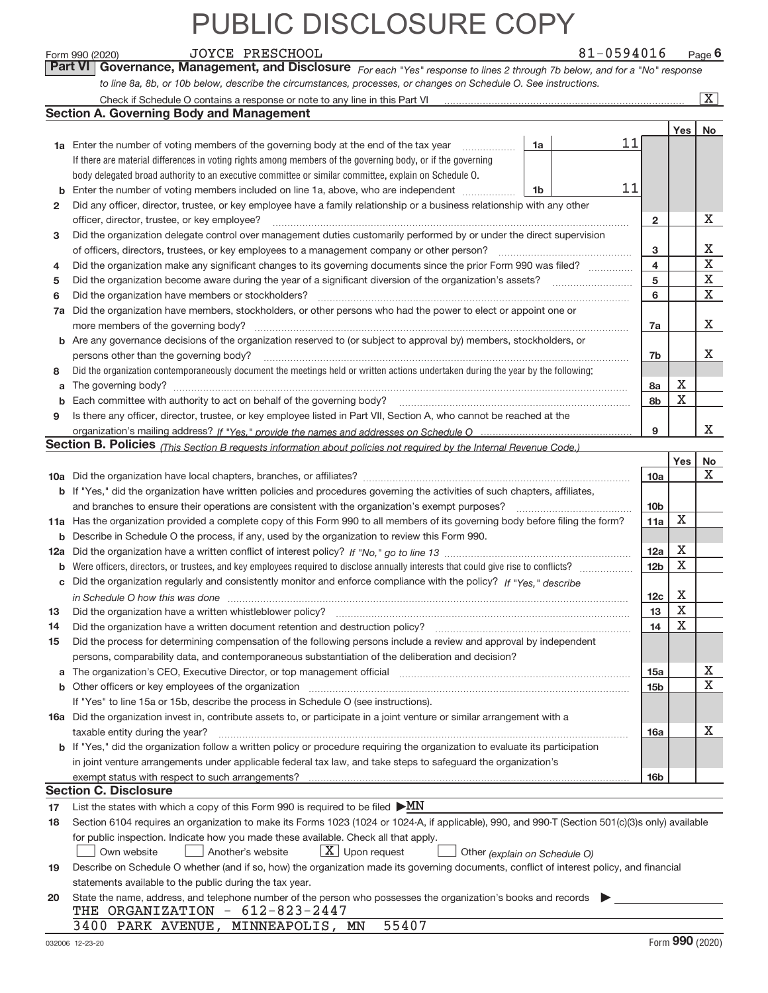|    | <b>JOYCE PRESCHOOL</b><br>Form 990 (2020)                                                                                                                                                                                      |    | 81-0594016 |                 |             | $Page$ 6                |
|----|--------------------------------------------------------------------------------------------------------------------------------------------------------------------------------------------------------------------------------|----|------------|-----------------|-------------|-------------------------|
|    | Part VI  <br>Governance, Management, and Disclosure For each "Yes" response to lines 2 through 7b below, and for a "No" response                                                                                               |    |            |                 |             |                         |
|    | to line 8a, 8b, or 10b below, describe the circumstances, processes, or changes on Schedule O. See instructions.                                                                                                               |    |            |                 |             |                         |
|    | Check if Schedule O contains a response or note to any line in this Part VI                                                                                                                                                    |    |            |                 |             | $\overline{\mathbf{X}}$ |
|    | <b>Section A. Governing Body and Management</b>                                                                                                                                                                                |    |            |                 |             |                         |
|    |                                                                                                                                                                                                                                |    |            |                 | Yes         | No                      |
|    | 1a Enter the number of voting members of the governing body at the end of the tax year                                                                                                                                         | 1a | 11         |                 |             |                         |
|    | If there are material differences in voting rights among members of the governing body, or if the governing                                                                                                                    |    |            |                 |             |                         |
|    | body delegated broad authority to an executive committee or similar committee, explain on Schedule O.                                                                                                                          |    |            |                 |             |                         |
| b  | Enter the number of voting members included on line 1a, above, who are independent                                                                                                                                             | 1b | 11         |                 |             |                         |
| 2  | Did any officer, director, trustee, or key employee have a family relationship or a business relationship with any other                                                                                                       |    |            |                 |             |                         |
|    | officer, director, trustee, or key employee?                                                                                                                                                                                   |    |            | 2               |             | X                       |
| 3  | Did the organization delegate control over management duties customarily performed by or under the direct supervision                                                                                                          |    |            |                 |             |                         |
|    | of officers, directors, trustees, or key employees to a management company or other person?                                                                                                                                    |    |            | з               |             | X                       |
| 4  | Did the organization make any significant changes to its governing documents since the prior Form 990 was filed?                                                                                                               |    |            | 4               |             | X                       |
| 5  |                                                                                                                                                                                                                                |    |            | 5               |             | X                       |
| 6  | Did the organization have members or stockholders?                                                                                                                                                                             |    |            | 6               |             | Χ                       |
| 7a | Did the organization have members, stockholders, or other persons who had the power to elect or appoint one or                                                                                                                 |    |            |                 |             |                         |
|    | more members of the governing body?                                                                                                                                                                                            |    |            | 7a              |             | X                       |
|    | <b>b</b> Are any governance decisions of the organization reserved to (or subject to approval by) members, stockholders, or                                                                                                    |    |            |                 |             |                         |
|    | persons other than the governing body?                                                                                                                                                                                         |    |            | 7b              |             | x                       |
| 8  | Did the organization contemporaneously document the meetings held or written actions undertaken during the year by the following:                                                                                              |    |            |                 |             |                         |
| a  |                                                                                                                                                                                                                                |    |            | 8a              | X           |                         |
| b  |                                                                                                                                                                                                                                |    |            | 8b              | X           |                         |
| 9  | Is there any officer, director, trustee, or key employee listed in Part VII, Section A, who cannot be reached at the                                                                                                           |    |            |                 |             |                         |
|    |                                                                                                                                                                                                                                |    |            | 9               |             | х                       |
|    | Section B. Policies <sub>(This Section B requests information about policies not required by the Internal Revenue Code.)</sub>                                                                                                 |    |            |                 |             |                         |
|    |                                                                                                                                                                                                                                |    |            |                 | Yes         | No                      |
|    |                                                                                                                                                                                                                                |    |            | 10a             |             | Χ                       |
|    | <b>b</b> If "Yes," did the organization have written policies and procedures governing the activities of such chapters, affiliates,                                                                                            |    |            |                 |             |                         |
|    | and branches to ensure their operations are consistent with the organization's exempt purposes?                                                                                                                                |    |            | 10 <sub>b</sub> |             |                         |
|    | 11a Has the organization provided a complete copy of this Form 990 to all members of its governing body before filing the form?                                                                                                |    |            | 11a             | X           |                         |
|    | <b>b</b> Describe in Schedule O the process, if any, used by the organization to review this Form 990.                                                                                                                         |    |            |                 |             |                         |
|    |                                                                                                                                                                                                                                |    |            | 12a             | Х           |                         |
| b  |                                                                                                                                                                                                                                |    |            | 12 <sub>b</sub> | X           |                         |
| c  | Did the organization regularly and consistently monitor and enforce compliance with the policy? If "Yes," describe                                                                                                             |    |            |                 |             |                         |
|    |                                                                                                                                                                                                                                |    |            | 12c             | Х           |                         |
| 13 |                                                                                                                                                                                                                                |    |            | 13              | $\mathbf X$ |                         |
| 14 | Did the organization have a written document retention and destruction policy?                                                                                                                                                 |    |            | 14              | X           |                         |
| 15 | Did the process for determining compensation of the following persons include a review and approval by independent                                                                                                             |    |            |                 |             |                         |
|    | persons, comparability data, and contemporaneous substantiation of the deliberation and decision?                                                                                                                              |    |            |                 |             |                         |
| a  | The organization's CEO, Executive Director, or top management official manufactured contains and contained a manufactured with the organization's CEO, Executive Director, or top management official manufactured with the st |    |            | 15a             |             | х                       |
| b  |                                                                                                                                                                                                                                |    |            | 15b             |             | X                       |
|    | If "Yes" to line 15a or 15b, describe the process in Schedule O (see instructions).                                                                                                                                            |    |            |                 |             |                         |
|    | 16a Did the organization invest in, contribute assets to, or participate in a joint venture or similar arrangement with a                                                                                                      |    |            |                 |             |                         |
|    | taxable entity during the year?                                                                                                                                                                                                |    |            | 16a             |             | х                       |
|    | b If "Yes," did the organization follow a written policy or procedure requiring the organization to evaluate its participation                                                                                                 |    |            |                 |             |                         |
|    | in joint venture arrangements under applicable federal tax law, and take steps to safequard the organization's                                                                                                                 |    |            |                 |             |                         |
|    | exempt status with respect to such arrangements?                                                                                                                                                                               |    |            | 16 <sub>b</sub> |             |                         |
|    | <b>Section C. Disclosure</b>                                                                                                                                                                                                   |    |            |                 |             |                         |
| 17 | List the states with which a copy of this Form 990 is required to be filed $\triangleright M\!N$                                                                                                                               |    |            |                 |             |                         |
| 18 | Section 6104 requires an organization to make its Forms 1023 (1024 or 1024-A, if applicable), 990, and 990-T (Section 501(c)(3)s only) available                                                                               |    |            |                 |             |                         |
|    | for public inspection. Indicate how you made these available. Check all that apply.                                                                                                                                            |    |            |                 |             |                         |
|    | $X$ Upon request<br>Own website<br>Another's website<br>Other (explain on Schedule O)                                                                                                                                          |    |            |                 |             |                         |
| 19 | Describe on Schedule O whether (and if so, how) the organization made its governing documents, conflict of interest policy, and financial                                                                                      |    |            |                 |             |                         |
|    | statements available to the public during the tax year.                                                                                                                                                                        |    |            |                 |             |                         |
| 20 | State the name, address, and telephone number of the person who possesses the organization's books and records                                                                                                                 |    |            |                 |             |                         |
|    | THE ORGANIZATION - 612-823-2447                                                                                                                                                                                                |    |            |                 |             |                         |
|    | 55407<br>3400 PARK AVENUE, MINNEAPOLIS, MN                                                                                                                                                                                     |    |            |                 |             |                         |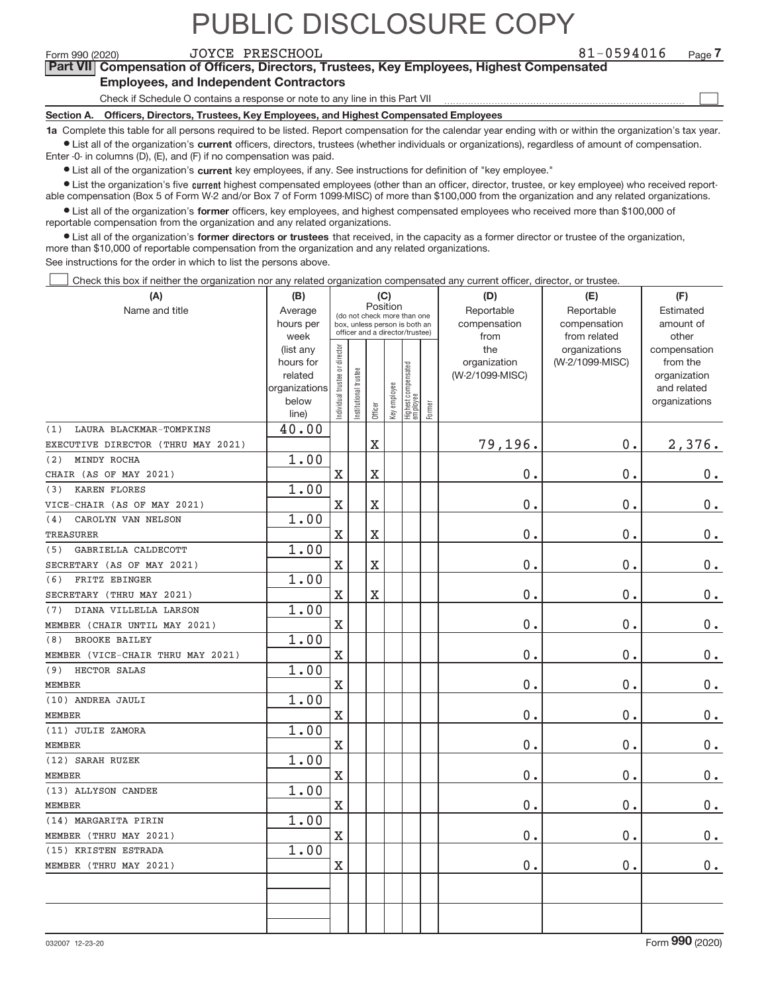$\boxed{\phantom{1}}$ 

**Part VII Compensation of Officers, Directors, Trustees, Key Employees, Highest Compensated Employees, and Independent Contractors**

Check if Schedule O contains a response or note to any line in this Part VII

**Section A. Officers, Directors, Trustees, Key Employees, and Highest Compensated Employees**

**1a**  Complete this table for all persons required to be listed. Report compensation for the calendar year ending with or within the organization's tax year.  $\bullet$  List all of the organization's current officers, directors, trustees (whether individuals or organizations), regardless of amount of compensation.

Enter ‐0‐ in columns (D), (E), and (F) if no compensation was paid.

**•** List all of the organization's current key employees, if any. See instructions for definition of "key employee."

● List the organization's five current highest compensated employees (other than an officer, director, trustee, or key employee) who received report‐ able compensation (Box 5 of Form W‐2 and/or Box 7 of Form 1099‐MISC) of more than \$100,000 from the organization and any related organizations.

 $\bullet$  List all of the organization's former officers, key employees, and highest compensated employees who received more than \$100,000 of reportable compensation from the organization and any related organizations.

**•** List all of the organization's former directors or trustees that received, in the capacity as a former director or trustee of the organization, more than \$10,000 of reportable compensation from the organization and any related organizations.

See instructions for the order in which to list the persons above.

Check this box if neither the organization nor any related organization compensated any current officer, director, or trustee.  $\Box$ 

| (A)                                | (B)                    |                                         |                                                                  | (C)     |              |                                 |        | (D)             | (E)             | (F)                          |
|------------------------------------|------------------------|-----------------------------------------|------------------------------------------------------------------|---------|--------------|---------------------------------|--------|-----------------|-----------------|------------------------------|
| Name and title                     | Average                | Position<br>(do not check more than one |                                                                  |         |              |                                 |        | Reportable      | Reportable      | Estimated                    |
|                                    | hours per              |                                         | box, unless person is both an<br>officer and a director/trustee) |         |              |                                 |        | compensation    | compensation    | amount of                    |
|                                    | week                   |                                         |                                                                  |         |              |                                 |        | from            | from related    | other                        |
|                                    | (list any              |                                         |                                                                  |         |              |                                 |        | the             | organizations   | compensation                 |
|                                    | hours for              |                                         |                                                                  |         |              |                                 |        | organization    | (W-2/1099-MISC) | from the                     |
|                                    | related                |                                         |                                                                  |         |              |                                 |        | (W-2/1099-MISC) |                 | organization                 |
|                                    | organizations<br>below |                                         |                                                                  |         |              |                                 |        |                 |                 | and related<br>organizations |
|                                    | line)                  | ndividual trustee or director           | nstitutional trustee                                             | Officer | Key employee | Highest compensated<br>employee | Former |                 |                 |                              |
| LAURA BLACKMAR-TOMPKINS<br>(1)     | 40.00                  |                                         |                                                                  |         |              |                                 |        |                 |                 |                              |
| EXECUTIVE DIRECTOR (THRU MAY 2021) |                        |                                         |                                                                  | $\rm X$ |              |                                 |        | 79,196.         | 0.              | 2,376.                       |
| MINDY ROCHA<br>(2)                 | 1.00                   |                                         |                                                                  |         |              |                                 |        |                 |                 |                              |
| CHAIR (AS OF MAY 2021)             |                        | $\mathbf X$                             |                                                                  | X       |              |                                 |        | 0.              | 0.              | 0.                           |
| <b>KAREN FLORES</b><br>(3)         | 1.00                   |                                         |                                                                  |         |              |                                 |        |                 |                 |                              |
| VICE-CHAIR (AS OF MAY 2021)        |                        | $\mathbf X$                             |                                                                  | $\rm X$ |              |                                 |        | 0.              | 0.              | $\mathbf 0$ .                |
| CAROLYN VAN NELSON<br>(4)          | 1.00                   |                                         |                                                                  |         |              |                                 |        |                 |                 |                              |
| <b>TREASURER</b>                   |                        | $\mathbf X$                             |                                                                  | X       |              |                                 |        | 0.              | 0.              | 0.                           |
| GABRIELLA CALDECOTT<br>(5)         | 1.00                   |                                         |                                                                  |         |              |                                 |        |                 |                 |                              |
| SECRETARY (AS OF MAY 2021)         |                        | $\mathbf X$                             |                                                                  | X       |              |                                 |        | 0.              | 0.              | 0.                           |
| FRITZ EBINGER<br>(6)               | 1.00                   |                                         |                                                                  |         |              |                                 |        |                 |                 |                              |
| SECRETARY (THRU MAY 2021)          |                        | $\mathbf X$                             |                                                                  | X       |              |                                 |        | 0.              | 0.              | $0$ .                        |
| DIANA VILLELLA LARSON<br>(7)       | 1.00                   |                                         |                                                                  |         |              |                                 |        |                 |                 |                              |
| MEMBER (CHAIR UNTIL MAY 2021)      |                        | $\mathbf X$                             |                                                                  |         |              |                                 |        | 0.              | 0.              | $\mathbf 0$ .                |
| <b>BROOKE BAILEY</b><br>(8)        | 1.00                   |                                         |                                                                  |         |              |                                 |        |                 |                 |                              |
| MEMBER (VICE-CHAIR THRU MAY 2021)  |                        | $\mathbf X$                             |                                                                  |         |              |                                 |        | 0.              | 0.              | $\mathbf 0$ .                |
| HECTOR SALAS<br>(9)                | 1.00                   |                                         |                                                                  |         |              |                                 |        |                 |                 |                              |
| <b>MEMBER</b>                      |                        | $\mathbf X$                             |                                                                  |         |              |                                 |        | 0.              | 0.              | $0$ .                        |
| (10) ANDREA JAULI                  | 1.00                   |                                         |                                                                  |         |              |                                 |        |                 |                 |                              |
| <b>MEMBER</b>                      |                        | $\mathbf X$                             |                                                                  |         |              |                                 |        | 0.              | 0.              | $\mathbf 0$ .                |
| (11) JULIE ZAMORA                  | 1.00                   |                                         |                                                                  |         |              |                                 |        |                 |                 |                              |
| <b>MEMBER</b>                      |                        | $\mathbf X$                             |                                                                  |         |              |                                 |        | 0.              | 0.              | $\mathbf 0$ .                |
| (12) SARAH RUZEK                   | 1.00                   |                                         |                                                                  |         |              |                                 |        |                 |                 |                              |
| <b>MEMBER</b>                      |                        | $\mathbf X$                             |                                                                  |         |              |                                 |        | 0.              | 0.              | $0 \cdot$                    |
| (13) ALLYSON CANDEE                | 1.00                   |                                         |                                                                  |         |              |                                 |        |                 |                 |                              |
| <b>MEMBER</b>                      |                        | $\overline{\mathbf{X}}$                 |                                                                  |         |              |                                 |        | 0.              | 0.              | $0$ .                        |
| (14) MARGARITA PIRIN               | 1.00                   |                                         |                                                                  |         |              |                                 |        |                 |                 |                              |
| MEMBER (THRU MAY 2021)             |                        | $\mathbf X$                             |                                                                  |         |              |                                 |        | $0$ .           | 0.              | 0.                           |
| (15) KRISTEN ESTRADA               | 1.00                   |                                         |                                                                  |         |              |                                 |        |                 |                 |                              |
| MEMBER (THRU MAY 2021)             |                        | $\mathbf X$                             |                                                                  |         |              |                                 |        | 0.              | 0.              | 0.                           |
|                                    |                        |                                         |                                                                  |         |              |                                 |        |                 |                 |                              |
|                                    |                        |                                         |                                                                  |         |              |                                 |        |                 |                 |                              |
|                                    |                        |                                         |                                                                  |         |              |                                 |        |                 |                 |                              |
|                                    |                        |                                         |                                                                  |         |              |                                 |        |                 |                 |                              |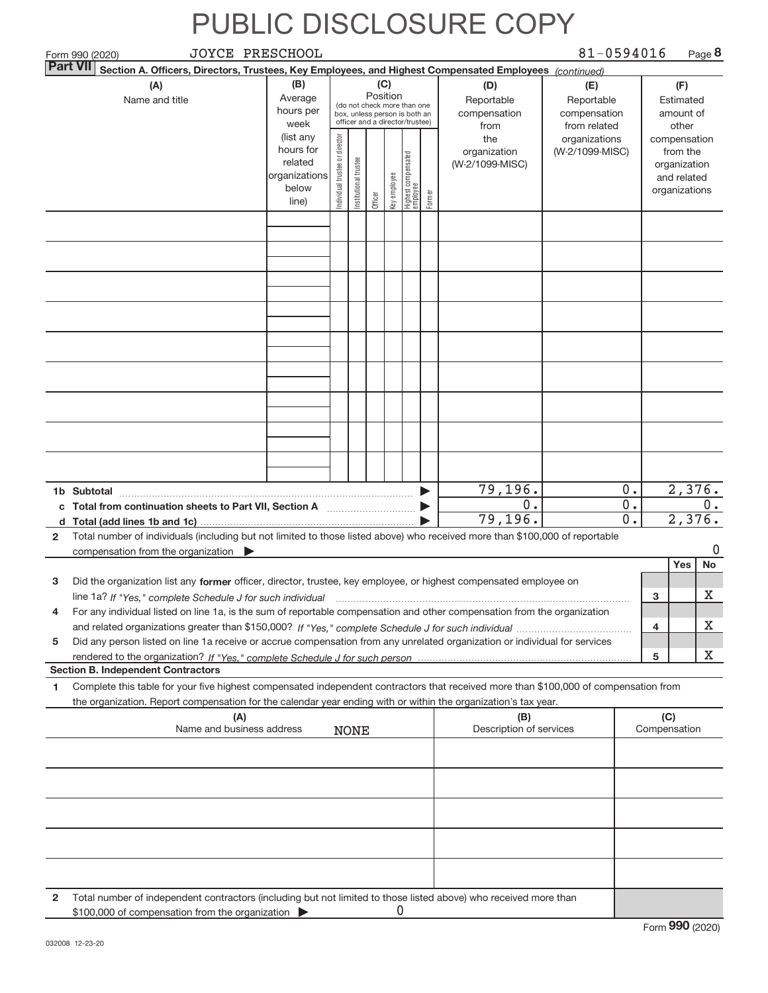|                 | JOYCE PRESCHOOL<br>Form 990 (2020)                                                                                                      |                          |                                |                       |                 |              |                                                              |        |                            | 81-0594016                 |   |                              | Page 8   |
|-----------------|-----------------------------------------------------------------------------------------------------------------------------------------|--------------------------|--------------------------------|-----------------------|-----------------|--------------|--------------------------------------------------------------|--------|----------------------------|----------------------------|---|------------------------------|----------|
| <b>Part VII</b> | Section A. Officers, Directors, Trustees, Key Employees, and Highest Compensated Employees (continued)                                  |                          |                                |                       |                 |              |                                                              |        |                            |                            |   |                              |          |
|                 | (A)                                                                                                                                     | (B)<br>Average           |                                |                       | (C)<br>Position |              |                                                              |        | (D)                        | (E)                        |   | (F)                          |          |
|                 | Name and title                                                                                                                          | hours per                |                                |                       |                 |              | (do not check more than one<br>box, unless person is both an |        | Reportable<br>compensation | Reportable<br>compensation |   | Estimated<br>amount of       |          |
|                 |                                                                                                                                         | week                     |                                |                       |                 |              | officer and a director/trustee)                              |        | from                       | from related               |   | other                        |          |
|                 |                                                                                                                                         | (list any                |                                |                       |                 |              |                                                              |        | the                        | organizations              |   | compensation                 |          |
|                 |                                                                                                                                         | hours for                |                                |                       |                 |              |                                                              |        | organization               | (W-2/1099-MISC)            |   | from the                     |          |
|                 |                                                                                                                                         | related<br>organizations |                                |                       |                 |              |                                                              |        | (W-2/1099-MISC)            |                            |   | organization                 |          |
|                 |                                                                                                                                         | below                    |                                |                       |                 |              |                                                              |        |                            |                            |   | and related<br>organizations |          |
|                 |                                                                                                                                         | line)                    | Individual trustee or director | Institutional trustee | Officer         | Key employee | Highest compensated<br>  employee                            | Former |                            |                            |   |                              |          |
|                 |                                                                                                                                         |                          |                                |                       |                 |              |                                                              |        |                            |                            |   |                              |          |
|                 |                                                                                                                                         |                          |                                |                       |                 |              |                                                              |        |                            |                            |   |                              |          |
|                 |                                                                                                                                         |                          |                                |                       |                 |              |                                                              |        |                            |                            |   |                              |          |
|                 |                                                                                                                                         |                          |                                |                       |                 |              |                                                              |        |                            |                            |   |                              |          |
|                 |                                                                                                                                         |                          |                                |                       |                 |              |                                                              |        |                            |                            |   |                              |          |
|                 |                                                                                                                                         |                          |                                |                       |                 |              |                                                              |        |                            |                            |   |                              |          |
|                 |                                                                                                                                         |                          |                                |                       |                 |              |                                                              |        |                            |                            |   |                              |          |
|                 |                                                                                                                                         |                          |                                |                       |                 |              |                                                              |        |                            |                            |   |                              |          |
|                 |                                                                                                                                         |                          |                                |                       |                 |              |                                                              |        |                            |                            |   |                              |          |
|                 |                                                                                                                                         |                          |                                |                       |                 |              |                                                              |        |                            |                            |   |                              |          |
|                 |                                                                                                                                         |                          |                                |                       |                 |              |                                                              |        |                            |                            |   |                              |          |
|                 |                                                                                                                                         |                          |                                |                       |                 |              |                                                              |        |                            |                            |   |                              |          |
|                 |                                                                                                                                         |                          |                                |                       |                 |              |                                                              |        |                            |                            |   |                              |          |
|                 |                                                                                                                                         |                          |                                |                       |                 |              |                                                              |        |                            |                            |   |                              |          |
|                 |                                                                                                                                         |                          |                                |                       |                 |              |                                                              |        |                            |                            |   |                              |          |
|                 |                                                                                                                                         |                          |                                |                       |                 |              |                                                              |        |                            |                            |   |                              |          |
|                 |                                                                                                                                         |                          |                                |                       |                 |              |                                                              |        |                            |                            |   |                              |          |
|                 |                                                                                                                                         |                          |                                |                       |                 |              |                                                              |        | 79,196.                    | 0.                         |   |                              | 2,376.   |
|                 | 1b Subtotal<br>Total from continuation sheets to Part VII, Section A [111] [12] Total from continuation sheets to Part VII, Section A   |                          |                                |                       |                 |              |                                                              |        | 0.                         | $0$ .                      |   |                              | 0.       |
| c               |                                                                                                                                         |                          |                                |                       |                 |              |                                                              |        | 79,196.                    | $\overline{0}$ .           |   |                              | 2,376.   |
| $\mathbf{2}$    | Total number of individuals (including but not limited to those listed above) who received more than \$100,000 of reportable            |                          |                                |                       |                 |              |                                                              |        |                            |                            |   |                              |          |
|                 | compensation from the organization $\blacktriangleright$                                                                                |                          |                                |                       |                 |              |                                                              |        |                            |                            |   |                              | $\Omega$ |
|                 |                                                                                                                                         |                          |                                |                       |                 |              |                                                              |        |                            |                            |   | Yes                          | No       |
| 3               | Did the organization list any former officer, director, trustee, key employee, or highest compensated employee on                       |                          |                                |                       |                 |              |                                                              |        |                            |                            |   |                              |          |
|                 | line 1a? If "Yes," complete Schedule J for such individual manufactured contained and the Ves," complete Schedule J for such individual |                          |                                |                       |                 |              |                                                              |        |                            |                            | 3 |                              | х        |
| 4               | For any individual listed on line 1a, is the sum of reportable compensation and other compensation from the organization                |                          |                                |                       |                 |              |                                                              |        |                            |                            |   |                              |          |
|                 |                                                                                                                                         |                          |                                |                       |                 |              |                                                              |        |                            |                            | 4 |                              | х        |
| 5               | Did any person listed on line 1a receive or accrue compensation from any unrelated organization or individual for services              |                          |                                |                       |                 |              |                                                              |        |                            |                            |   |                              |          |
|                 |                                                                                                                                         |                          |                                |                       |                 |              |                                                              |        |                            |                            | 5 |                              | X        |
|                 | <b>Section B. Independent Contractors</b>                                                                                               |                          |                                |                       |                 |              |                                                              |        |                            |                            |   |                              |          |
| 1               | Complete this table for your five highest compensated independent contractors that received more than \$100,000 of compensation from    |                          |                                |                       |                 |              |                                                              |        |                            |                            |   |                              |          |
|                 | the organization. Report compensation for the calendar year ending with or within the organization's tax year.                          |                          |                                |                       |                 |              |                                                              |        |                            |                            |   |                              |          |
|                 | (A)                                                                                                                                     |                          |                                |                       |                 |              |                                                              |        | (B)                        |                            |   | (C)                          |          |
|                 | Name and business address                                                                                                               |                          |                                | <b>NONE</b>           |                 |              |                                                              |        | Description of services    |                            |   | Compensation                 |          |
|                 |                                                                                                                                         |                          |                                |                       |                 |              |                                                              |        |                            |                            |   |                              |          |
|                 |                                                                                                                                         |                          |                                |                       |                 |              |                                                              |        |                            |                            |   |                              |          |
|                 |                                                                                                                                         |                          |                                |                       |                 |              |                                                              |        |                            |                            |   |                              |          |
|                 |                                                                                                                                         |                          |                                |                       |                 |              |                                                              |        |                            |                            |   |                              |          |
|                 |                                                                                                                                         |                          |                                |                       |                 |              |                                                              |        |                            |                            |   |                              |          |
|                 |                                                                                                                                         |                          |                                |                       |                 |              |                                                              |        |                            |                            |   |                              |          |
|                 |                                                                                                                                         |                          |                                |                       |                 |              |                                                              |        |                            |                            |   |                              |          |
|                 |                                                                                                                                         |                          |                                |                       |                 |              |                                                              |        |                            |                            |   |                              |          |
|                 |                                                                                                                                         |                          |                                |                       |                 |              |                                                              |        |                            |                            |   |                              |          |
| 2               | Total number of independent contractors (including but not limited to those listed above) who received more than                        |                          |                                |                       |                 |              |                                                              |        |                            |                            |   |                              |          |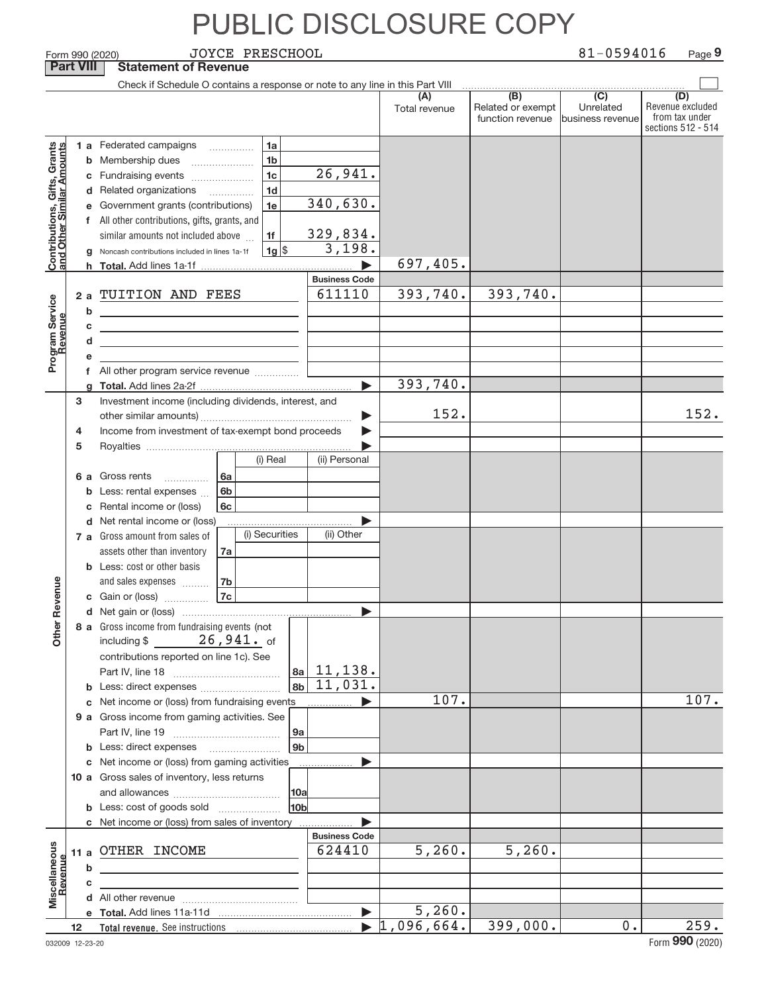|                                               |                               |                                            | <b>JOYCE PRESCHOOL</b><br>Form 990 (2020)                                                                              |                       |                            |                                                           | 81-0594016                                        | Page 9                                                          |
|-----------------------------------------------|-------------------------------|--------------------------------------------|------------------------------------------------------------------------------------------------------------------------|-----------------------|----------------------------|-----------------------------------------------------------|---------------------------------------------------|-----------------------------------------------------------------|
|                                               | <b>Part VIII</b>              |                                            | <b>Statement of Revenue</b>                                                                                            |                       |                            |                                                           |                                                   |                                                                 |
|                                               |                               |                                            | Check if Schedule O contains a response or note to any line in this Part VIII                                          |                       |                            |                                                           |                                                   |                                                                 |
|                                               |                               |                                            |                                                                                                                        |                       | (A)<br>Total revenue       | $\overline{(B)}$<br>Related or exempt<br>function revenue | $\overline{(C)}$<br>Unrelated<br>business revenue | (D)<br>Revenue excluded<br>from tax under<br>sections 512 - 514 |
|                                               |                               |                                            | 1 a Federated campaigns<br>1a                                                                                          |                       |                            |                                                           |                                                   |                                                                 |
| ts, Grants<br>Amounts                         |                               | <b>b</b> Membership dues<br>1 <sub>b</sub> |                                                                                                                        |                       |                            |                                                           |                                                   |                                                                 |
|                                               |                               |                                            | 1 <sub>c</sub><br>c Fundraising events                                                                                 | 26,941.               |                            |                                                           |                                                   |                                                                 |
| Contributions, Gifts,<br>and Other Similar Ar |                               |                                            | 1 <sub>d</sub><br>d Related organizations<br>$\overline{\phantom{a}}$                                                  |                       |                            |                                                           |                                                   |                                                                 |
|                                               |                               |                                            | e Government grants (contributions)<br>1e                                                                              | 340,630.              |                            |                                                           |                                                   |                                                                 |
|                                               |                               |                                            | f All other contributions, gifts, grants, and                                                                          |                       |                            |                                                           |                                                   |                                                                 |
|                                               |                               |                                            | similar amounts not included above<br>1f                                                                               | 329,834.              |                            |                                                           |                                                   |                                                                 |
|                                               |                               |                                            | $1g$ \$<br>Noncash contributions included in lines 1a-1f                                                               | 3,198.                |                            |                                                           |                                                   |                                                                 |
|                                               |                               |                                            |                                                                                                                        |                       | 697,405.                   |                                                           |                                                   |                                                                 |
|                                               |                               |                                            |                                                                                                                        | <b>Business Code</b>  |                            |                                                           |                                                   |                                                                 |
|                                               | 2a                            |                                            | TUITION AND FEES                                                                                                       | 611110                | 393,740.                   | 393,740.                                                  |                                                   |                                                                 |
|                                               |                               | b                                          | the control of the control of the control of the control of the control of                                             |                       |                            |                                                           |                                                   |                                                                 |
|                                               |                               | С                                          | <u> 1989 - Johann Barn, mars ann an t-Amhain ann an t-Amhain an t-Amhain an t-Amhain an t-Amhain an t-Amhain an t-</u> |                       |                            |                                                           |                                                   |                                                                 |
|                                               |                               | d                                          | the control of the control of the control of the control of the control of                                             |                       |                            |                                                           |                                                   |                                                                 |
| Program Service                               |                               |                                            |                                                                                                                        |                       |                            |                                                           |                                                   |                                                                 |
|                                               |                               | f.                                         | All other program service revenue <i>mimimini</i>                                                                      |                       |                            |                                                           |                                                   |                                                                 |
|                                               |                               |                                            |                                                                                                                        |                       | 393,740.                   |                                                           |                                                   |                                                                 |
|                                               | з                             |                                            | Investment income (including dividends, interest, and                                                                  |                       |                            |                                                           |                                                   |                                                                 |
|                                               |                               |                                            |                                                                                                                        | ▶                     | 152.                       |                                                           |                                                   | 152.                                                            |
|                                               | 4                             |                                            | Income from investment of tax-exempt bond proceeds                                                                     | ▶                     |                            |                                                           |                                                   |                                                                 |
|                                               | 5                             |                                            |                                                                                                                        |                       |                            |                                                           |                                                   |                                                                 |
|                                               |                               |                                            | (i) Real                                                                                                               | (ii) Personal         |                            |                                                           |                                                   |                                                                 |
|                                               | 6а                            |                                            | Gross rents<br>6a                                                                                                      |                       |                            |                                                           |                                                   |                                                                 |
|                                               |                               |                                            | Less: rental expenses<br>6b                                                                                            |                       |                            |                                                           |                                                   |                                                                 |
|                                               |                               |                                            | Rental income or (loss)<br>6c                                                                                          |                       |                            |                                                           |                                                   |                                                                 |
|                                               | d Net rental income or (loss) |                                            |                                                                                                                        |                       |                            |                                                           |                                                   |                                                                 |
|                                               |                               |                                            | (i) Securities<br>7 a Gross amount from sales of                                                                       | (ii) Other            |                            |                                                           |                                                   |                                                                 |
|                                               |                               |                                            | assets other than inventory<br>7a                                                                                      |                       |                            |                                                           |                                                   |                                                                 |
|                                               |                               |                                            | <b>b</b> Less: cost or other basis                                                                                     |                       |                            |                                                           |                                                   |                                                                 |
| evenue                                        |                               |                                            | and sales expenses<br>7b                                                                                               |                       |                            |                                                           |                                                   |                                                                 |
|                                               |                               |                                            | 7c<br>c Gain or (loss)                                                                                                 |                       |                            |                                                           |                                                   |                                                                 |
|                                               |                               |                                            |                                                                                                                        |                       |                            |                                                           |                                                   |                                                                 |
| Other R                                       |                               |                                            | 8 a Gross income from fundraising events (not<br>including $$26,941.$ of                                               |                       |                            |                                                           |                                                   |                                                                 |
|                                               |                               |                                            |                                                                                                                        |                       |                            |                                                           |                                                   |                                                                 |
|                                               |                               |                                            | contributions reported on line 1c). See                                                                                | $ a_2 $ 11, 138.      |                            |                                                           |                                                   |                                                                 |
|                                               |                               |                                            |                                                                                                                        | $8b \mid 11,031.$     |                            |                                                           |                                                   |                                                                 |
|                                               |                               |                                            | c Net income or (loss) from fundraising events                                                                         |                       | 107.                       |                                                           |                                                   | 107.                                                            |
|                                               |                               |                                            | 9 a Gross income from gaming activities. See                                                                           |                       |                            |                                                           |                                                   |                                                                 |
|                                               |                               |                                            |                                                                                                                        | 9a                    |                            |                                                           |                                                   |                                                                 |
|                                               |                               |                                            | <b>b</b> Less: direct expenses <b>manually</b>                                                                         | 9 <sub>b</sub>        |                            |                                                           |                                                   |                                                                 |
|                                               |                               |                                            | c Net income or (loss) from gaming activities                                                                          |                       |                            |                                                           |                                                   |                                                                 |
|                                               |                               |                                            | 10 a Gross sales of inventory, less returns                                                                            |                       |                            |                                                           |                                                   |                                                                 |
|                                               |                               |                                            |                                                                                                                        | 10a                   |                            |                                                           |                                                   |                                                                 |
|                                               |                               |                                            | <b>b</b> Less: cost of goods sold                                                                                      | 10 <sub>b</sub>       |                            |                                                           |                                                   |                                                                 |
|                                               |                               |                                            | c Net income or (loss) from sales of inventory                                                                         |                       |                            |                                                           |                                                   |                                                                 |
|                                               |                               |                                            |                                                                                                                        | <b>Business Code</b>  |                            |                                                           |                                                   |                                                                 |
|                                               |                               |                                            | 11 a OTHER INCOME                                                                                                      | 624410                | 5,260.                     | 5,260.                                                    |                                                   |                                                                 |
|                                               |                               | b                                          |                                                                                                                        |                       |                            |                                                           |                                                   |                                                                 |
| Miscellaneous<br>Revenue                      |                               | c                                          |                                                                                                                        |                       |                            |                                                           |                                                   |                                                                 |
|                                               |                               |                                            |                                                                                                                        |                       |                            |                                                           |                                                   |                                                                 |
|                                               |                               |                                            |                                                                                                                        |                       | 5,260.                     |                                                           |                                                   |                                                                 |
|                                               | 12                            |                                            |                                                                                                                        | $\blacktriangleright$ | 096,664.<br>$\mathfrak{u}$ | 399,000.                                                  | 0.                                                | 259.                                                            |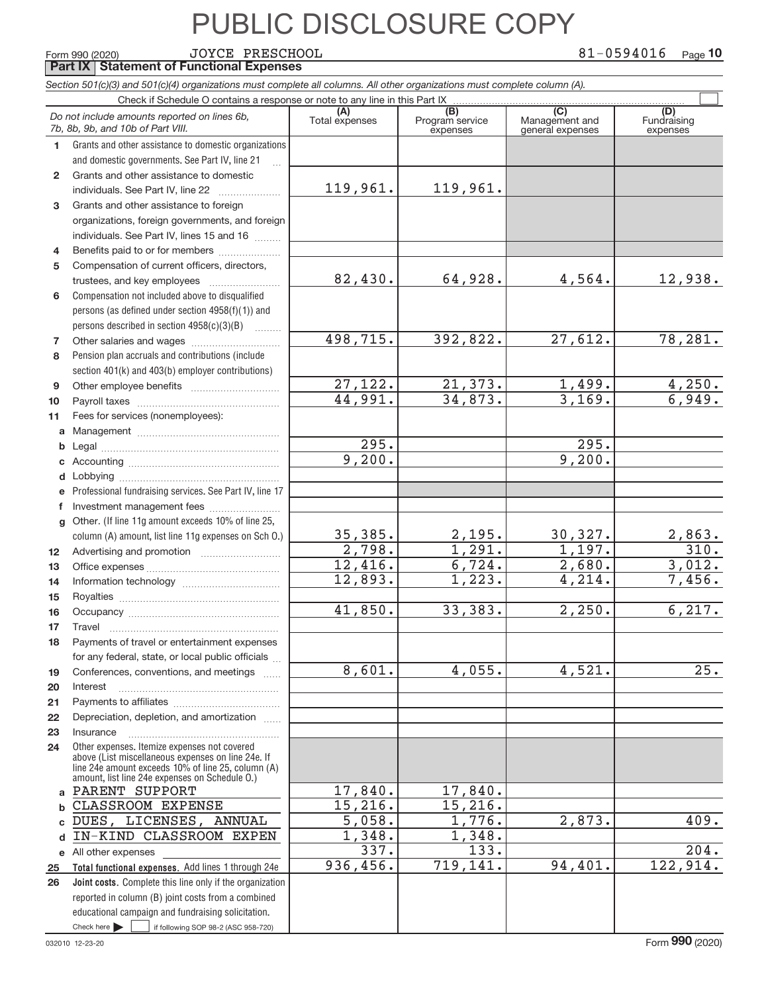Form 990 (2020) Page **Part IX Statement of Functional Expenses** JOYCE PRESCHOOL 81‐0594016

|                 | Section 501(c)(3) and 501(c)(4) organizations must complete all columns. All other organizations must complete column (A). |                |                             |                                    |                         |
|-----------------|----------------------------------------------------------------------------------------------------------------------------|----------------|-----------------------------|------------------------------------|-------------------------|
|                 | Check if Schedule O contains a response or note to any line in this Part IX                                                | (A)            | (B)                         | (C)                                | (D)                     |
|                 | Do not include amounts reported on lines 6b,<br>7b, 8b, 9b, and 10b of Part VIII.                                          | Total expenses | Program service<br>expenses | Management and<br>general expenses | Fundraising<br>expenses |
| 1               | Grants and other assistance to domestic organizations                                                                      |                |                             |                                    |                         |
|                 | and domestic governments. See Part IV, line 21                                                                             |                |                             |                                    |                         |
| $\overline{2}$  | Grants and other assistance to domestic                                                                                    |                |                             |                                    |                         |
|                 | individuals. See Part IV, line 22                                                                                          | 119,961.       | 119,961.                    |                                    |                         |
| 3               | Grants and other assistance to foreign                                                                                     |                |                             |                                    |                         |
|                 | organizations, foreign governments, and foreign                                                                            |                |                             |                                    |                         |
|                 | individuals. See Part IV, lines 15 and 16                                                                                  |                |                             |                                    |                         |
| 4               | Benefits paid to or for members                                                                                            |                |                             |                                    |                         |
| 5               | Compensation of current officers, directors,                                                                               |                |                             |                                    |                         |
|                 | trustees, and key employees                                                                                                | 82,430.        | 64,928.                     | 4,564.                             | 12,938.                 |
| 6               | Compensation not included above to disqualified                                                                            |                |                             |                                    |                         |
|                 | persons (as defined under section 4958(f)(1)) and                                                                          |                |                             |                                    |                         |
|                 | persons described in section 4958(c)(3)(B)<br><b>Contractor</b>                                                            |                |                             |                                    |                         |
| 7               |                                                                                                                            | 498,715.       | 392,822.                    | 27,612.                            | 78,281.                 |
| 8               | Pension plan accruals and contributions (include                                                                           |                |                             |                                    |                         |
|                 | section 401(k) and 403(b) employer contributions)                                                                          |                |                             |                                    |                         |
| 9               |                                                                                                                            | 27,122.        | 21,373.                     | 1,499.                             | 4,250.                  |
| 10              |                                                                                                                            | 44,991.        | 34,873.                     | 3,169.                             | 6,949.                  |
| 11              | Fees for services (nonemployees):                                                                                          |                |                             |                                    |                         |
| a               |                                                                                                                            |                |                             |                                    |                         |
| b               |                                                                                                                            | 295.           |                             | 295.                               |                         |
| c               |                                                                                                                            | 9,200.         |                             | 9,200.                             |                         |
| d               |                                                                                                                            |                |                             |                                    |                         |
| е               | Professional fundraising services. See Part IV, line 17                                                                    |                |                             |                                    |                         |
| f               | Investment management fees                                                                                                 |                |                             |                                    |                         |
| g               | Other. (If line 11g amount exceeds 10% of line 25,                                                                         |                |                             |                                    |                         |
|                 | column (A) amount, list line 11g expenses on Sch O.)                                                                       | 35,385.        | 2,195.                      | 30,327.                            |                         |
| 12 <sup>2</sup> |                                                                                                                            | 2,798.         | 1,291.                      | 1,197.                             | $\frac{2,863.}{310.}$   |
| 13              |                                                                                                                            | 12,416.        | 6,724.                      | 2,680.                             | 3,012.                  |
| 14              |                                                                                                                            | 12,893.        | 1,223.                      | 4,214.                             | 7,456.                  |
| 15              |                                                                                                                            |                |                             |                                    |                         |
| 16              |                                                                                                                            | 41,850.        | 33,383.                     | 2,250.                             | 6, 217.                 |
| 17              |                                                                                                                            |                |                             |                                    |                         |
| 18              | Payments of travel or entertainment expenses                                                                               |                |                             |                                    |                         |
|                 | for any federal, state, or local public officials                                                                          |                |                             |                                    |                         |
| 19              | Conferences, conventions, and meetings                                                                                     | 8,601.         | 4,055.                      | 4,521.                             | 25.                     |
| 20              | Interest                                                                                                                   |                |                             |                                    |                         |
| 21              |                                                                                                                            |                |                             |                                    |                         |
| 22              | Depreciation, depletion, and amortization                                                                                  |                |                             |                                    |                         |
| 23              | Insurance                                                                                                                  |                |                             |                                    |                         |
| 24              | Other expenses. Itemize expenses not covered                                                                               |                |                             |                                    |                         |
|                 | above (List miscellaneous expenses on line 24e. If                                                                         |                |                             |                                    |                         |
|                 | line 24e amount exceeds 10% of line 25, column (A)<br>amount, list line 24e expenses on Schedule O.)                       |                |                             |                                    |                         |
| a               | PARENT SUPPORT                                                                                                             | 17,840.        | 17,840.                     |                                    |                         |
| b               | CLASSROOM EXPENSE                                                                                                          | 15,216.        | 15,216.                     |                                    |                         |
| c               | DUES, LICENSES, ANNUAL                                                                                                     | 5,058.         | 1,776.                      | 2,873.                             | 409.                    |
| d               | IN-KIND CLASSROOM EXPEN                                                                                                    | 1,348.         | 1,348.                      |                                    |                         |
| е               | All other expenses                                                                                                         | 337.           | 133.                        |                                    | 204.                    |
| 25              | Total functional expenses. Add lines 1 through 24e                                                                         | 936,456.       | 719,141.                    | 94,401.                            | 122,914.                |
| 26              | Joint costs. Complete this line only if the organization                                                                   |                |                             |                                    |                         |
|                 | reported in column (B) joint costs from a combined                                                                         |                |                             |                                    |                         |
|                 | educational campaign and fundraising solicitation.                                                                         |                |                             |                                    |                         |
|                 | Check here $\blacktriangleright$<br>if following SOP 98-2 (ASC 958-720)                                                    |                |                             |                                    |                         |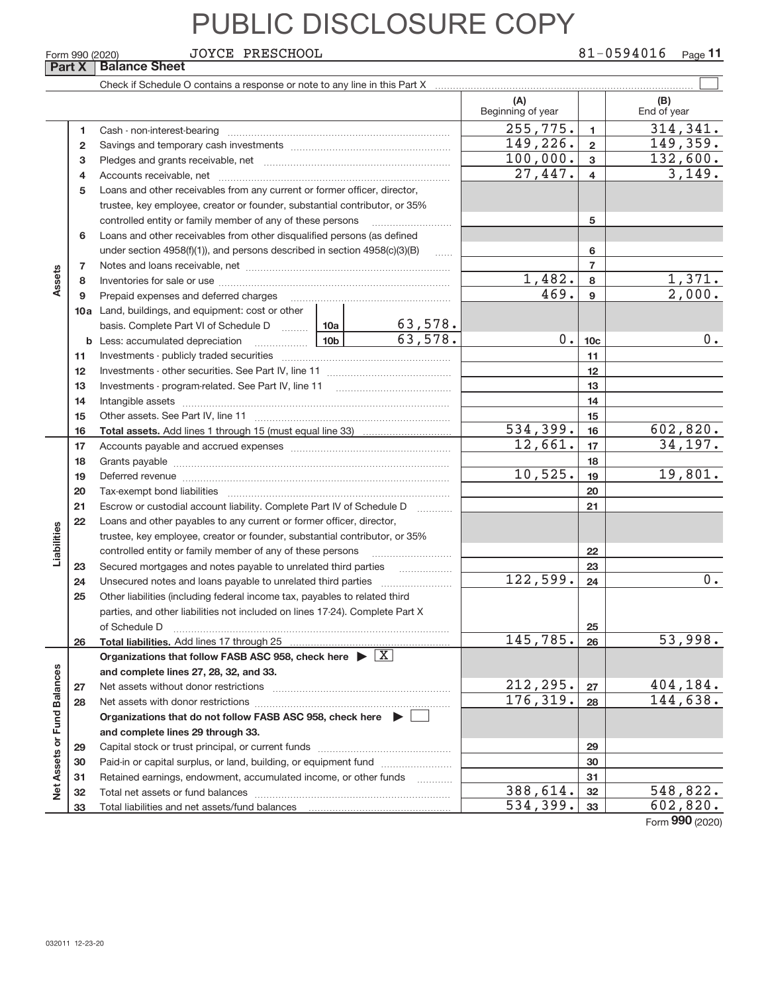**Part X** | Balance Sheet JOYCE PRESCHOOL

|                             |              |                                                                                    |          |                     | (A)<br>Beginning of year |                         | (B)<br>End of year      |
|-----------------------------|--------------|------------------------------------------------------------------------------------|----------|---------------------|--------------------------|-------------------------|-------------------------|
|                             | 1            |                                                                                    |          |                     | 255,775.                 | $\mathbf{1}$            | 314, 341.               |
|                             | $\mathbf{2}$ |                                                                                    | 149,226. | $\overline{2}$      | 149,359.                 |                         |                         |
|                             | 3            |                                                                                    |          |                     | 100,000.                 | 3                       | 132,600.                |
|                             | 4            |                                                                                    |          |                     | 27,447.                  | $\overline{\mathbf{4}}$ | 3,149.                  |
|                             | 5            | Loans and other receivables from any current or former officer, director,          |          |                     |                          |                         |                         |
|                             |              | trustee, key employee, creator or founder, substantial contributor, or 35%         |          |                     |                          |                         |                         |
|                             |              | controlled entity or family member of any of these persons                         |          |                     |                          | 5                       |                         |
|                             | 6            | Loans and other receivables from other disqualified persons (as defined            |          |                     |                          |                         |                         |
|                             |              | under section $4958(f)(1)$ , and persons described in section $4958(c)(3)(B)$      |          | $\ldots$            |                          | 6                       |                         |
|                             | 7            |                                                                                    |          |                     |                          | $\overline{7}$          |                         |
| Assets                      | 8            |                                                                                    |          |                     | 1,482.                   | 8                       | 1,371.                  |
|                             | 9            | Prepaid expenses and deferred charges                                              |          |                     | 469.                     | 9                       | 2,000.                  |
|                             |              | <b>10a</b> Land, buildings, and equipment: cost or other                           |          |                     |                          |                         |                         |
|                             |              | basis. Complete Part VI of Schedule D  10a                                         |          | <u>63,578.</u>      |                          |                         |                         |
|                             | b            |                                                                                    |          | 63,578.             | 0.1                      | 10 <sub>c</sub>         | $0$ .                   |
|                             | 11           |                                                                                    |          |                     |                          | 11                      |                         |
|                             | 12           |                                                                                    |          |                     | 12                       |                         |                         |
|                             | 13           |                                                                                    |          |                     | 13                       |                         |                         |
|                             | 14           |                                                                                    |          |                     | 14                       |                         |                         |
|                             | 15           |                                                                                    | 534,399. | 15                  |                          |                         |                         |
|                             | 16           |                                                                                    |          |                     | 12,661.                  | 16<br>17                | 602,820.<br>34, 197.    |
|                             | 17           |                                                                                    |          |                     |                          | 18                      |                         |
|                             | 18<br>19     |                                                                                    |          |                     | 10,525.                  | 19                      | 19,801.                 |
|                             | 20           |                                                                                    |          |                     |                          | 20                      |                         |
|                             | 21           | Escrow or custodial account liability. Complete Part IV of Schedule D              |          |                     |                          | 21                      |                         |
|                             | 22           | Loans and other payables to any current or former officer, director,               |          | 1.1.1.1.1.1.1.1.1.1 |                          |                         |                         |
| Liabilities                 |              | trustee, key employee, creator or founder, substantial contributor, or 35%         |          |                     |                          |                         |                         |
|                             |              | controlled entity or family member of any of these persons                         |          |                     |                          | 22                      |                         |
|                             | 23           | Secured mortgages and notes payable to unrelated third parties                     |          |                     |                          | 23                      |                         |
|                             | 24           |                                                                                    |          |                     | 122,599.                 | 24                      | $0$ .                   |
|                             | 25           | Other liabilities (including federal income tax, payables to related third         |          |                     |                          |                         |                         |
|                             |              | parties, and other liabilities not included on lines 17-24). Complete Part X       |          |                     |                          |                         |                         |
|                             |              | of Schedule D                                                                      |          |                     |                          | 25                      |                         |
|                             | 26           | Total liabilities. Add lines 17 through 25.                                        |          |                     | 145, 785.                | 26                      | 53,998.                 |
|                             |              | Organizations that follow FASB ASC 958, check here $\blacktriangleright \boxed{X}$ |          |                     |                          |                         |                         |
|                             |              | and complete lines 27, 28, 32, and 33.                                             |          |                     |                          |                         |                         |
|                             | 27           |                                                                                    |          |                     | 212,295.                 | 27                      | 404,184.                |
|                             | 28           |                                                                                    |          |                     | 176,319.                 | 28                      | $\overline{144}$ , 638. |
|                             |              | Organizations that do not follow FASB ASC 958, check here $\triangleright$         |          |                     |                          |                         |                         |
|                             |              | and complete lines 29 through 33.                                                  |          |                     |                          |                         |                         |
|                             | 29           |                                                                                    |          |                     |                          | 29                      |                         |
| Net Assets or Fund Balances | 30           | Paid-in or capital surplus, or land, building, or equipment fund                   |          |                     |                          | 30                      |                         |
|                             | 31           | Retained earnings, endowment, accumulated income, or other funds                   |          |                     |                          | 31                      |                         |
|                             | 32           |                                                                                    |          |                     | 388,614.                 | 32                      | 548,822.                |
|                             | 33           | Total liabilities and net assets/fund balances                                     |          |                     | 534,399.                 | 33                      | 602,820.                |

Form (2020) **990**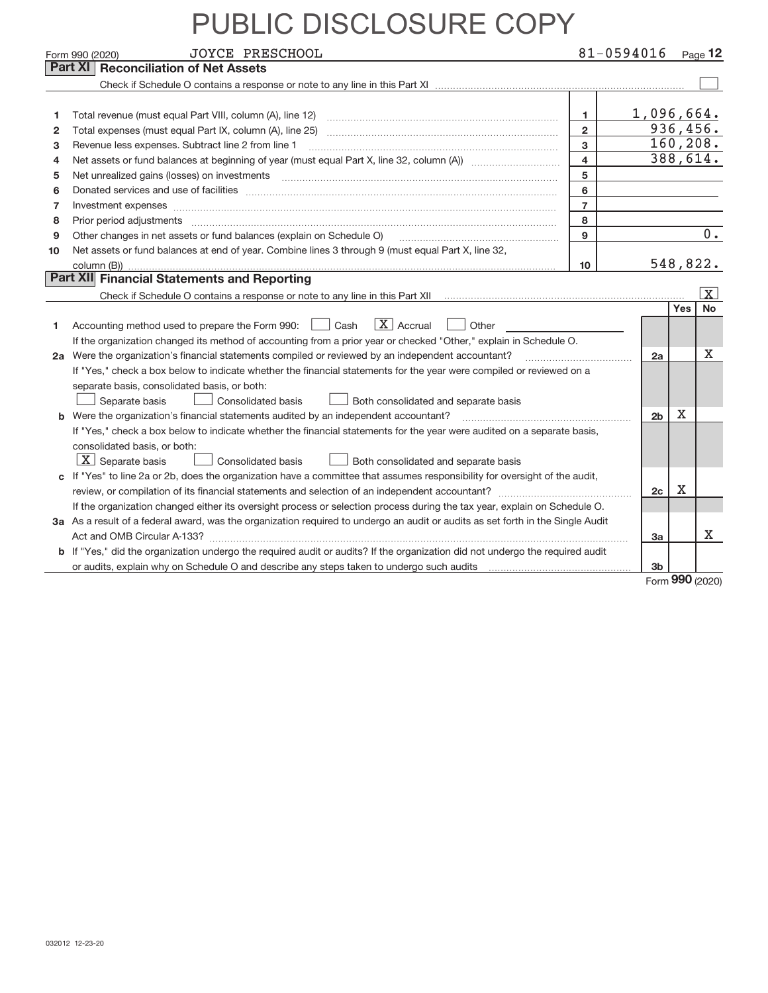| <b>Reconciliation of Net Assets</b><br>Part XI<br>1,096,664.<br>1<br>Total revenue (must equal Part VIII, column (A), line 12)<br>1<br>936, 456.<br>$\overline{2}$<br>Total expenses (must equal Part IX, column (A), line 25)<br>2<br>160, 208.<br>$\overline{3}$<br>Revenue less expenses. Subtract line 2 from line 1<br>з<br>388,614.<br>$\overline{4}$<br>4<br>5<br>5<br>6<br>Donated services and use of facilities [111] matter contracts and the service of facilities [11] matter contracts and use of facilities [11] matter contracts and the service of facilities [11] matter contracts and the serv<br>6<br>$\overline{7}$<br>7<br>Investment expenses www.communication.com/multiple/expenses/communications/communications/communications/<br>8<br>8<br>$\overline{0}$ .<br>9<br>Other changes in net assets or fund balances (explain on Schedule O)<br>9<br>Net assets or fund balances at end of year. Combine lines 3 through 9 (must equal Part X, line 32,<br>10<br>548,822.<br>10 <sup>10</sup><br>Part XII Financial Statements and Reporting<br>$\vert$ X $\vert$<br>No<br><b>Yes</b><br>$ X $ Accrual<br>Accounting method used to prepare the Form 990: <u>I</u> Cash<br>Other<br>1<br>If the organization changed its method of accounting from a prior year or checked "Other," explain in Schedule O.<br>x<br>2a Were the organization's financial statements compiled or reviewed by an independent accountant?<br>2a<br>If "Yes," check a box below to indicate whether the financial statements for the year were compiled or reviewed on a<br>separate basis, consolidated basis, or both:<br>Consolidated basis<br>Separate basis<br>Both consolidated and separate basis<br>Х<br>2 <sub>b</sub><br>Were the organization's financial statements audited by an independent accountant?<br>b<br>If "Yes," check a box below to indicate whether the financial statements for the year were audited on a separate basis,<br>consolidated basis, or both:<br>$X$ Separate basis<br>Consolidated basis<br>Both consolidated and separate basis<br>If "Yes" to line 2a or 2b, does the organization have a committee that assumes responsibility for oversight of the audit,<br>c<br>Χ<br>2c<br>If the organization changed either its oversight process or selection process during the tax year, explain on Schedule O.<br>3a As a result of a federal award, was the organization required to undergo an audit or audits as set forth in the Single Audit<br>x<br>3a<br>b If "Yes," did the organization undergo the required audit or audits? If the organization did not undergo the required audit<br>3b | <b>JOYCE PRESCHOOL</b><br>Form 990 (2020) | 81-0594016 |  | Page 12 |
|----------------------------------------------------------------------------------------------------------------------------------------------------------------------------------------------------------------------------------------------------------------------------------------------------------------------------------------------------------------------------------------------------------------------------------------------------------------------------------------------------------------------------------------------------------------------------------------------------------------------------------------------------------------------------------------------------------------------------------------------------------------------------------------------------------------------------------------------------------------------------------------------------------------------------------------------------------------------------------------------------------------------------------------------------------------------------------------------------------------------------------------------------------------------------------------------------------------------------------------------------------------------------------------------------------------------------------------------------------------------------------------------------------------------------------------------------------------------------------------------------------------------------------------------------------------------------------------------------------------------------------------------------------------------------------------------------------------------------------------------------------------------------------------------------------------------------------------------------------------------------------------------------------------------------------------------------------------------------------------------------------------------------------------------------------------------------------------------------------------------------------------------------------------------------------------------------------------------------------------------------------------------------------------------------------------------------------------------------------------------------------------------------------------------------------------------------------------------------------------------------------------------------------------------------------------------------------------------------------------------------------------------|-------------------------------------------|------------|--|---------|
|                                                                                                                                                                                                                                                                                                                                                                                                                                                                                                                                                                                                                                                                                                                                                                                                                                                                                                                                                                                                                                                                                                                                                                                                                                                                                                                                                                                                                                                                                                                                                                                                                                                                                                                                                                                                                                                                                                                                                                                                                                                                                                                                                                                                                                                                                                                                                                                                                                                                                                                                                                                                                                              |                                           |            |  |         |
|                                                                                                                                                                                                                                                                                                                                                                                                                                                                                                                                                                                                                                                                                                                                                                                                                                                                                                                                                                                                                                                                                                                                                                                                                                                                                                                                                                                                                                                                                                                                                                                                                                                                                                                                                                                                                                                                                                                                                                                                                                                                                                                                                                                                                                                                                                                                                                                                                                                                                                                                                                                                                                              |                                           |            |  |         |
|                                                                                                                                                                                                                                                                                                                                                                                                                                                                                                                                                                                                                                                                                                                                                                                                                                                                                                                                                                                                                                                                                                                                                                                                                                                                                                                                                                                                                                                                                                                                                                                                                                                                                                                                                                                                                                                                                                                                                                                                                                                                                                                                                                                                                                                                                                                                                                                                                                                                                                                                                                                                                                              |                                           |            |  |         |
|                                                                                                                                                                                                                                                                                                                                                                                                                                                                                                                                                                                                                                                                                                                                                                                                                                                                                                                                                                                                                                                                                                                                                                                                                                                                                                                                                                                                                                                                                                                                                                                                                                                                                                                                                                                                                                                                                                                                                                                                                                                                                                                                                                                                                                                                                                                                                                                                                                                                                                                                                                                                                                              |                                           |            |  |         |
|                                                                                                                                                                                                                                                                                                                                                                                                                                                                                                                                                                                                                                                                                                                                                                                                                                                                                                                                                                                                                                                                                                                                                                                                                                                                                                                                                                                                                                                                                                                                                                                                                                                                                                                                                                                                                                                                                                                                                                                                                                                                                                                                                                                                                                                                                                                                                                                                                                                                                                                                                                                                                                              |                                           |            |  |         |
|                                                                                                                                                                                                                                                                                                                                                                                                                                                                                                                                                                                                                                                                                                                                                                                                                                                                                                                                                                                                                                                                                                                                                                                                                                                                                                                                                                                                                                                                                                                                                                                                                                                                                                                                                                                                                                                                                                                                                                                                                                                                                                                                                                                                                                                                                                                                                                                                                                                                                                                                                                                                                                              |                                           |            |  |         |
|                                                                                                                                                                                                                                                                                                                                                                                                                                                                                                                                                                                                                                                                                                                                                                                                                                                                                                                                                                                                                                                                                                                                                                                                                                                                                                                                                                                                                                                                                                                                                                                                                                                                                                                                                                                                                                                                                                                                                                                                                                                                                                                                                                                                                                                                                                                                                                                                                                                                                                                                                                                                                                              |                                           |            |  |         |
|                                                                                                                                                                                                                                                                                                                                                                                                                                                                                                                                                                                                                                                                                                                                                                                                                                                                                                                                                                                                                                                                                                                                                                                                                                                                                                                                                                                                                                                                                                                                                                                                                                                                                                                                                                                                                                                                                                                                                                                                                                                                                                                                                                                                                                                                                                                                                                                                                                                                                                                                                                                                                                              |                                           |            |  |         |
|                                                                                                                                                                                                                                                                                                                                                                                                                                                                                                                                                                                                                                                                                                                                                                                                                                                                                                                                                                                                                                                                                                                                                                                                                                                                                                                                                                                                                                                                                                                                                                                                                                                                                                                                                                                                                                                                                                                                                                                                                                                                                                                                                                                                                                                                                                                                                                                                                                                                                                                                                                                                                                              |                                           |            |  |         |
|                                                                                                                                                                                                                                                                                                                                                                                                                                                                                                                                                                                                                                                                                                                                                                                                                                                                                                                                                                                                                                                                                                                                                                                                                                                                                                                                                                                                                                                                                                                                                                                                                                                                                                                                                                                                                                                                                                                                                                                                                                                                                                                                                                                                                                                                                                                                                                                                                                                                                                                                                                                                                                              |                                           |            |  |         |
|                                                                                                                                                                                                                                                                                                                                                                                                                                                                                                                                                                                                                                                                                                                                                                                                                                                                                                                                                                                                                                                                                                                                                                                                                                                                                                                                                                                                                                                                                                                                                                                                                                                                                                                                                                                                                                                                                                                                                                                                                                                                                                                                                                                                                                                                                                                                                                                                                                                                                                                                                                                                                                              |                                           |            |  |         |
|                                                                                                                                                                                                                                                                                                                                                                                                                                                                                                                                                                                                                                                                                                                                                                                                                                                                                                                                                                                                                                                                                                                                                                                                                                                                                                                                                                                                                                                                                                                                                                                                                                                                                                                                                                                                                                                                                                                                                                                                                                                                                                                                                                                                                                                                                                                                                                                                                                                                                                                                                                                                                                              |                                           |            |  |         |
|                                                                                                                                                                                                                                                                                                                                                                                                                                                                                                                                                                                                                                                                                                                                                                                                                                                                                                                                                                                                                                                                                                                                                                                                                                                                                                                                                                                                                                                                                                                                                                                                                                                                                                                                                                                                                                                                                                                                                                                                                                                                                                                                                                                                                                                                                                                                                                                                                                                                                                                                                                                                                                              |                                           |            |  |         |
|                                                                                                                                                                                                                                                                                                                                                                                                                                                                                                                                                                                                                                                                                                                                                                                                                                                                                                                                                                                                                                                                                                                                                                                                                                                                                                                                                                                                                                                                                                                                                                                                                                                                                                                                                                                                                                                                                                                                                                                                                                                                                                                                                                                                                                                                                                                                                                                                                                                                                                                                                                                                                                              |                                           |            |  |         |
|                                                                                                                                                                                                                                                                                                                                                                                                                                                                                                                                                                                                                                                                                                                                                                                                                                                                                                                                                                                                                                                                                                                                                                                                                                                                                                                                                                                                                                                                                                                                                                                                                                                                                                                                                                                                                                                                                                                                                                                                                                                                                                                                                                                                                                                                                                                                                                                                                                                                                                                                                                                                                                              |                                           |            |  |         |
|                                                                                                                                                                                                                                                                                                                                                                                                                                                                                                                                                                                                                                                                                                                                                                                                                                                                                                                                                                                                                                                                                                                                                                                                                                                                                                                                                                                                                                                                                                                                                                                                                                                                                                                                                                                                                                                                                                                                                                                                                                                                                                                                                                                                                                                                                                                                                                                                                                                                                                                                                                                                                                              |                                           |            |  |         |
|                                                                                                                                                                                                                                                                                                                                                                                                                                                                                                                                                                                                                                                                                                                                                                                                                                                                                                                                                                                                                                                                                                                                                                                                                                                                                                                                                                                                                                                                                                                                                                                                                                                                                                                                                                                                                                                                                                                                                                                                                                                                                                                                                                                                                                                                                                                                                                                                                                                                                                                                                                                                                                              |                                           |            |  |         |
|                                                                                                                                                                                                                                                                                                                                                                                                                                                                                                                                                                                                                                                                                                                                                                                                                                                                                                                                                                                                                                                                                                                                                                                                                                                                                                                                                                                                                                                                                                                                                                                                                                                                                                                                                                                                                                                                                                                                                                                                                                                                                                                                                                                                                                                                                                                                                                                                                                                                                                                                                                                                                                              |                                           |            |  |         |
|                                                                                                                                                                                                                                                                                                                                                                                                                                                                                                                                                                                                                                                                                                                                                                                                                                                                                                                                                                                                                                                                                                                                                                                                                                                                                                                                                                                                                                                                                                                                                                                                                                                                                                                                                                                                                                                                                                                                                                                                                                                                                                                                                                                                                                                                                                                                                                                                                                                                                                                                                                                                                                              |                                           |            |  |         |
|                                                                                                                                                                                                                                                                                                                                                                                                                                                                                                                                                                                                                                                                                                                                                                                                                                                                                                                                                                                                                                                                                                                                                                                                                                                                                                                                                                                                                                                                                                                                                                                                                                                                                                                                                                                                                                                                                                                                                                                                                                                                                                                                                                                                                                                                                                                                                                                                                                                                                                                                                                                                                                              |                                           |            |  |         |
|                                                                                                                                                                                                                                                                                                                                                                                                                                                                                                                                                                                                                                                                                                                                                                                                                                                                                                                                                                                                                                                                                                                                                                                                                                                                                                                                                                                                                                                                                                                                                                                                                                                                                                                                                                                                                                                                                                                                                                                                                                                                                                                                                                                                                                                                                                                                                                                                                                                                                                                                                                                                                                              |                                           |            |  |         |
|                                                                                                                                                                                                                                                                                                                                                                                                                                                                                                                                                                                                                                                                                                                                                                                                                                                                                                                                                                                                                                                                                                                                                                                                                                                                                                                                                                                                                                                                                                                                                                                                                                                                                                                                                                                                                                                                                                                                                                                                                                                                                                                                                                                                                                                                                                                                                                                                                                                                                                                                                                                                                                              |                                           |            |  |         |
|                                                                                                                                                                                                                                                                                                                                                                                                                                                                                                                                                                                                                                                                                                                                                                                                                                                                                                                                                                                                                                                                                                                                                                                                                                                                                                                                                                                                                                                                                                                                                                                                                                                                                                                                                                                                                                                                                                                                                                                                                                                                                                                                                                                                                                                                                                                                                                                                                                                                                                                                                                                                                                              |                                           |            |  |         |
|                                                                                                                                                                                                                                                                                                                                                                                                                                                                                                                                                                                                                                                                                                                                                                                                                                                                                                                                                                                                                                                                                                                                                                                                                                                                                                                                                                                                                                                                                                                                                                                                                                                                                                                                                                                                                                                                                                                                                                                                                                                                                                                                                                                                                                                                                                                                                                                                                                                                                                                                                                                                                                              |                                           |            |  |         |
|                                                                                                                                                                                                                                                                                                                                                                                                                                                                                                                                                                                                                                                                                                                                                                                                                                                                                                                                                                                                                                                                                                                                                                                                                                                                                                                                                                                                                                                                                                                                                                                                                                                                                                                                                                                                                                                                                                                                                                                                                                                                                                                                                                                                                                                                                                                                                                                                                                                                                                                                                                                                                                              |                                           |            |  |         |
|                                                                                                                                                                                                                                                                                                                                                                                                                                                                                                                                                                                                                                                                                                                                                                                                                                                                                                                                                                                                                                                                                                                                                                                                                                                                                                                                                                                                                                                                                                                                                                                                                                                                                                                                                                                                                                                                                                                                                                                                                                                                                                                                                                                                                                                                                                                                                                                                                                                                                                                                                                                                                                              |                                           |            |  |         |
|                                                                                                                                                                                                                                                                                                                                                                                                                                                                                                                                                                                                                                                                                                                                                                                                                                                                                                                                                                                                                                                                                                                                                                                                                                                                                                                                                                                                                                                                                                                                                                                                                                                                                                                                                                                                                                                                                                                                                                                                                                                                                                                                                                                                                                                                                                                                                                                                                                                                                                                                                                                                                                              |                                           |            |  |         |
|                                                                                                                                                                                                                                                                                                                                                                                                                                                                                                                                                                                                                                                                                                                                                                                                                                                                                                                                                                                                                                                                                                                                                                                                                                                                                                                                                                                                                                                                                                                                                                                                                                                                                                                                                                                                                                                                                                                                                                                                                                                                                                                                                                                                                                                                                                                                                                                                                                                                                                                                                                                                                                              |                                           |            |  |         |
|                                                                                                                                                                                                                                                                                                                                                                                                                                                                                                                                                                                                                                                                                                                                                                                                                                                                                                                                                                                                                                                                                                                                                                                                                                                                                                                                                                                                                                                                                                                                                                                                                                                                                                                                                                                                                                                                                                                                                                                                                                                                                                                                                                                                                                                                                                                                                                                                                                                                                                                                                                                                                                              |                                           |            |  |         |
|                                                                                                                                                                                                                                                                                                                                                                                                                                                                                                                                                                                                                                                                                                                                                                                                                                                                                                                                                                                                                                                                                                                                                                                                                                                                                                                                                                                                                                                                                                                                                                                                                                                                                                                                                                                                                                                                                                                                                                                                                                                                                                                                                                                                                                                                                                                                                                                                                                                                                                                                                                                                                                              |                                           |            |  |         |
|                                                                                                                                                                                                                                                                                                                                                                                                                                                                                                                                                                                                                                                                                                                                                                                                                                                                                                                                                                                                                                                                                                                                                                                                                                                                                                                                                                                                                                                                                                                                                                                                                                                                                                                                                                                                                                                                                                                                                                                                                                                                                                                                                                                                                                                                                                                                                                                                                                                                                                                                                                                                                                              |                                           |            |  |         |
|                                                                                                                                                                                                                                                                                                                                                                                                                                                                                                                                                                                                                                                                                                                                                                                                                                                                                                                                                                                                                                                                                                                                                                                                                                                                                                                                                                                                                                                                                                                                                                                                                                                                                                                                                                                                                                                                                                                                                                                                                                                                                                                                                                                                                                                                                                                                                                                                                                                                                                                                                                                                                                              |                                           |            |  |         |
|                                                                                                                                                                                                                                                                                                                                                                                                                                                                                                                                                                                                                                                                                                                                                                                                                                                                                                                                                                                                                                                                                                                                                                                                                                                                                                                                                                                                                                                                                                                                                                                                                                                                                                                                                                                                                                                                                                                                                                                                                                                                                                                                                                                                                                                                                                                                                                                                                                                                                                                                                                                                                                              |                                           |            |  |         |
|                                                                                                                                                                                                                                                                                                                                                                                                                                                                                                                                                                                                                                                                                                                                                                                                                                                                                                                                                                                                                                                                                                                                                                                                                                                                                                                                                                                                                                                                                                                                                                                                                                                                                                                                                                                                                                                                                                                                                                                                                                                                                                                                                                                                                                                                                                                                                                                                                                                                                                                                                                                                                                              |                                           |            |  |         |

Form (2020) **990**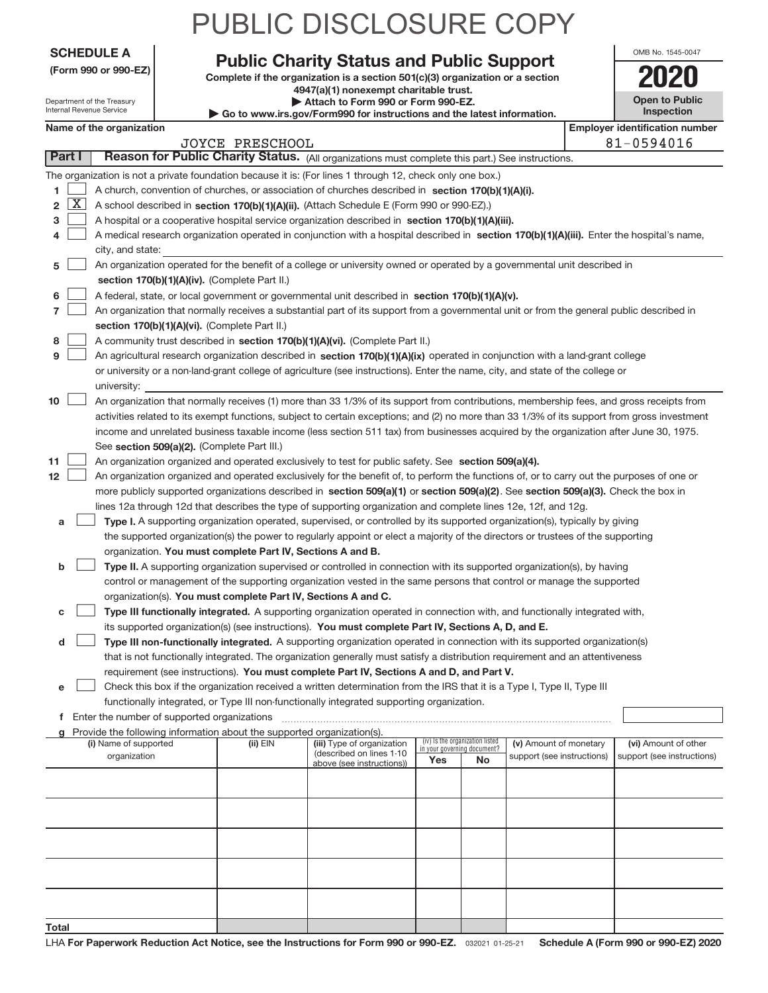| <b>SCHEDULE A</b> |  |  |
|-------------------|--|--|

Department of the Treasury Internal Revenue Service

|  |  | (Form 990 or 990-EZ) |  |
|--|--|----------------------|--|
|  |  |                      |  |

### **Public Charity Status and Public Support 2020**

PUBLIC DISCLOSURE COPY

Complete if the organization is a section 501(c)(3) organization or a section **4947(a)(1) nonexempt charitable trust. | Attach to Form 990 or Form 990‐EZ. | Go to www.irs.gov/Form990 for instructions and the latest information.**

| OMB No. 1545-0047                   |
|-------------------------------------|
|                                     |
| <b>Open to Public</b><br>Inspection |

|       | Name of the organization<br><b>Employer identification number</b> |                                                                                                                                                                                                                                                      |            |                                                        |                             |                                 |                            |  |                            |
|-------|-------------------------------------------------------------------|------------------------------------------------------------------------------------------------------------------------------------------------------------------------------------------------------------------------------------------------------|------------|--------------------------------------------------------|-----------------------------|---------------------------------|----------------------------|--|----------------------------|
|       | <b>JOYCE PRESCHOOL</b>                                            |                                                                                                                                                                                                                                                      |            |                                                        |                             |                                 | 81-0594016                 |  |                            |
|       | Part I                                                            | Reason for Public Charity Status. (All organizations must complete this part.) See instructions.                                                                                                                                                     |            |                                                        |                             |                                 |                            |  |                            |
|       |                                                                   | The organization is not a private foundation because it is: (For lines 1 through 12, check only one box.)                                                                                                                                            |            |                                                        |                             |                                 |                            |  |                            |
| 1     |                                                                   | A church, convention of churches, or association of churches described in section 170(b)(1)(A)(i).                                                                                                                                                   |            |                                                        |                             |                                 |                            |  |                            |
| 2     | X                                                                 | A school described in section 170(b)(1)(A)(ii). (Attach Schedule E (Form 990 or 990-EZ).)                                                                                                                                                            |            |                                                        |                             |                                 |                            |  |                            |
| з     |                                                                   | A hospital or a cooperative hospital service organization described in section 170(b)(1)(A)(iii).                                                                                                                                                    |            |                                                        |                             |                                 |                            |  |                            |
| 4     |                                                                   | A medical research organization operated in conjunction with a hospital described in section 170(b)(1)(A)(iii). Enter the hospital's name,                                                                                                           |            |                                                        |                             |                                 |                            |  |                            |
|       |                                                                   | city, and state:                                                                                                                                                                                                                                     |            |                                                        |                             |                                 |                            |  |                            |
| 5     |                                                                   | An organization operated for the benefit of a college or university owned or operated by a governmental unit described in                                                                                                                            |            |                                                        |                             |                                 |                            |  |                            |
|       |                                                                   | section 170(b)(1)(A)(iv). (Complete Part II.)                                                                                                                                                                                                        |            |                                                        |                             |                                 |                            |  |                            |
| 6     |                                                                   | A federal, state, or local government or governmental unit described in section 170(b)(1)(A)(v).                                                                                                                                                     |            |                                                        |                             |                                 |                            |  |                            |
| 7     |                                                                   | An organization that normally receives a substantial part of its support from a governmental unit or from the general public described in                                                                                                            |            |                                                        |                             |                                 |                            |  |                            |
|       |                                                                   | section 170(b)(1)(A)(vi). (Complete Part II.)                                                                                                                                                                                                        |            |                                                        |                             |                                 |                            |  |                            |
| 8     |                                                                   | A community trust described in section 170(b)(1)(A)(vi). (Complete Part II.)                                                                                                                                                                         |            |                                                        |                             |                                 |                            |  |                            |
| 9     |                                                                   | An agricultural research organization described in section 170(b)(1)(A)(ix) operated in conjunction with a land-grant college                                                                                                                        |            |                                                        |                             |                                 |                            |  |                            |
|       |                                                                   | or university or a non-land-grant college of agriculture (see instructions). Enter the name, city, and state of the college or                                                                                                                       |            |                                                        |                             |                                 |                            |  |                            |
|       |                                                                   | university:                                                                                                                                                                                                                                          |            |                                                        |                             |                                 |                            |  |                            |
| 10    |                                                                   | An organization that normally receives (1) more than 33 1/3% of its support from contributions, membership fees, and gross receipts from                                                                                                             |            |                                                        |                             |                                 |                            |  |                            |
|       |                                                                   | activities related to its exempt functions, subject to certain exceptions; and (2) no more than 33 1/3% of its support from gross investment                                                                                                         |            |                                                        |                             |                                 |                            |  |                            |
|       |                                                                   | income and unrelated business taxable income (less section 511 tax) from businesses acquired by the organization after June 30, 1975.                                                                                                                |            |                                                        |                             |                                 |                            |  |                            |
|       |                                                                   | See section 509(a)(2). (Complete Part III.)                                                                                                                                                                                                          |            |                                                        |                             |                                 |                            |  |                            |
| 11    |                                                                   | An organization organized and operated exclusively to test for public safety. See section 509(a)(4).                                                                                                                                                 |            |                                                        |                             |                                 |                            |  |                            |
| 12    |                                                                   | An organization organized and operated exclusively for the benefit of, to perform the functions of, or to carry out the purposes of one or                                                                                                           |            |                                                        |                             |                                 |                            |  |                            |
|       |                                                                   | more publicly supported organizations described in section 509(a)(1) or section 509(a)(2). See section 509(a)(3). Check the box in<br>lines 12a through 12d that describes the type of supporting organization and complete lines 12e, 12f, and 12g. |            |                                                        |                             |                                 |                            |  |                            |
| a     |                                                                   | Type I. A supporting organization operated, supervised, or controlled by its supported organization(s), typically by giving                                                                                                                          |            |                                                        |                             |                                 |                            |  |                            |
|       |                                                                   | the supported organization(s) the power to regularly appoint or elect a majority of the directors or trustees of the supporting                                                                                                                      |            |                                                        |                             |                                 |                            |  |                            |
|       |                                                                   | organization. You must complete Part IV, Sections A and B.                                                                                                                                                                                           |            |                                                        |                             |                                 |                            |  |                            |
| b     |                                                                   | Type II. A supporting organization supervised or controlled in connection with its supported organization(s), by having                                                                                                                              |            |                                                        |                             |                                 |                            |  |                            |
|       |                                                                   | control or management of the supporting organization vested in the same persons that control or manage the supported                                                                                                                                 |            |                                                        |                             |                                 |                            |  |                            |
|       |                                                                   | organization(s). You must complete Part IV, Sections A and C.                                                                                                                                                                                        |            |                                                        |                             |                                 |                            |  |                            |
| с     |                                                                   | Type III functionally integrated. A supporting organization operated in connection with, and functionally integrated with,                                                                                                                           |            |                                                        |                             |                                 |                            |  |                            |
|       |                                                                   | its supported organization(s) (see instructions). You must complete Part IV, Sections A, D, and E.                                                                                                                                                   |            |                                                        |                             |                                 |                            |  |                            |
| d     |                                                                   | Type III non-functionally integrated. A supporting organization operated in connection with its supported organization(s)                                                                                                                            |            |                                                        |                             |                                 |                            |  |                            |
|       |                                                                   | that is not functionally integrated. The organization generally must satisfy a distribution requirement and an attentiveness                                                                                                                         |            |                                                        |                             |                                 |                            |  |                            |
|       |                                                                   | requirement (see instructions). You must complete Part IV, Sections A and D, and Part V.                                                                                                                                                             |            |                                                        |                             |                                 |                            |  |                            |
| е     |                                                                   | Check this box if the organization received a written determination from the IRS that it is a Type I, Type II, Type III                                                                                                                              |            |                                                        |                             |                                 |                            |  |                            |
|       |                                                                   | functionally integrated, or Type III non-functionally integrated supporting organization.                                                                                                                                                            |            |                                                        |                             |                                 |                            |  |                            |
|       |                                                                   | f Enter the number of supported organizations                                                                                                                                                                                                        |            |                                                        |                             |                                 |                            |  |                            |
|       |                                                                   | Provide the following information about the supported organization(s).                                                                                                                                                                               |            |                                                        |                             |                                 |                            |  |                            |
|       |                                                                   | (i) Name of supported                                                                                                                                                                                                                                | $(ii)$ EIN | (iii) Type of organization<br>(described on lines 1-10 | in your governing document? | (iv) Is the organization listed | (v) Amount of monetary     |  | (vi) Amount of other       |
|       |                                                                   | organization                                                                                                                                                                                                                                         |            | above (see instructions))                              | Yes                         | No                              | support (see instructions) |  | support (see instructions) |
|       |                                                                   |                                                                                                                                                                                                                                                      |            |                                                        |                             |                                 |                            |  |                            |
|       |                                                                   |                                                                                                                                                                                                                                                      |            |                                                        |                             |                                 |                            |  |                            |
|       |                                                                   |                                                                                                                                                                                                                                                      |            |                                                        |                             |                                 |                            |  |                            |
|       |                                                                   |                                                                                                                                                                                                                                                      |            |                                                        |                             |                                 |                            |  |                            |
|       |                                                                   |                                                                                                                                                                                                                                                      |            |                                                        |                             |                                 |                            |  |                            |
|       |                                                                   |                                                                                                                                                                                                                                                      |            |                                                        |                             |                                 |                            |  |                            |
|       |                                                                   |                                                                                                                                                                                                                                                      |            |                                                        |                             |                                 |                            |  |                            |
|       |                                                                   |                                                                                                                                                                                                                                                      |            |                                                        |                             |                                 |                            |  |                            |
|       |                                                                   |                                                                                                                                                                                                                                                      |            |                                                        |                             |                                 |                            |  |                            |
|       |                                                                   |                                                                                                                                                                                                                                                      |            |                                                        |                             |                                 |                            |  |                            |
| Total |                                                                   |                                                                                                                                                                                                                                                      |            |                                                        |                             |                                 |                            |  |                            |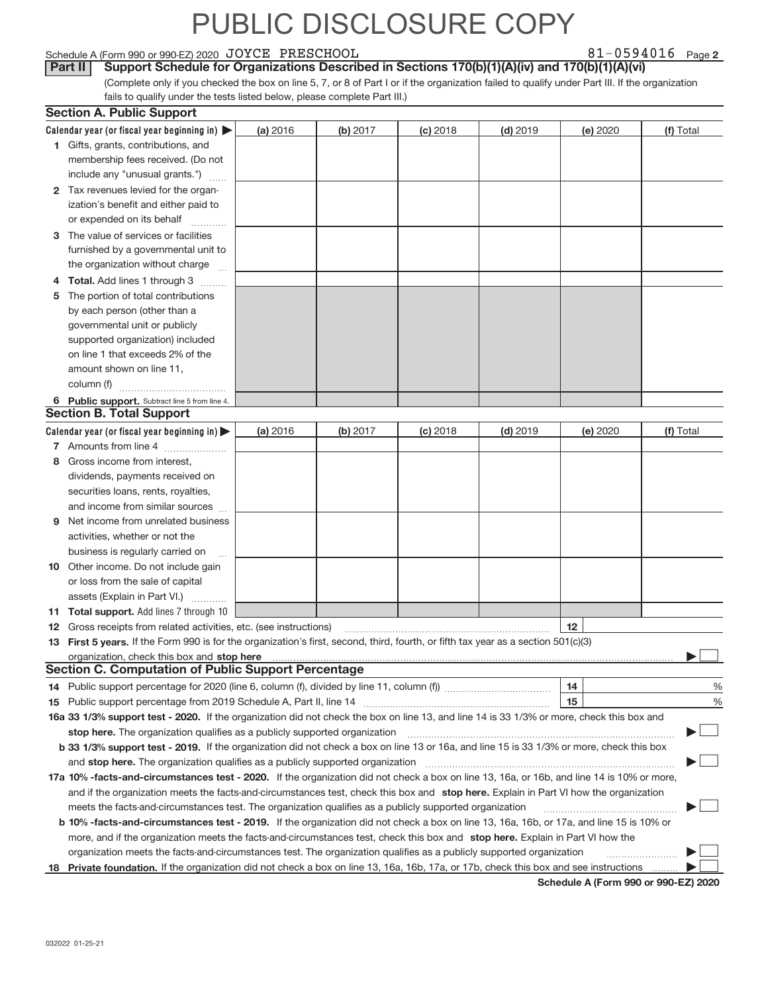#### Schedule A (Form 990 or 990‐EZ) 2020  $\rm\,JOYCE$   $\rm\,PRESCHOOL$   $\rm\,81-0594016$   $\rm\,Page$

81-0594016 Page 2

(Complete only if you checked the box on line 5, 7, or 8 of Part I or if the organization failed to qualify under Part III. If the organization fails to qualify under the tests listed below, please complete Part III.) **Part II** Support Schedule for Organizations Described in Sections 170(b)(1)(A)(iv) and 170(b)(1)(A)(vi)

|    | <b>Section A. Public Support</b>                                                                                                               |          |          |            |            |          |               |
|----|------------------------------------------------------------------------------------------------------------------------------------------------|----------|----------|------------|------------|----------|---------------|
|    | Calendar year (or fiscal year beginning in) $\blacktriangleright$                                                                              | (a) 2016 | (b) 2017 | $(c)$ 2018 | $(d)$ 2019 | (e) 2020 | (f) Total     |
|    | 1 Gifts, grants, contributions, and                                                                                                            |          |          |            |            |          |               |
|    | membership fees received. (Do not                                                                                                              |          |          |            |            |          |               |
|    | include any "unusual grants.")                                                                                                                 |          |          |            |            |          |               |
|    | 2 Tax revenues levied for the organ-                                                                                                           |          |          |            |            |          |               |
|    | ization's benefit and either paid to                                                                                                           |          |          |            |            |          |               |
|    | or expended on its behalf                                                                                                                      |          |          |            |            |          |               |
|    | 3 The value of services or facilities                                                                                                          |          |          |            |            |          |               |
|    | furnished by a governmental unit to                                                                                                            |          |          |            |            |          |               |
|    | the organization without charge                                                                                                                |          |          |            |            |          |               |
|    | Total. Add lines 1 through 3                                                                                                                   |          |          |            |            |          |               |
| 5  | The portion of total contributions                                                                                                             |          |          |            |            |          |               |
|    | by each person (other than a                                                                                                                   |          |          |            |            |          |               |
|    | governmental unit or publicly                                                                                                                  |          |          |            |            |          |               |
|    | supported organization) included                                                                                                               |          |          |            |            |          |               |
|    | on line 1 that exceeds 2% of the                                                                                                               |          |          |            |            |          |               |
|    | amount shown on line 11,                                                                                                                       |          |          |            |            |          |               |
|    | column (f)                                                                                                                                     |          |          |            |            |          |               |
|    | 6 Public support. Subtract line 5 from line 4.                                                                                                 |          |          |            |            |          |               |
|    | <b>Section B. Total Support</b>                                                                                                                |          |          |            |            |          |               |
|    | Calendar year (or fiscal year beginning in)                                                                                                    | (a) 2016 | (b) 2017 | $(c)$ 2018 | $(d)$ 2019 | (e) 2020 | (f) Total     |
|    | 7 Amounts from line 4                                                                                                                          |          |          |            |            |          |               |
| 8  | Gross income from interest,                                                                                                                    |          |          |            |            |          |               |
|    | dividends, payments received on                                                                                                                |          |          |            |            |          |               |
|    | securities loans, rents, royalties,                                                                                                            |          |          |            |            |          |               |
|    | and income from similar sources                                                                                                                |          |          |            |            |          |               |
| 9  | Net income from unrelated business                                                                                                             |          |          |            |            |          |               |
|    | activities, whether or not the                                                                                                                 |          |          |            |            |          |               |
|    | business is regularly carried on                                                                                                               |          |          |            |            |          |               |
|    | <b>10</b> Other income. Do not include gain                                                                                                    |          |          |            |            |          |               |
|    | or loss from the sale of capital                                                                                                               |          |          |            |            |          |               |
|    | assets (Explain in Part VI.)                                                                                                                   |          |          |            |            |          |               |
|    | 11 Total support. Add lines 7 through 10                                                                                                       |          |          |            |            |          |               |
|    | 12 Gross receipts from related activities, etc. (see instructions)                                                                             |          |          |            |            | 12       |               |
|    | 13 First 5 years. If the Form 990 is for the organization's first, second, third, fourth, or fifth tax year as a section 501(c)(3)             |          |          |            |            |          |               |
|    |                                                                                                                                                |          |          |            |            |          |               |
|    | <b>Section C. Computation of Public Support Percentage</b>                                                                                     |          |          |            |            |          |               |
|    | 14 Public support percentage for 2020 (line 6, column (f), divided by line 11, column (f) <i>marroummaname</i>                                 |          |          |            |            | 14       | $\frac{0}{0}$ |
|    |                                                                                                                                                |          |          |            |            | 15       | %             |
|    | 16a 33 1/3% support test - 2020. If the organization did not check the box on line 13, and line 14 is 33 1/3% or more, check this box and      |          |          |            |            |          |               |
|    | stop here. The organization qualifies as a publicly supported organization                                                                     |          |          |            |            |          |               |
|    | b 33 1/3% support test - 2019. If the organization did not check a box on line 13 or 16a, and line 15 is 33 1/3% or more, check this box       |          |          |            |            |          |               |
|    | and stop here. The organization qualifies as a publicly supported organization                                                                 |          |          |            |            |          |               |
|    | 17a 10% -facts-and-circumstances test - 2020. If the organization did not check a box on line 13, 16a, or 16b, and line 14 is 10% or more,     |          |          |            |            |          |               |
|    | and if the organization meets the facts-and-circumstances test, check this box and stop here. Explain in Part VI how the organization          |          |          |            |            |          |               |
|    | meets the facts-and-circumstances test. The organization qualifies as a publicly supported organization                                        |          |          |            |            |          |               |
|    | <b>b 10% -facts-and-circumstances test - 2019.</b> If the organization did not check a box on line 13, 16a, 16b, or 17a, and line 15 is 10% or |          |          |            |            |          |               |
|    | more, and if the organization meets the facts-and-circumstances test, check this box and stop here. Explain in Part VI how the                 |          |          |            |            |          |               |
|    | organization meets the facts-and-circumstances test. The organization qualifies as a publicly supported organization                           |          |          |            |            |          |               |
| 18 | Private foundation. If the organization did not check a box on line 13, 16a, 16b, 17a, or 17b, check this box and see instructions             |          |          |            |            |          |               |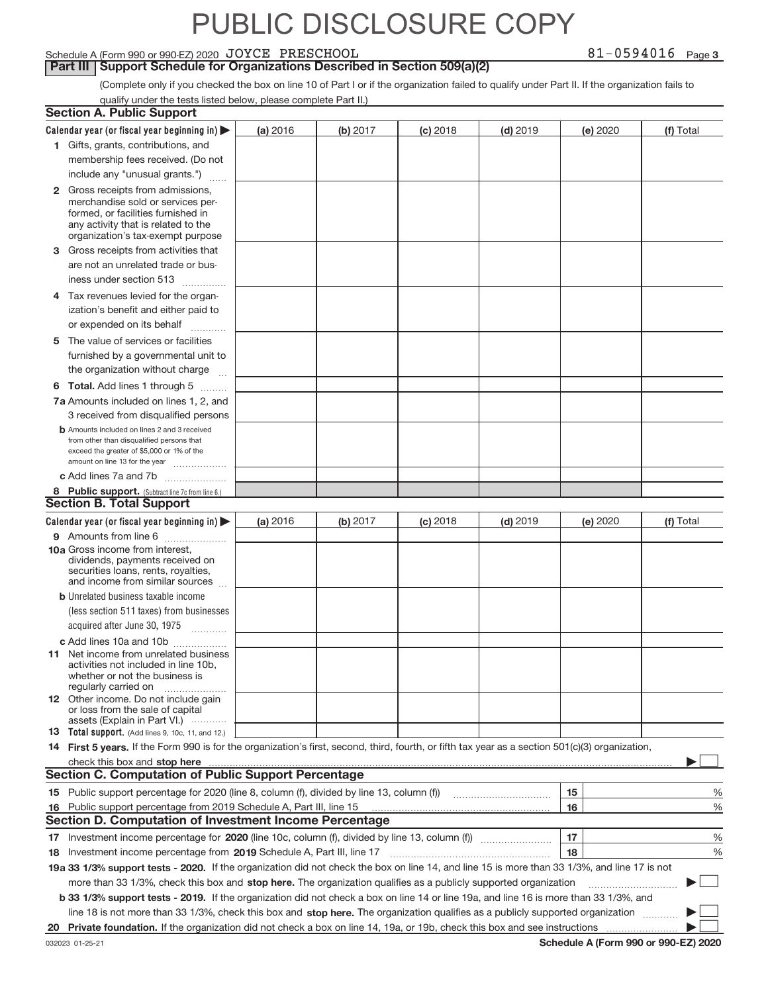#### Schedule A (Form 990 or 990‐EZ) 2020  $\rm\,JOYCE$   $\rm\,PRESCHOOL$   $\rm\,81-0594016$   $\rm\,Page$

**Part III | Support Schedule for Organizations Described in Section 509(a)(2)** 

(Complete only if you checked the box on line 10 of Part I or if the organization failed to qualify under Part II. If the organization fails to qualify under the tests listed below, please complete Part II.)

|    | <b>Section A. Public Support</b>                                                                                                                                                                                                                          |          |          |            |            |          |           |
|----|-----------------------------------------------------------------------------------------------------------------------------------------------------------------------------------------------------------------------------------------------------------|----------|----------|------------|------------|----------|-----------|
|    | Calendar year (or fiscal year beginning in) $\blacktriangleright$                                                                                                                                                                                         | (a) 2016 | (b) 2017 | $(c)$ 2018 | $(d)$ 2019 | (e) 2020 | (f) Total |
|    | 1 Gifts, grants, contributions, and                                                                                                                                                                                                                       |          |          |            |            |          |           |
|    | membership fees received. (Do not                                                                                                                                                                                                                         |          |          |            |            |          |           |
|    | include any "unusual grants.")                                                                                                                                                                                                                            |          |          |            |            |          |           |
|    | 2 Gross receipts from admissions,<br>merchandise sold or services per-<br>formed, or facilities furnished in<br>any activity that is related to the                                                                                                       |          |          |            |            |          |           |
|    | organization's tax-exempt purpose                                                                                                                                                                                                                         |          |          |            |            |          |           |
|    | 3 Gross receipts from activities that                                                                                                                                                                                                                     |          |          |            |            |          |           |
|    | are not an unrelated trade or bus-                                                                                                                                                                                                                        |          |          |            |            |          |           |
|    | iness under section 513<br>.                                                                                                                                                                                                                              |          |          |            |            |          |           |
|    | 4 Tax revenues levied for the organ-                                                                                                                                                                                                                      |          |          |            |            |          |           |
|    | ization's benefit and either paid to                                                                                                                                                                                                                      |          |          |            |            |          |           |
|    | or expended on its behalf<br>.                                                                                                                                                                                                                            |          |          |            |            |          |           |
|    | 5 The value of services or facilities                                                                                                                                                                                                                     |          |          |            |            |          |           |
|    | furnished by a governmental unit to                                                                                                                                                                                                                       |          |          |            |            |          |           |
|    | the organization without charge                                                                                                                                                                                                                           |          |          |            |            |          |           |
|    | <b>6 Total.</b> Add lines 1 through 5 $\ldots$                                                                                                                                                                                                            |          |          |            |            |          |           |
|    | 7a Amounts included on lines 1, 2, and                                                                                                                                                                                                                    |          |          |            |            |          |           |
|    | 3 received from disqualified persons                                                                                                                                                                                                                      |          |          |            |            |          |           |
|    | <b>b</b> Amounts included on lines 2 and 3 received<br>from other than disqualified persons that<br>exceed the greater of \$5,000 or 1% of the                                                                                                            |          |          |            |            |          |           |
|    | amount on line 13 for the year                                                                                                                                                                                                                            |          |          |            |            |          |           |
|    | c Add lines 7a and 7b                                                                                                                                                                                                                                     |          |          |            |            |          |           |
|    | 8 Public support. (Subtract line 7c from line 6.)<br><b>Section B. Total Support</b>                                                                                                                                                                      |          |          |            |            |          |           |
|    |                                                                                                                                                                                                                                                           |          |          |            |            |          |           |
|    | Calendar year (or fiscal year beginning in)                                                                                                                                                                                                               | (a) 2016 | (b) 2017 | $(c)$ 2018 | $(d)$ 2019 | (e) 2020 | (f) Total |
|    | 9 Amounts from line 6                                                                                                                                                                                                                                     |          |          |            |            |          |           |
|    | 10a Gross income from interest,<br>dividends, payments received on<br>securities loans, rents, royalties,<br>and income from similar sources                                                                                                              |          |          |            |            |          |           |
|    | <b>b</b> Unrelated business taxable income                                                                                                                                                                                                                |          |          |            |            |          |           |
|    | (less section 511 taxes) from businesses                                                                                                                                                                                                                  |          |          |            |            |          |           |
|    | acquired after June 30, 1975<br>$\overline{\phantom{a}}$                                                                                                                                                                                                  |          |          |            |            |          |           |
|    | c Add lines 10a and 10b                                                                                                                                                                                                                                   |          |          |            |            |          |           |
|    | <b>11</b> Net income from unrelated business<br>activities not included in line 10b,<br>whether or not the business is<br>regularly carried on                                                                                                            |          |          |            |            |          |           |
|    | <b>12</b> Other income. Do not include gain<br>or loss from the sale of capital<br>assets (Explain in Part VI.)                                                                                                                                           |          |          |            |            |          |           |
|    | 13 Total support. (Add lines 9, 10c, 11, and 12.)                                                                                                                                                                                                         |          |          |            |            |          |           |
|    | 14 First 5 years. If the Form 990 is for the organization's first, second, third, fourth, or fifth tax year as a section 501(c)(3) organization,                                                                                                          |          |          |            |            |          |           |
|    | check this box and stop here <i>manufactured and stop here</i> and stop here and stop here and stop here and stop here and stop here and stop here and stop here and stop here and stop here and stop here and stop here and stop h                       |          |          |            |            |          |           |
|    | <b>Section C. Computation of Public Support Percentage</b>                                                                                                                                                                                                |          |          |            |            |          |           |
|    | 15 Public support percentage for 2020 (line 8, column (f), divided by line 13, column (f))                                                                                                                                                                |          |          |            |            | 15       | ℀         |
|    | 16 Public support percentage from 2019 Schedule A, Part III, line 15                                                                                                                                                                                      |          |          |            |            | 16       | %         |
|    | <b>Section D. Computation of Investment Income Percentage</b>                                                                                                                                                                                             |          |          |            |            |          |           |
|    |                                                                                                                                                                                                                                                           |          |          |            |            | 17       | ℀         |
|    | 18 Investment income percentage from 2019 Schedule A, Part III, line 17                                                                                                                                                                                   |          |          |            |            | 18       | %         |
|    |                                                                                                                                                                                                                                                           |          |          |            |            |          |           |
|    | 19a 33 1/3% support tests - 2020. If the organization did not check the box on line 14, and line 15 is more than 33 1/3%, and line 17 is not                                                                                                              |          |          |            |            |          |           |
|    | more than 33 1/3%, check this box and stop here. The organization qualifies as a publicly supported organization<br>b 33 1/3% support tests - 2019. If the organization did not check a box on line 14 or line 19a, and line 16 is more than 33 1/3%, and |          |          |            |            |          |           |
|    | line 18 is not more than 33 1/3%, check this box and stop here. The organization qualifies as a publicly supported organization                                                                                                                           |          |          |            |            |          |           |
| 20 | Private foundation. If the organization did not check a box on line 14, 19a, or 19b, check this box and see instructions                                                                                                                                  |          |          |            |            |          |           |
|    |                                                                                                                                                                                                                                                           |          |          |            |            |          |           |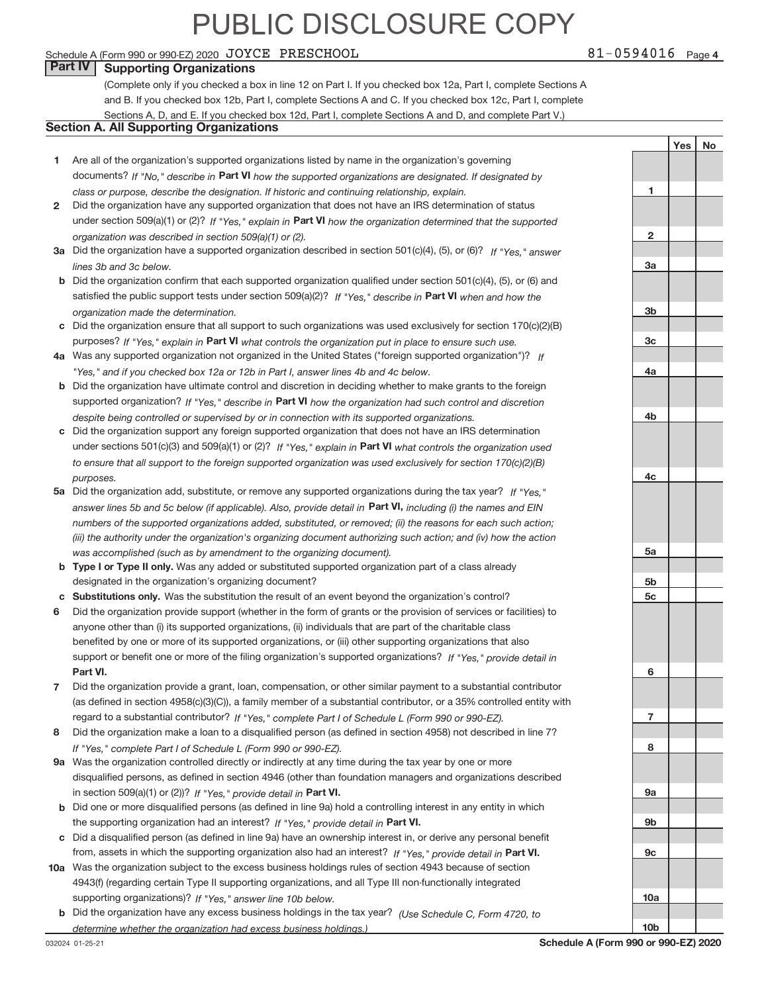#### Schedule A (Form 990 or 990‐EZ) 2020  $\rm\,JOYCE$   $\rm\,PRESCHOOL$   $\rm\,81-0594016$   $\rm\,Page$

### **Part IV Supporting Organizations**

(Complete only if you checked a box in line 12 on Part I. If you checked box 12a, Part I, complete Sections A and B. If you checked box 12b, Part I, complete Sections A and C. If you checked box 12c, Part I, complete Sections A, D, and E. If you checked box 12d, Part I, complete Sections A and D, and complete Part V.)

### **Section A. All Supporting Organizations**

- **1** Are all of the organization's supported organizations listed by name in the organization's governing documents? If "No," describe in Part VI how the supported organizations are designated. If designated by *class or purpose, describe the designation. If historic and continuing relationship, explain.*
- **2** under section 509(a)(1) or (2)? If "Yes," explain in Part VI how the organization determined that the supported *organization was described in section 509(a)(1) or (2).* Did the organization have any supported organization that does not have an IRS determination of status
- **3a** Did the organization have a supported organization described in section 501(c)(4), (5), or (6)? If "Yes," answer *lines 3b and 3c below.*
- **b** Did the organization confirm that each supported organization qualified under section 501(c)(4), (5), or (6) and satisfied the public support tests under section 509(a)(2)? If "Yes," describe in Part VI when and how the *organization made the determination.*
- **c** Did the organization ensure that all support to such organizations was used exclusively for section 170(c)(2)(B) purposes? If "Yes," explain in Part VI what controls the organization put in place to ensure such use.
- **4 a** *If* Was any supported organization not organized in the United States ("foreign supported organization")? *"Yes," and if you checked box 12a or 12b in Part I, answer lines 4b and 4c below.*
- **b** Did the organization have ultimate control and discretion in deciding whether to make grants to the foreign supported organization? If "Yes," describe in Part VI how the organization had such control and discretion *despite being controlled or supervised by or in connection with its supported organizations.*
- **c** Did the organization support any foreign supported organization that does not have an IRS determination under sections 501(c)(3) and 509(a)(1) or (2)? If "Yes," explain in Part VI what controls the organization used *to ensure that all support to the foreign supported organization was used exclusively for section 170(c)(2)(B) purposes.*
- **5a** Did the organization add, substitute, or remove any supported organizations during the tax year? If "Yes," answer lines 5b and 5c below (if applicable). Also, provide detail in Part VI, including (i) the names and EIN *numbers of the supported organizations added, substituted, or removed; (ii) the reasons for each such action; (iii) the authority under the organization's organizing document authorizing such action; and (iv) how the action was accomplished (such as by amendment to the organizing document).*
- **b** Type I or Type II only. Was any added or substituted supported organization part of a class already designated in the organization's organizing document?
- **c Substitutions only.**  Was the substitution the result of an event beyond the organization's control?
- **6** Did the organization provide support (whether in the form of grants or the provision of services or facilities) to **Part VI.** *If "Yes," provide detail in* support or benefit one or more of the filing organization's supported organizations? anyone other than (i) its supported organizations, (ii) individuals that are part of the charitable class benefited by one or more of its supported organizations, or (iii) other supporting organizations that also
- **7** regard to a substantial contributor? If "Yes," complete Part I of Schedule L (Form 990 or 990-EZ). Did the organization provide a grant, loan, compensation, or other similar payment to a substantial contributor (as defined in section 4958(c)(3)(C)), a family member of a substantial contributor, or a 35% controlled entity with
- **8** Did the organization make a loan to a disqualified person (as defined in section 4958) not described in line 7? *If "Yes," complete Part I of Schedule L (Form 990 or 990-EZ).*
- **9 a** Was the organization controlled directly or indirectly at any time during the tax year by one or more in section 509(a)(1) or (2))? If "Yes," provide detail in Part VI. disqualified persons, as defined in section 4946 (other than foundation managers and organizations described
- **b** the supporting organization had an interest? If "Yes," provide detail in Part VI. Did one or more disqualified persons (as defined in line 9a) hold a controlling interest in any entity in which
- **c** Did a disqualified person (as defined in line 9a) have an ownership interest in, or derive any personal benefit from, assets in which the supporting organization also had an interest? If "Yes," provide detail in Part VI.
- **10 a** Was the organization subject to the excess business holdings rules of section 4943 because of section supporting organizations)? If "Yes," answer line 10b below. 4943(f) (regarding certain Type II supporting organizations, and all Type III non‐functionally integrated
	- **b** Did the organization have any excess business holdings in the tax year? (Use Schedule C, Form 4720, to *determine whether the organization had excess business holdings.)*

**3a 3b 3c 4a 4b 4c 5a 5b 5c 6 7 8 9a 9b 9c 10a**

032024 01‐25‐21

**10b**

**1**

**2**

Yes | No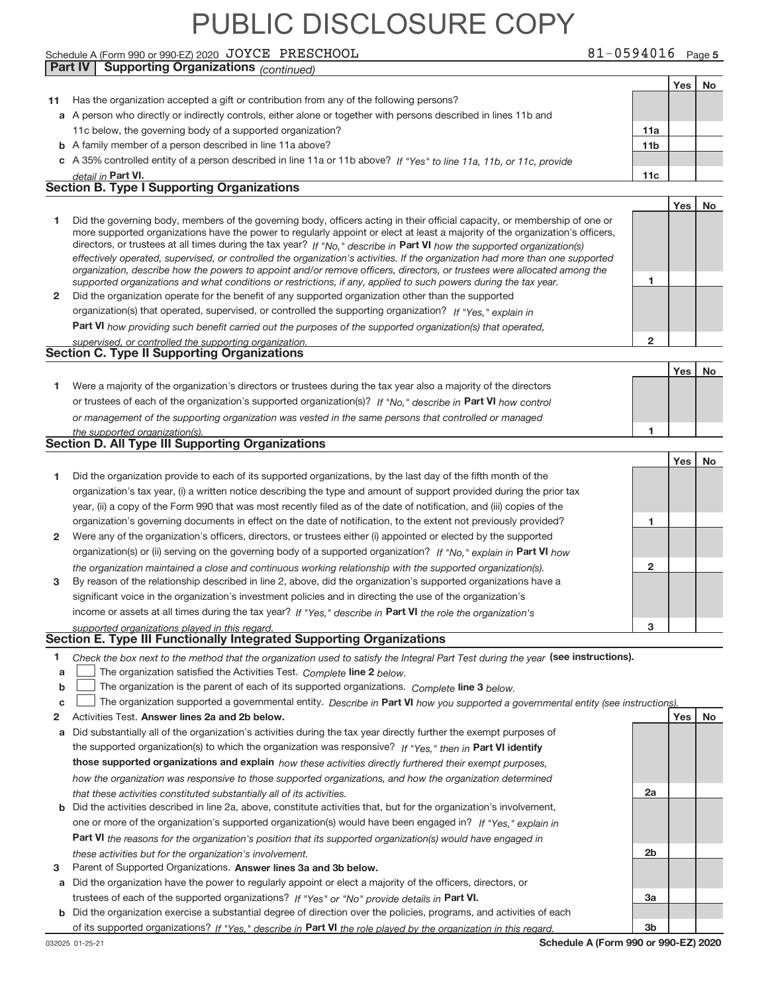#### Schedule A (Form 990 or 990‐EZ) 2020  $\rm\,JOYCE$   $\rm\,PRESCHOOL$   $\rm\,81-0594016$   $\rm\,Page$ **Part IV Supporting Organizations** *(continued)*

**11** Has the organization accepted a gift or contribution from any of the following persons?

**a** A person who directly or indirectly controls, either alone or together with persons described in lines 11b and

Yes | No

|              | 11c below, the governing body of a supported organization?                                                                                                                                                                                                                                                                                                                                                                                                                                                                                                                                                                                           | 11a             |     |    |
|--------------|------------------------------------------------------------------------------------------------------------------------------------------------------------------------------------------------------------------------------------------------------------------------------------------------------------------------------------------------------------------------------------------------------------------------------------------------------------------------------------------------------------------------------------------------------------------------------------------------------------------------------------------------------|-----------------|-----|----|
|              | <b>b</b> A family member of a person described in line 11a above?                                                                                                                                                                                                                                                                                                                                                                                                                                                                                                                                                                                    | 11 <sub>b</sub> |     |    |
|              | c A 35% controlled entity of a person described in line 11a or 11b above? If "Yes" to line 11a, 11b, or 11c, provide                                                                                                                                                                                                                                                                                                                                                                                                                                                                                                                                 |                 |     |    |
|              | detail in Part VI.                                                                                                                                                                                                                                                                                                                                                                                                                                                                                                                                                                                                                                   | 11c             |     |    |
|              | <b>Section B. Type I Supporting Organizations</b>                                                                                                                                                                                                                                                                                                                                                                                                                                                                                                                                                                                                    |                 |     |    |
|              |                                                                                                                                                                                                                                                                                                                                                                                                                                                                                                                                                                                                                                                      |                 | Yes | No |
| 1            | Did the governing body, members of the governing body, officers acting in their official capacity, or membership of one or<br>more supported organizations have the power to regularly appoint or elect at least a majority of the organization's officers,<br>directors, or trustees at all times during the tax year? If "No," describe in Part VI how the supported organization(s)<br>effectively operated, supervised, or controlled the organization's activities. If the organization had more than one supported<br>organization, describe how the powers to appoint and/or remove officers, directors, or trustees were allocated among the |                 |     |    |
|              | supported organizations and what conditions or restrictions, if any, applied to such powers during the tax year.                                                                                                                                                                                                                                                                                                                                                                                                                                                                                                                                     | 1               |     |    |
| 2            | Did the organization operate for the benefit of any supported organization other than the supported                                                                                                                                                                                                                                                                                                                                                                                                                                                                                                                                                  |                 |     |    |
|              | organization(s) that operated, supervised, or controlled the supporting organization? If "Yes," explain in                                                                                                                                                                                                                                                                                                                                                                                                                                                                                                                                           |                 |     |    |
|              | Part VI how providing such benefit carried out the purposes of the supported organization(s) that operated,                                                                                                                                                                                                                                                                                                                                                                                                                                                                                                                                          |                 |     |    |
|              | supervised, or controlled the supporting organization.                                                                                                                                                                                                                                                                                                                                                                                                                                                                                                                                                                                               | 2               |     |    |
|              | <b>Section C. Type II Supporting Organizations</b>                                                                                                                                                                                                                                                                                                                                                                                                                                                                                                                                                                                                   |                 |     |    |
|              |                                                                                                                                                                                                                                                                                                                                                                                                                                                                                                                                                                                                                                                      |                 | Yes | No |
| 1.           | Were a majority of the organization's directors or trustees during the tax year also a majority of the directors                                                                                                                                                                                                                                                                                                                                                                                                                                                                                                                                     |                 |     |    |
|              | or trustees of each of the organization's supported organization(s)? If "No." describe in Part VI how control                                                                                                                                                                                                                                                                                                                                                                                                                                                                                                                                        |                 |     |    |
|              | or management of the supporting organization was vested in the same persons that controlled or managed                                                                                                                                                                                                                                                                                                                                                                                                                                                                                                                                               |                 |     |    |
|              | the supported organization(s).                                                                                                                                                                                                                                                                                                                                                                                                                                                                                                                                                                                                                       | 1               |     |    |
|              | <b>Section D. All Type III Supporting Organizations</b>                                                                                                                                                                                                                                                                                                                                                                                                                                                                                                                                                                                              |                 |     |    |
|              |                                                                                                                                                                                                                                                                                                                                                                                                                                                                                                                                                                                                                                                      |                 | Yes | No |
| 1            | Did the organization provide to each of its supported organizations, by the last day of the fifth month of the                                                                                                                                                                                                                                                                                                                                                                                                                                                                                                                                       |                 |     |    |
|              | organization's tax year, (i) a written notice describing the type and amount of support provided during the prior tax                                                                                                                                                                                                                                                                                                                                                                                                                                                                                                                                |                 |     |    |
|              | year, (ii) a copy of the Form 990 that was most recently filed as of the date of notification, and (iii) copies of the                                                                                                                                                                                                                                                                                                                                                                                                                                                                                                                               |                 |     |    |
|              | organization's governing documents in effect on the date of notification, to the extent not previously provided?                                                                                                                                                                                                                                                                                                                                                                                                                                                                                                                                     | 1               |     |    |
| $\mathbf{2}$ | Were any of the organization's officers, directors, or trustees either (i) appointed or elected by the supported                                                                                                                                                                                                                                                                                                                                                                                                                                                                                                                                     |                 |     |    |
|              | organization(s) or (ii) serving on the governing body of a supported organization? If "No," explain in Part VI how                                                                                                                                                                                                                                                                                                                                                                                                                                                                                                                                   |                 |     |    |
|              | the organization maintained a close and continuous working relationship with the supported organization(s).                                                                                                                                                                                                                                                                                                                                                                                                                                                                                                                                          | 2               |     |    |
| 3            | By reason of the relationship described in line 2, above, did the organization's supported organizations have a                                                                                                                                                                                                                                                                                                                                                                                                                                                                                                                                      |                 |     |    |
|              | significant voice in the organization's investment policies and in directing the use of the organization's                                                                                                                                                                                                                                                                                                                                                                                                                                                                                                                                           |                 |     |    |
|              | income or assets at all times during the tax year? If "Yes," describe in Part VI the role the organization's                                                                                                                                                                                                                                                                                                                                                                                                                                                                                                                                         |                 |     |    |
|              | supported organizations played in this regard.                                                                                                                                                                                                                                                                                                                                                                                                                                                                                                                                                                                                       | з               |     |    |
|              | Section E. Type III Functionally Integrated Supporting Organizations                                                                                                                                                                                                                                                                                                                                                                                                                                                                                                                                                                                 |                 |     |    |
| 1.           | Check the box next to the method that the organization used to satisfy the Integral Part Test during the year (see instructions).                                                                                                                                                                                                                                                                                                                                                                                                                                                                                                                    |                 |     |    |
| a            | The organization satisfied the Activities Test. Complete line 2 below.                                                                                                                                                                                                                                                                                                                                                                                                                                                                                                                                                                               |                 |     |    |
| b            | The organization is the parent of each of its supported organizations. Complete line 3 below.                                                                                                                                                                                                                                                                                                                                                                                                                                                                                                                                                        |                 |     |    |
| C            | The organization supported a governmental entity. Describe in Part VI how you supported a governmental entity (see instructions).                                                                                                                                                                                                                                                                                                                                                                                                                                                                                                                    |                 |     |    |
| 2            | Activities Test. Answer lines 2a and 2b below.                                                                                                                                                                                                                                                                                                                                                                                                                                                                                                                                                                                                       |                 | Yes | No |
| a            | Did substantially all of the organization's activities during the tax year directly further the exempt purposes of                                                                                                                                                                                                                                                                                                                                                                                                                                                                                                                                   |                 |     |    |
|              | the supported organization(s) to which the organization was responsive? If "Yes," then in Part VI identify                                                                                                                                                                                                                                                                                                                                                                                                                                                                                                                                           |                 |     |    |
|              | those supported organizations and explain how these activities directly furthered their exempt purposes,                                                                                                                                                                                                                                                                                                                                                                                                                                                                                                                                             |                 |     |    |
|              | how the organization was responsive to those supported organizations, and how the organization determined                                                                                                                                                                                                                                                                                                                                                                                                                                                                                                                                            |                 |     |    |
|              | that these activities constituted substantially all of its activities.                                                                                                                                                                                                                                                                                                                                                                                                                                                                                                                                                                               | 2a              |     |    |
| b            | Did the activities described in line 2a, above, constitute activities that, but for the organization's involvement,                                                                                                                                                                                                                                                                                                                                                                                                                                                                                                                                  |                 |     |    |
|              | one or more of the organization's supported organization(s) would have been engaged in? If "Yes," explain in                                                                                                                                                                                                                                                                                                                                                                                                                                                                                                                                         |                 |     |    |
|              | <b>Part VI</b> the reasons for the organization's position that its supported organization(s) would have engaged in                                                                                                                                                                                                                                                                                                                                                                                                                                                                                                                                  |                 |     |    |
|              | these activities but for the organization's involvement.                                                                                                                                                                                                                                                                                                                                                                                                                                                                                                                                                                                             | 2b              |     |    |
| 3            | Parent of Supported Organizations. Answer lines 3a and 3b below.                                                                                                                                                                                                                                                                                                                                                                                                                                                                                                                                                                                     |                 |     |    |
| а            | Did the organization have the power to regularly appoint or elect a majority of the officers, directors, or                                                                                                                                                                                                                                                                                                                                                                                                                                                                                                                                          |                 |     |    |
|              | trustees of each of the supported organizations? If "Yes" or "No" provide details in Part VI.                                                                                                                                                                                                                                                                                                                                                                                                                                                                                                                                                        | За              |     |    |
| b            | Did the organization exercise a substantial degree of direction over the policies, programs, and activities of each                                                                                                                                                                                                                                                                                                                                                                                                                                                                                                                                  |                 |     |    |
|              | of its supported organizations? If "Yes," describe in Part VI the role played by the organization in this regard.                                                                                                                                                                                                                                                                                                                                                                                                                                                                                                                                    | 3b              |     |    |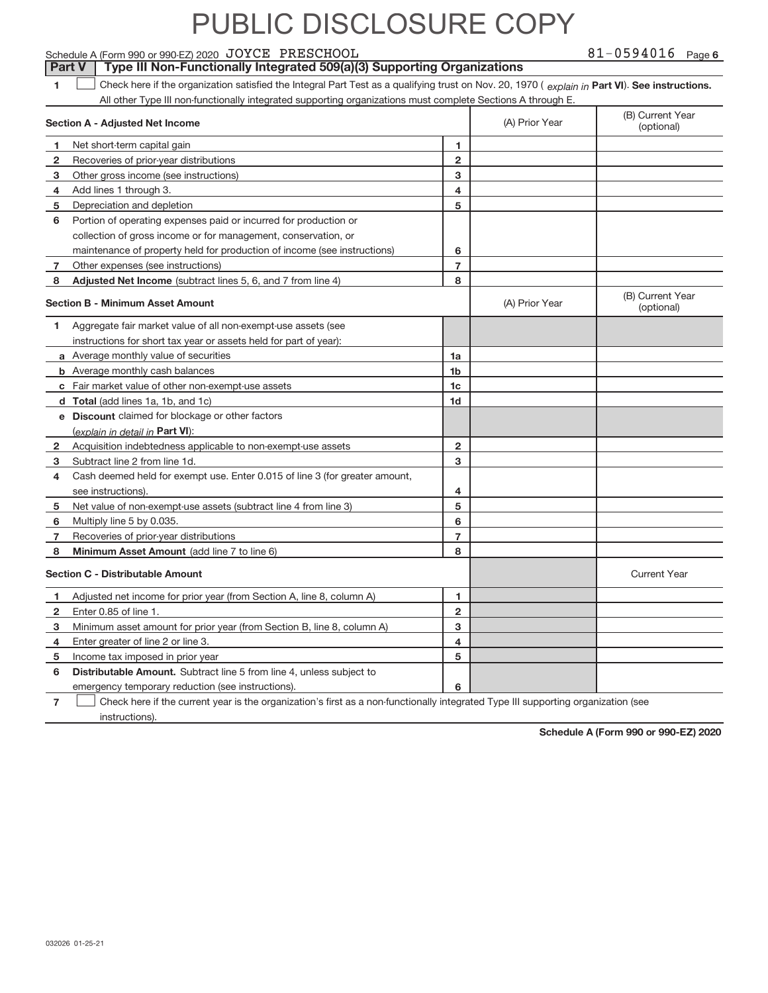Schedule A (Form 990 or 990‐EZ) 2020  $\rm\,JOYCE$   $\rm\,PRESCHOOL$   $\rm\,81-0594016$   $\rm\,Page$ 

**Part V** | Type III Non-Functionally Integrated 509(a)(3) Supporting Organizations

81-0594016 Page 6

**1**  $\Box$  Check here if the organization satisfied the Integral Part Test as a qualifying trust on Nov. 20, 1970 ( explain in Part VI). See instructions. All other Type III non‐functionally integrated supporting organizations must complete Sections A through E.  $\overline{\phantom{a}}$ 

|              | Section A - Adjusted Net Income                                             |                | (A) Prior Year | (B) Current Year<br>(optional) |
|--------------|-----------------------------------------------------------------------------|----------------|----------------|--------------------------------|
| 1            | Net short-term capital gain                                                 | 1              |                |                                |
| 2            | Recoveries of prior-year distributions                                      | $\overline{2}$ |                |                                |
| 3            | Other gross income (see instructions)                                       | 3              |                |                                |
| 4            | Add lines 1 through 3.                                                      | 4              |                |                                |
| 5            | Depreciation and depletion                                                  | 5              |                |                                |
| 6            | Portion of operating expenses paid or incurred for production or            |                |                |                                |
|              | collection of gross income or for management, conservation, or              |                |                |                                |
|              | maintenance of property held for production of income (see instructions)    | 6              |                |                                |
| 7            | Other expenses (see instructions)                                           | $\overline{7}$ |                |                                |
| 8            | Adjusted Net Income (subtract lines 5, 6, and 7 from line 4)                | 8              |                |                                |
|              | <b>Section B - Minimum Asset Amount</b>                                     |                | (A) Prior Year | (B) Current Year<br>(optional) |
| 1            | Aggregate fair market value of all non-exempt-use assets (see               |                |                |                                |
|              | instructions for short tax year or assets held for part of year):           |                |                |                                |
|              | a Average monthly value of securities                                       | 1a             |                |                                |
|              | <b>b</b> Average monthly cash balances                                      | 1 <sub>b</sub> |                |                                |
|              | c Fair market value of other non-exempt-use assets                          | 1 <sub>c</sub> |                |                                |
|              | d Total (add lines 1a, 1b, and 1c)                                          | 1d             |                |                                |
|              | <b>e</b> Discount claimed for blockage or other factors                     |                |                |                                |
|              | (explain in detail in Part VI):                                             |                |                |                                |
| $\mathbf{2}$ | Acquisition indebtedness applicable to non-exempt-use assets                | $\overline{2}$ |                |                                |
| 3            | Subtract line 2 from line 1d.                                               | 3              |                |                                |
| 4            | Cash deemed held for exempt use. Enter 0.015 of line 3 (for greater amount, |                |                |                                |
|              | see instructions).                                                          | 4              |                |                                |
| 5            | Net value of non-exempt-use assets (subtract line 4 from line 3)            | 5              |                |                                |
| 6            | Multiply line 5 by 0.035.                                                   | 6              |                |                                |
| 7            | Recoveries of prior-year distributions                                      | $\overline{7}$ |                |                                |
| 8            | Minimum Asset Amount (add line 7 to line 6)                                 | 8              |                |                                |
|              | <b>Section C - Distributable Amount</b>                                     |                |                | <b>Current Year</b>            |
| 1            | Adjusted net income for prior year (from Section A, line 8, column A)       | 1              |                |                                |
| $\mathbf{2}$ | Enter 0.85 of line 1.                                                       | $\overline{2}$ |                |                                |
| 3            | Minimum asset amount for prior year (from Section B, line 8, column A)      | 3              |                |                                |
| 4            | Enter greater of line 2 or line 3.                                          | 4              |                |                                |
| 5            | Income tax imposed in prior year                                            | 5              |                |                                |
| 6            | Distributable Amount. Subtract line 5 from line 4, unless subject to        |                |                |                                |
|              | emergency temporary reduction (see instructions).                           | 6              |                |                                |
|              |                                                                             |                |                |                                |

**7** Check here if the current year is the organization's first as a non-functionally integrated Type III supporting organization (see instructions).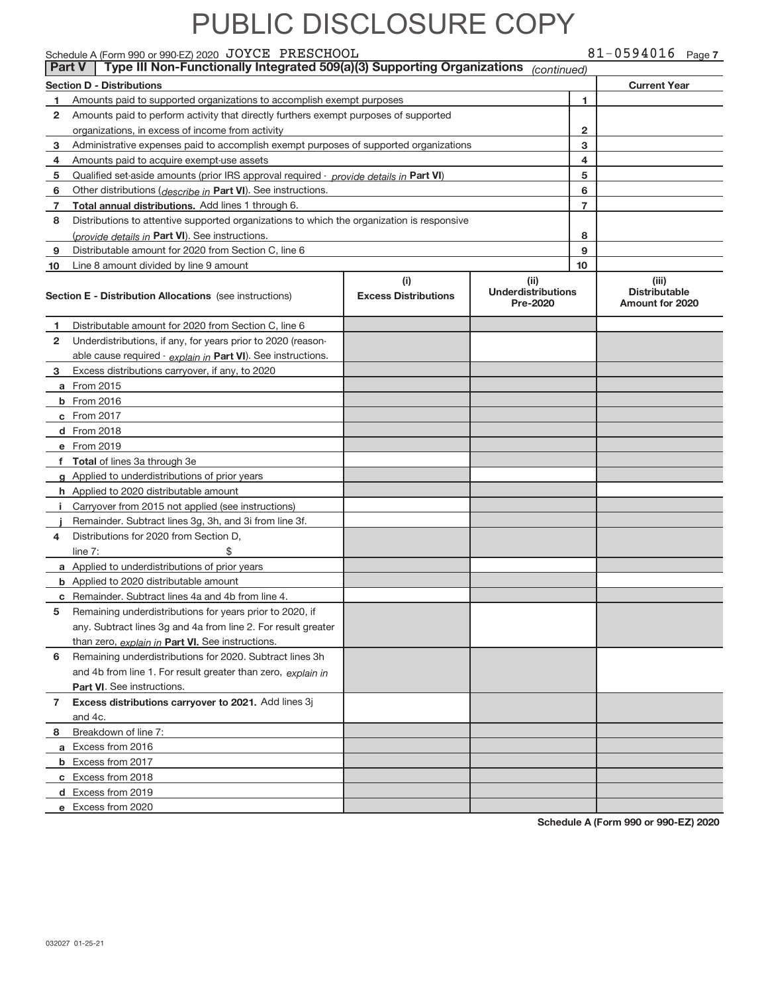Schedule A (Form 990 or 990‐EZ) 2020  $\rm\,JOYCE$   $\rm\,PRESCHOOL$   $\rm\,81-0594016$   $\rm\,Page$ 

|    | Type III Non-Functionally Integrated 509(a)(3) Supporting Organizations<br><b>Part V</b><br>(continued) |                             |                                       |                                                |  |  |  |  |
|----|---------------------------------------------------------------------------------------------------------|-----------------------------|---------------------------------------|------------------------------------------------|--|--|--|--|
|    | <b>Section D - Distributions</b><br><b>Current Year</b>                                                 |                             |                                       |                                                |  |  |  |  |
| 1  | Amounts paid to supported organizations to accomplish exempt purposes                                   |                             | 1                                     |                                                |  |  |  |  |
| 2  | Amounts paid to perform activity that directly furthers exempt purposes of supported                    |                             |                                       |                                                |  |  |  |  |
|    | organizations, in excess of income from activity                                                        |                             | 2                                     |                                                |  |  |  |  |
| 3  | Administrative expenses paid to accomplish exempt purposes of supported organizations                   |                             | 3                                     |                                                |  |  |  |  |
| 4  | Amounts paid to acquire exempt-use assets                                                               |                             | 4                                     |                                                |  |  |  |  |
| 5  | Qualified set-aside amounts (prior IRS approval required - provide details in Part VI)                  |                             | 5                                     |                                                |  |  |  |  |
| 6  | Other distributions ( <i>describe in</i> Part VI). See instructions.                                    |                             | 6                                     |                                                |  |  |  |  |
| 7  | Total annual distributions. Add lines 1 through 6.                                                      |                             | $\overline{7}$                        |                                                |  |  |  |  |
| 8  | Distributions to attentive supported organizations to which the organization is responsive              |                             |                                       |                                                |  |  |  |  |
|    | (provide details in Part VI). See instructions.                                                         |                             | 8                                     |                                                |  |  |  |  |
| 9  | Distributable amount for 2020 from Section C, line 6                                                    |                             | 9                                     |                                                |  |  |  |  |
| 10 | Line 8 amount divided by line 9 amount                                                                  |                             | 10                                    |                                                |  |  |  |  |
|    |                                                                                                         | (i)                         | (iii)                                 | (iii)                                          |  |  |  |  |
|    | <b>Section E - Distribution Allocations</b> (see instructions)                                          | <b>Excess Distributions</b> | <b>Underdistributions</b><br>Pre-2020 | <b>Distributable</b><br><b>Amount for 2020</b> |  |  |  |  |
| 1  | Distributable amount for 2020 from Section C, line 6                                                    |                             |                                       |                                                |  |  |  |  |
| 2  | Underdistributions, if any, for years prior to 2020 (reason-                                            |                             |                                       |                                                |  |  |  |  |
|    | able cause required - explain in Part VI). See instructions.                                            |                             |                                       |                                                |  |  |  |  |
| 3  | Excess distributions carryover, if any, to 2020                                                         |                             |                                       |                                                |  |  |  |  |
|    | <b>a</b> From 2015                                                                                      |                             |                                       |                                                |  |  |  |  |
|    | <b>b</b> From 2016                                                                                      |                             |                                       |                                                |  |  |  |  |
|    | c From 2017                                                                                             |                             |                                       |                                                |  |  |  |  |
|    | d From 2018                                                                                             |                             |                                       |                                                |  |  |  |  |
|    | e From 2019                                                                                             |                             |                                       |                                                |  |  |  |  |
|    | f Total of lines 3a through 3e                                                                          |                             |                                       |                                                |  |  |  |  |
|    | g Applied to underdistributions of prior years                                                          |                             |                                       |                                                |  |  |  |  |
|    | <b>h</b> Applied to 2020 distributable amount                                                           |                             |                                       |                                                |  |  |  |  |
|    | <i>i</i> Carryover from 2015 not applied (see instructions)                                             |                             |                                       |                                                |  |  |  |  |
|    | Remainder. Subtract lines 3g, 3h, and 3i from line 3f.                                                  |                             |                                       |                                                |  |  |  |  |
| 4  | Distributions for 2020 from Section D,                                                                  |                             |                                       |                                                |  |  |  |  |
|    | line $7:$<br>\$                                                                                         |                             |                                       |                                                |  |  |  |  |
|    | a Applied to underdistributions of prior years                                                          |                             |                                       |                                                |  |  |  |  |
|    | <b>b</b> Applied to 2020 distributable amount                                                           |                             |                                       |                                                |  |  |  |  |
|    | c Remainder. Subtract lines 4a and 4b from line 4.                                                      |                             |                                       |                                                |  |  |  |  |
|    | 5 Remaining underdistributions for years prior to 2020, if                                              |                             |                                       |                                                |  |  |  |  |
|    | any. Subtract lines 3g and 4a from line 2. For result greater                                           |                             |                                       |                                                |  |  |  |  |
|    | than zero, explain in Part VI. See instructions.                                                        |                             |                                       |                                                |  |  |  |  |
| 6  | Remaining underdistributions for 2020. Subtract lines 3h                                                |                             |                                       |                                                |  |  |  |  |
|    | and 4b from line 1. For result greater than zero, explain in                                            |                             |                                       |                                                |  |  |  |  |
|    | Part VI. See instructions.                                                                              |                             |                                       |                                                |  |  |  |  |
| 7  | Excess distributions carryover to 2021. Add lines 3j                                                    |                             |                                       |                                                |  |  |  |  |
|    | and 4c.                                                                                                 |                             |                                       |                                                |  |  |  |  |
| 8  | Breakdown of line 7:                                                                                    |                             |                                       |                                                |  |  |  |  |
|    | a Excess from 2016                                                                                      |                             |                                       |                                                |  |  |  |  |
|    | <b>b</b> Excess from 2017                                                                               |                             |                                       |                                                |  |  |  |  |
|    | c Excess from 2018                                                                                      |                             |                                       |                                                |  |  |  |  |
|    | d Excess from 2019                                                                                      |                             |                                       |                                                |  |  |  |  |
|    | e Excess from 2020                                                                                      |                             |                                       |                                                |  |  |  |  |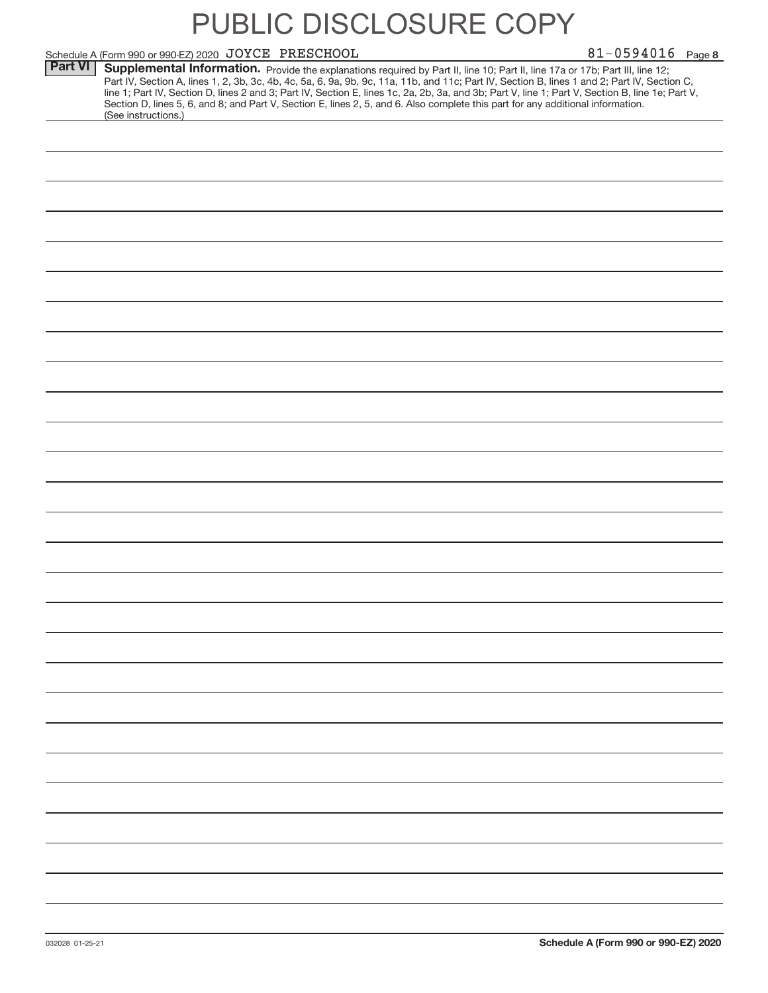|                | Schedule A (Form 990 or 990-EZ) 2020 JOYCE PRESCHOOL                                                                                                                                                                                                                                                                                                                                                                                                                                                                                                                                        | $81 - 0594016$ Page 8 |
|----------------|---------------------------------------------------------------------------------------------------------------------------------------------------------------------------------------------------------------------------------------------------------------------------------------------------------------------------------------------------------------------------------------------------------------------------------------------------------------------------------------------------------------------------------------------------------------------------------------------|-----------------------|
| <b>Part VI</b> | Supplemental Information. Provide the explanations required by Part II, line 10; Part II, line 17a or 17b; Part III, line 12;<br>Part IV, Section A, lines 1, 2, 3b, 3c, 4b, 4c, 5a, 6, 9a, 9b, 9c, 11a, 11b, and 11c; Part IV, Section B, lines 1 and 2; Part IV, Section C,<br>line 1; Part IV, Section D, lines 2 and 3; Part IV, Section E, lines 1c, 2a, 2b, 3a, and 3b; Part V, line 1; Part V, Section B, line 1e; Part V,<br>Section D, lines 5, 6, and 8; and Part V, Section E, lines 2, 5, and 6. Also complete this part for any additional information.<br>(See instructions.) |                       |
|                |                                                                                                                                                                                                                                                                                                                                                                                                                                                                                                                                                                                             |                       |
|                |                                                                                                                                                                                                                                                                                                                                                                                                                                                                                                                                                                                             |                       |
|                |                                                                                                                                                                                                                                                                                                                                                                                                                                                                                                                                                                                             |                       |
|                |                                                                                                                                                                                                                                                                                                                                                                                                                                                                                                                                                                                             |                       |
|                |                                                                                                                                                                                                                                                                                                                                                                                                                                                                                                                                                                                             |                       |
|                |                                                                                                                                                                                                                                                                                                                                                                                                                                                                                                                                                                                             |                       |
|                |                                                                                                                                                                                                                                                                                                                                                                                                                                                                                                                                                                                             |                       |
|                |                                                                                                                                                                                                                                                                                                                                                                                                                                                                                                                                                                                             |                       |
|                |                                                                                                                                                                                                                                                                                                                                                                                                                                                                                                                                                                                             |                       |
|                |                                                                                                                                                                                                                                                                                                                                                                                                                                                                                                                                                                                             |                       |
|                |                                                                                                                                                                                                                                                                                                                                                                                                                                                                                                                                                                                             |                       |
|                |                                                                                                                                                                                                                                                                                                                                                                                                                                                                                                                                                                                             |                       |
|                |                                                                                                                                                                                                                                                                                                                                                                                                                                                                                                                                                                                             |                       |
|                |                                                                                                                                                                                                                                                                                                                                                                                                                                                                                                                                                                                             |                       |
|                |                                                                                                                                                                                                                                                                                                                                                                                                                                                                                                                                                                                             |                       |
|                |                                                                                                                                                                                                                                                                                                                                                                                                                                                                                                                                                                                             |                       |
|                |                                                                                                                                                                                                                                                                                                                                                                                                                                                                                                                                                                                             |                       |
|                |                                                                                                                                                                                                                                                                                                                                                                                                                                                                                                                                                                                             |                       |
|                |                                                                                                                                                                                                                                                                                                                                                                                                                                                                                                                                                                                             |                       |
|                |                                                                                                                                                                                                                                                                                                                                                                                                                                                                                                                                                                                             |                       |
|                |                                                                                                                                                                                                                                                                                                                                                                                                                                                                                                                                                                                             |                       |
|                |                                                                                                                                                                                                                                                                                                                                                                                                                                                                                                                                                                                             |                       |
|                |                                                                                                                                                                                                                                                                                                                                                                                                                                                                                                                                                                                             |                       |
|                |                                                                                                                                                                                                                                                                                                                                                                                                                                                                                                                                                                                             |                       |
|                |                                                                                                                                                                                                                                                                                                                                                                                                                                                                                                                                                                                             |                       |
|                |                                                                                                                                                                                                                                                                                                                                                                                                                                                                                                                                                                                             |                       |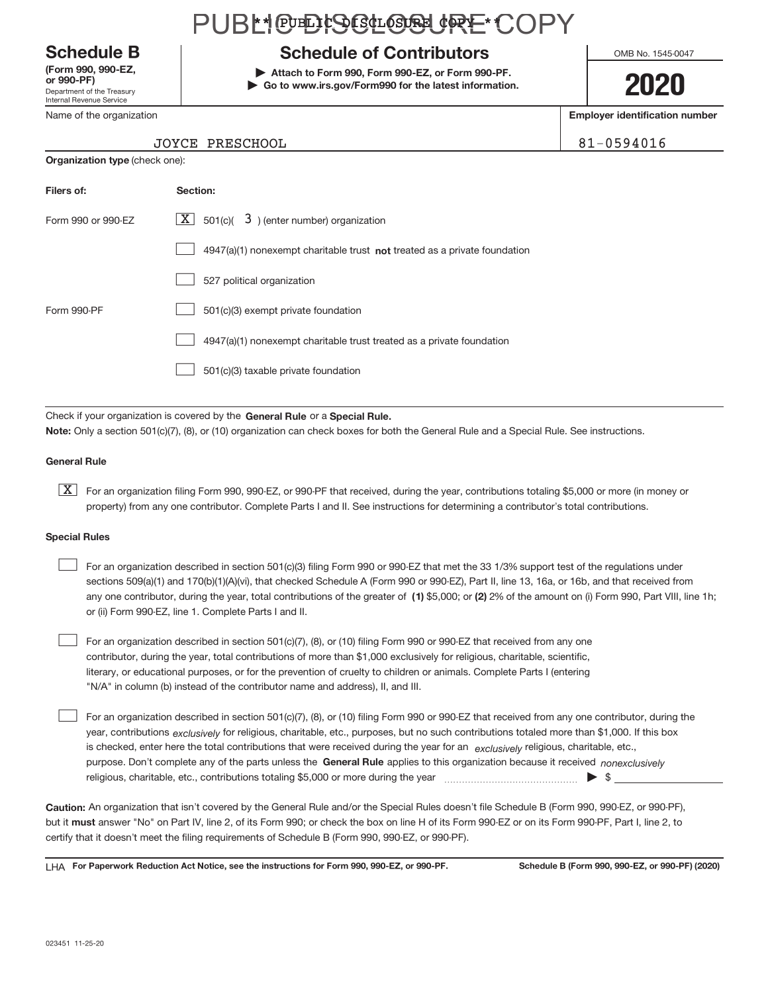Department of the Treasury Internal Revenue Service **(Form 990, 990‐EZ,**

Name of the organization

### PUBLI@EHSGL@&URE\*COPY

### **Schedule B Schedule of Contributors**

**or 990‐PF) | Attach to Form 990, Form 990‐EZ, or Form 990‐PF. | Go to www.irs.gov/Form990 for the latest information.** OMB No. 1545-0047

### **2020**

**Employer identification number**

81-0594016

| JOYCE PRESCHOOL |
|-----------------|
|                 |

| <b>Organization type (check one):</b> |                                                                           |  |  |  |  |
|---------------------------------------|---------------------------------------------------------------------------|--|--|--|--|
| Filers of:                            | Section:                                                                  |  |  |  |  |
| Form 990 or 990-EZ                    | $\lfloor \underline{X} \rfloor$ 501(c)( 3) (enter number) organization    |  |  |  |  |
|                                       | 4947(a)(1) nonexempt charitable trust not treated as a private foundation |  |  |  |  |
|                                       | 527 political organization                                                |  |  |  |  |
| Form 990-PF                           | 501(c)(3) exempt private foundation                                       |  |  |  |  |
|                                       | 4947(a)(1) nonexempt charitable trust treated as a private foundation     |  |  |  |  |
|                                       | 501(c)(3) taxable private foundation                                      |  |  |  |  |

Check if your organization is covered by the General Rule or a Special Rule. **Note:**  Only a section 501(c)(7), (8), or (10) organization can check boxes for both the General Rule and a Special Rule. See instructions.

#### **General Rule**

**K** For an organization filing Form 990, 990-EZ, or 990-PF that received, during the year, contributions totaling \$5,000 or more (in money or property) from any one contributor. Complete Parts I and II. See instructions for determining a contributor's total contributions.

#### **Special Rules**

 $\sqrt{ }$ 

 $\begin{array}{c} \hline \end{array}$ 

| For an organization described in section 501(c)(3) filing Form 990 or 990-EZ that met the 33 1/3% support test of the regulations under               |
|-------------------------------------------------------------------------------------------------------------------------------------------------------|
| sections 509(a)(1) and 170(b)(1)(A)(vi), that checked Schedule A (Form 990 or 990-EZ), Part II, line 13, 16a, or 16b, and that received from          |
| any one contributor, during the year, total contributions of the greater of (1) \$5,000; or (2) 2% of the amount on (i) Form 990, Part VIII, line 1h; |
| or (ii) Form 990-EZ, line 1. Complete Parts I and II.                                                                                                 |

For an organization described in section 501(c)(7), (8), or (10) filing Form 990 or 990‐EZ that received from any one contributor, during the year, total contributions of more than \$1,000 exclusively for religious, charitable, scientific, literary, or educational purposes, or for the prevention of cruelty to children or animals. Complete Parts I (entering "N/A" in column (b) instead of the contributor name and address), II, and III.  $\begin{array}{c} \hline \end{array}$ 

purpose. Don't complete any of the parts unless the General Rule applies to this organization because it received nonexclusively year, contributions <sub>exclusively</sub> for religious, charitable, etc., purposes, but no such contributions totaled more than \$1,000. If this box is checked, enter here the total contributions that were received during the year for an *exclusively* religious, charitable, etc., For an organization described in section 501(c)(7), (8), or (10) filing Form 990 or 990‐EZ that received from any one contributor, during the religious, charitable, etc., contributions totaling \$5,000 or more during the year  $\Box$ — $\Box$   $\Box$ 

**Caution:**  An organization that isn't covered by the General Rule and/or the Special Rules doesn't file Schedule B (Form 990, 990‐EZ, or 990‐PF),  **must** but it answer "No" on Part IV, line 2, of its Form 990; or check the box on line H of its Form 990‐EZ or on its Form 990‐PF, Part I, line 2, to certify that it doesn't meet the filing requirements of Schedule B (Form 990, 990‐EZ, or 990‐PF).

**For Paperwork Reduction Act Notice, see the instructions for Form 990, 990-EZ, or 990-PF. Schedule B (Form 990, 990-EZ, or 990-PF) (2020)** LHA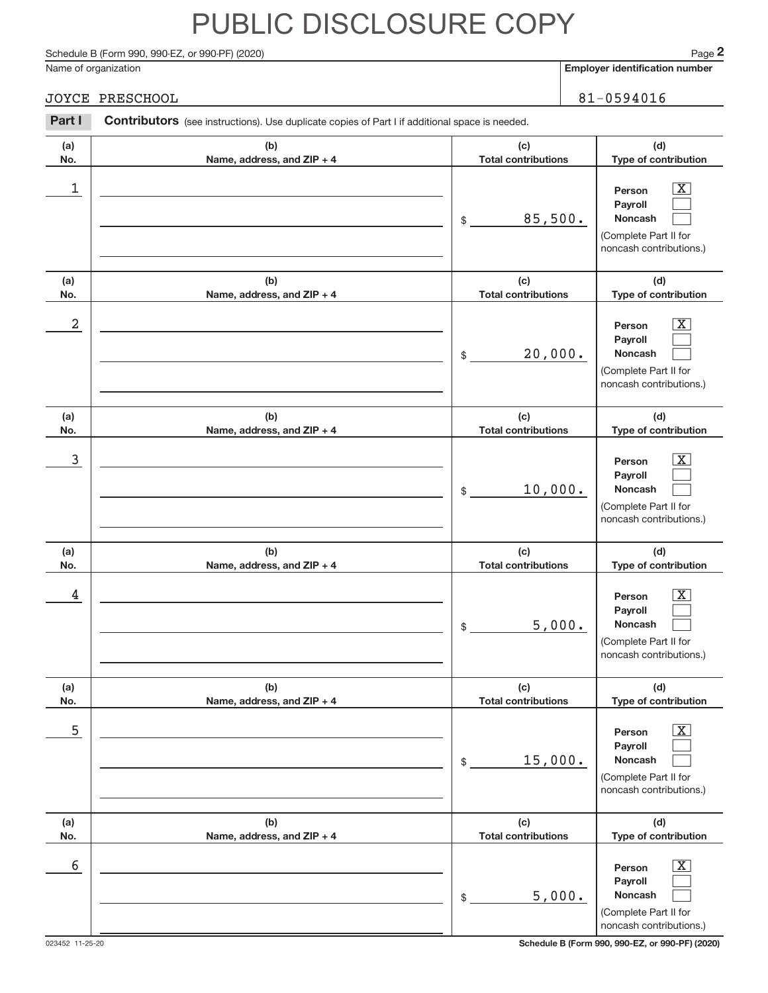Schedule B (Form 990, 990-EZ, or 990-PF) (2020)

Name of organization

**Employer identification number**

#### JOYCE PRESCHOOL 81-0594016

| Part I                  | <b>Contributors</b> (see instructions). Use duplicate copies of Part I if additional space is needed. |                                                         |                                                                                                               |  |  |  |
|-------------------------|-------------------------------------------------------------------------------------------------------|---------------------------------------------------------|---------------------------------------------------------------------------------------------------------------|--|--|--|
| (a)<br>No.              | (b)<br>Name, address, and ZIP + 4                                                                     | (c)<br><b>Total contributions</b>                       | (d)<br>Type of contribution                                                                                   |  |  |  |
| 1                       |                                                                                                       | 85,500.<br>$$\mathbb{S}$$                               | $\boxed{\text{X}}$<br>Person<br>Payroll<br>Noncash<br>(Complete Part II for<br>noncash contributions.)        |  |  |  |
| (a)<br>No.              | (b)<br>Name, address, and ZIP + 4                                                                     | (c)<br><b>Total contributions</b>                       | (d)<br>Type of contribution                                                                                   |  |  |  |
| $\overline{\mathbf{c}}$ |                                                                                                       | 20,000.<br>\$                                           | $\boxed{\text{X}}$<br>Person<br>Payroll<br>Noncash<br>(Complete Part II for<br>noncash contributions.)        |  |  |  |
| (a)<br>No.              | (b)<br>Name, address, and ZIP + 4                                                                     | (c)<br><b>Total contributions</b>                       | (d)<br>Type of contribution                                                                                   |  |  |  |
| 3                       |                                                                                                       | 10,000.<br>\$                                           | $\boxed{\text{X}}$<br>Person<br>Payroll<br>Noncash<br>(Complete Part II for<br>noncash contributions.)        |  |  |  |
| (a)<br>No.              | (b)<br>Name, address, and ZIP + 4                                                                     | (c)<br><b>Total contributions</b>                       | (d)<br>Type of contribution                                                                                   |  |  |  |
| 4                       |                                                                                                       | 5,000.<br>\$                                            | $\boxed{\text{X}}$<br>Person<br>Payroll<br><b>Noncash</b><br>(Complete Part II for<br>noncash contributions.) |  |  |  |
| (a)<br>No.              | (b)<br>Name, address, and ZIP + 4                                                                     | (c)<br><b>Total contributions</b>                       | (d)<br>Type of contribution                                                                                   |  |  |  |
| 5                       |                                                                                                       | 15,000.<br>\$                                           | $\mathbf{X}$<br>Person<br>Payroll<br><b>Noncash</b><br>(Complete Part II for<br>noncash contributions.)       |  |  |  |
| (a)<br>No.              | (b)<br>Name, address, and ZIP + 4                                                                     | (c)<br><b>Total contributions</b>                       | (d)<br>Type of contribution                                                                                   |  |  |  |
| 6                       |                                                                                                       | 5,000.<br>$\, \, \raisebox{12pt}{$\scriptstyle \circ$}$ | $\mathbf{X}$<br>Person<br>Payroll<br>Noncash<br>(Complete Part II for<br>noncash contributions.)              |  |  |  |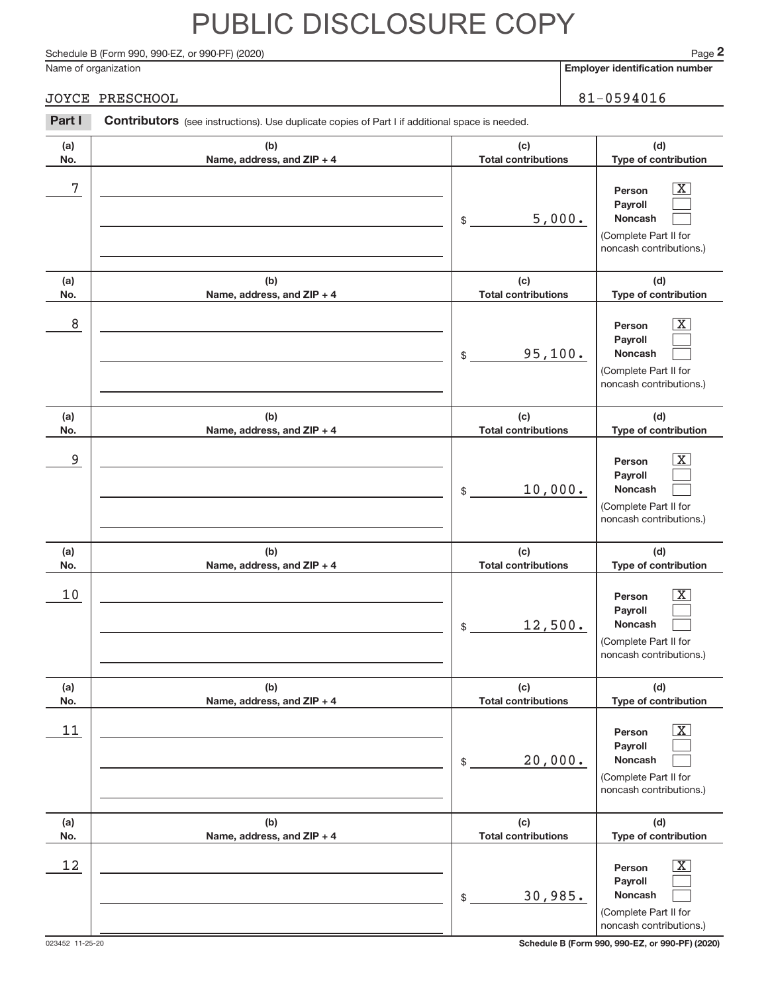Schedule B (Form 990, 990-EZ, or 990-PF) (2020)

Name of organization

**Employer identification number**

### JOYCE PRESCHOOL 81-0594016

| Part I     | Contributors (see instructions). Use duplicate copies of Part I if additional space is needed. |                                   |                                                                                                                  |  |  |  |  |
|------------|------------------------------------------------------------------------------------------------|-----------------------------------|------------------------------------------------------------------------------------------------------------------|--|--|--|--|
| (a)<br>No. | (b)<br>Name, address, and ZIP + 4                                                              | (c)<br><b>Total contributions</b> | (d)<br>Type of contribution                                                                                      |  |  |  |  |
| 7          |                                                                                                | 5,000.<br>\$                      | $\overline{\text{X}}$<br>Person<br>Payroll<br>Noncash<br>(Complete Part II for<br>noncash contributions.)        |  |  |  |  |
| (a)<br>No. | (b)<br>Name, address, and ZIP + 4                                                              | (c)<br><b>Total contributions</b> | (d)<br>Type of contribution                                                                                      |  |  |  |  |
| 8          |                                                                                                | 95,100.<br>\$                     | $\overline{\text{X}}$<br>Person<br>Payroll<br>Noncash<br>(Complete Part II for<br>noncash contributions.)        |  |  |  |  |
| (a)<br>No. | (b)<br>Name, address, and ZIP + 4                                                              | (c)<br><b>Total contributions</b> | (d)<br>Type of contribution                                                                                      |  |  |  |  |
| 9          |                                                                                                | 10,000.<br>\$                     | $\overline{\text{X}}$<br>Person<br>Payroll<br>Noncash<br>(Complete Part II for<br>noncash contributions.)        |  |  |  |  |
| (a)<br>No. | (b)<br>Name, address, and ZIP + 4                                                              | (c)<br><b>Total contributions</b> | (d)<br>Type of contribution                                                                                      |  |  |  |  |
| 10         |                                                                                                | 12,500.<br>\$                     | $\overline{\text{X}}$<br>Person<br>Payroll<br>Noncash<br>(Complete Part II for<br>noncash contributions.)        |  |  |  |  |
| (a)<br>No. | (b)<br>Name, address, and ZIP + 4                                                              | (c)<br><b>Total contributions</b> | (d)<br>Type of contribution                                                                                      |  |  |  |  |
| 11         |                                                                                                | 20,000.<br>\$                     | $\overline{\text{X}}$<br>Person<br>Payroll<br><b>Noncash</b><br>(Complete Part II for<br>noncash contributions.) |  |  |  |  |
| (a)<br>No. | (b)<br>Name, address, and ZIP + 4                                                              | (c)<br><b>Total contributions</b> | (d)<br>Type of contribution                                                                                      |  |  |  |  |
| 12         |                                                                                                | 30,985.<br>\$                     | $\overline{\text{X}}$<br>Person<br>Payroll<br>Noncash<br>(Complete Part II for<br>noncash contributions.)        |  |  |  |  |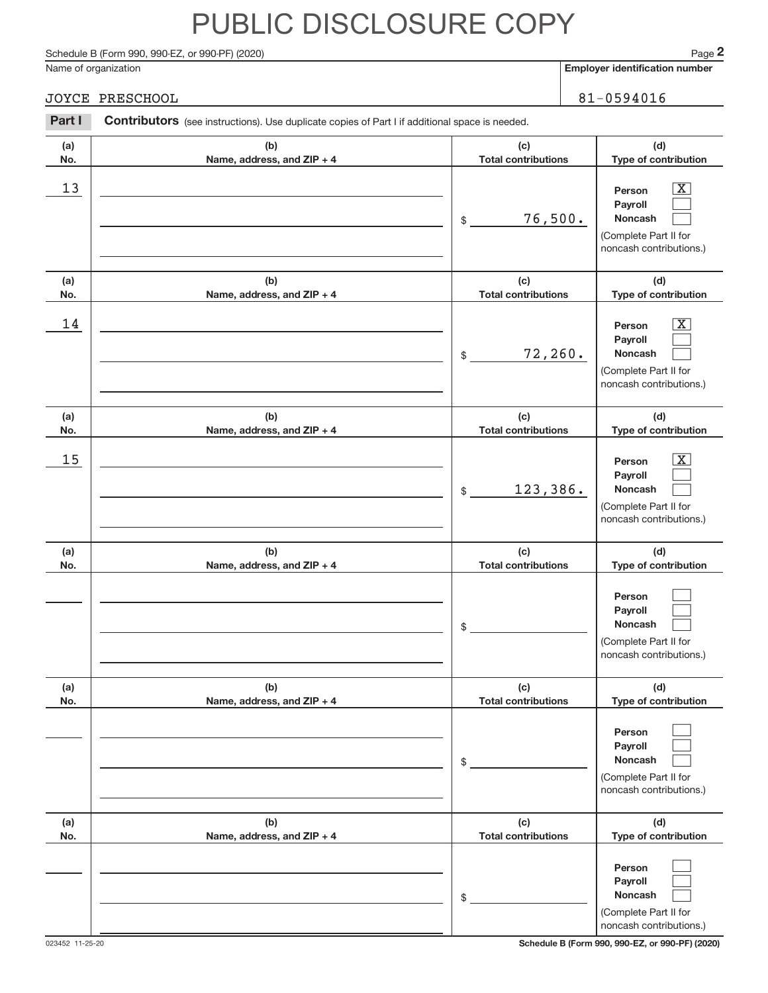Schedule B (Form 990, 990-EZ, or 990-PF) (2020)

Name of organization

**Employer identification number**

**(d) Type of contribution**

> $\boxed{\text{X}}$  $\sqrt{ }$

### JOYCE PRESCHOOL 81-0594016

**Person**

**(c) Total contributions**

### **(a) No. (b) Name, address, and ZIP + 4**  $\begin{array}{|c|c|c|c|c|}\hline \text{13} & \text{Person} & \overline{\text{X}}\ \hline \end{array}$

Part I Contributors (see instructions). Use duplicate copies of Part I if additional space is needed.

|            |                                   | 76,500.<br>\$                     | Payroll<br><b>Noncash</b><br>(Complete Part II for<br>noncash contributions.)                                    |
|------------|-----------------------------------|-----------------------------------|------------------------------------------------------------------------------------------------------------------|
| (a)<br>No. | (b)<br>Name, address, and ZIP + 4 | (c)<br><b>Total contributions</b> | (d)<br>Type of contribution                                                                                      |
| 14         |                                   | 72, 260.<br>\$                    | $\overline{\text{X}}$<br>Person<br>Payroll<br><b>Noncash</b><br>(Complete Part II for<br>noncash contributions.) |
| (a)<br>No. | (b)<br>Name, address, and ZIP + 4 | (c)<br><b>Total contributions</b> | (d)<br>Type of contribution                                                                                      |
| 15         |                                   | 123,386.<br>\$                    | $\overline{\text{X}}$<br>Person<br>Payroll<br><b>Noncash</b><br>(Complete Part II for<br>noncash contributions.) |
| (a)<br>No. | (b)<br>Name, address, and ZIP + 4 | (c)<br><b>Total contributions</b> | (d)<br>Type of contribution                                                                                      |
|            |                                   | \$                                | Person<br>Payroll<br>Noncash<br>(Complete Part II for<br>noncash contributions.)                                 |
| (a)<br>No. | (b)<br>Name, address, and ZIP + 4 | (c)<br><b>Total contributions</b> | (d)<br>Type of contribution                                                                                      |
|            |                                   | ¢                                 | Person<br>Payroll<br>Noncash<br>(Complete Part II for<br>noncash contributions.)                                 |
| (a)<br>No. | (b)<br>Name, address, and ZIP + 4 | (c)<br><b>Total contributions</b> | (d)<br>Type of contribution                                                                                      |
|            |                                   | \$                                | Person<br>Payroll<br>Noncash<br>(Complete Part II for<br>noncash contributions.)                                 |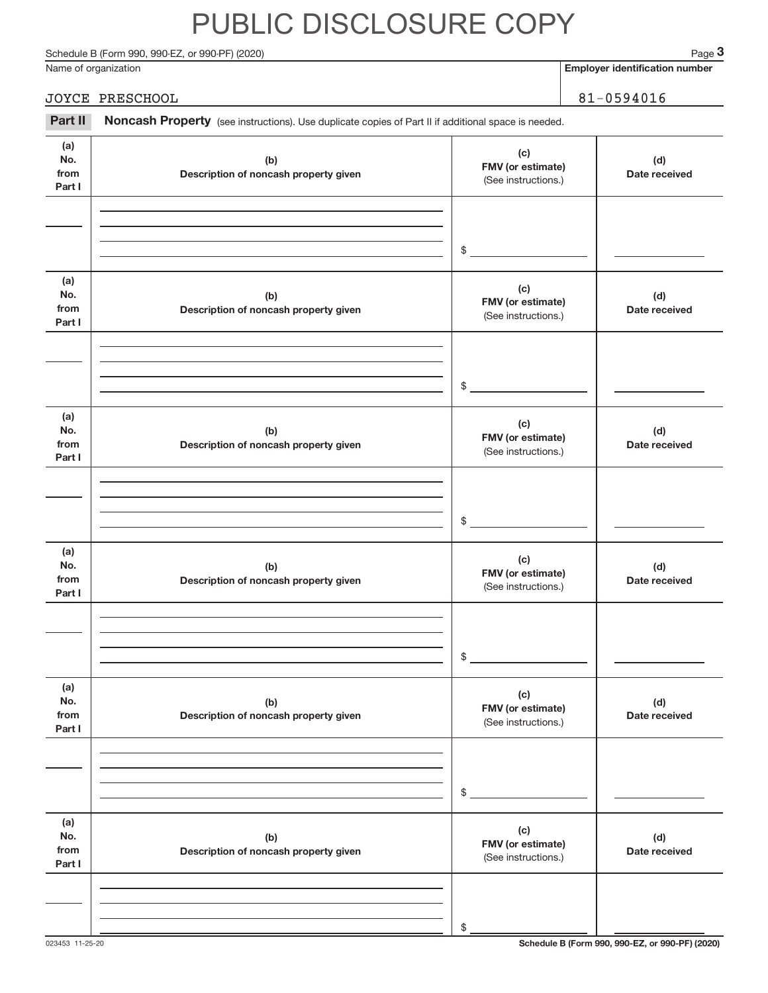Schedule B (Form 990, 990-EZ, or 990-PF) (2020)

Name of organization

**Employer identification number**

| JOYCE PRESCHOOL                                                                                                    | $81 - 0594016$ |
|--------------------------------------------------------------------------------------------------------------------|----------------|
| <b>Part II</b> Noncash Property (see instructions). Use duplicate copies of Part II if additional space is needed. |                |

| (a)<br>No.<br>from<br>Part I | (b)<br>Description of noncash property given | (c)<br>FMV (or estimate)<br>(See instructions.) | (d)<br>Date received |
|------------------------------|----------------------------------------------|-------------------------------------------------|----------------------|
|                              |                                              | \$                                              |                      |
| (a)<br>No.<br>from<br>Part I | (b)<br>Description of noncash property given | (c)<br>FMV (or estimate)<br>(See instructions.) | (d)<br>Date received |
|                              |                                              | \$                                              |                      |
| (a)<br>No.<br>from<br>Part I | (b)<br>Description of noncash property given | (c)<br>FMV (or estimate)<br>(See instructions.) | (d)<br>Date received |
|                              |                                              | \$                                              |                      |
| (a)<br>No.<br>from<br>Part I | (b)<br>Description of noncash property given | (c)<br>FMV (or estimate)<br>(See instructions.) | (d)<br>Date received |
|                              |                                              | \$                                              |                      |
| (a)<br>No.<br>from<br>Part I | (b)<br>Description of noncash property given | (c)<br>FMV (or estimate)<br>(See instructions.) | (d)<br>Date received |
|                              |                                              | \$                                              |                      |
| (a)<br>No.<br>from<br>Part I | (b)<br>Description of noncash property given | (c)<br>FMV (or estimate)<br>(See instructions.) | (d)<br>Date received |
|                              |                                              | \$                                              |                      |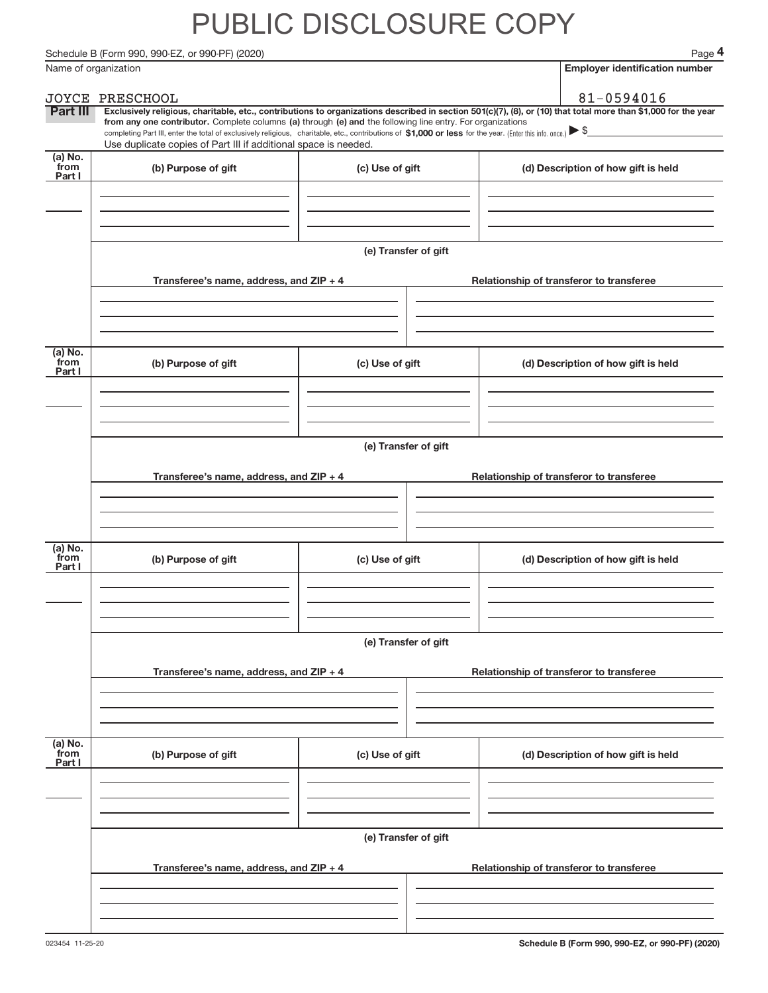Schedule B (Form 990, 990-EZ, or 990-PF) (2020)

|                           | Name of organization                                                                                                                                                                                                                                                                                                                                                                                                                                                                                                                 |                      | <b>Employer identification number</b>    |
|---------------------------|--------------------------------------------------------------------------------------------------------------------------------------------------------------------------------------------------------------------------------------------------------------------------------------------------------------------------------------------------------------------------------------------------------------------------------------------------------------------------------------------------------------------------------------|----------------------|------------------------------------------|
|                           | JOYCE PRESCHOOL                                                                                                                                                                                                                                                                                                                                                                                                                                                                                                                      |                      | 81-0594016                               |
| Part III                  | Exclusively religious, charitable, etc., contributions to organizations described in section 501(c)(7), (8), or (10) that total more than \$1,000 for the year<br>from any one contributor. Complete columns (a) through (e) and the following line entry. For organizations<br>completing Part III, enter the total of exclusively religious, charitable, etc., contributions of \$1,000 or less for the year. (Enter this info. once.) $\blacktriangleright$ \$<br>Use duplicate copies of Part III if additional space is needed. |                      |                                          |
| (a) No.                   |                                                                                                                                                                                                                                                                                                                                                                                                                                                                                                                                      |                      |                                          |
| from<br>Part I            | (b) Purpose of gift                                                                                                                                                                                                                                                                                                                                                                                                                                                                                                                  | (c) Use of gift      | (d) Description of how gift is held      |
|                           | Transferee's name, address, and ZIP + 4                                                                                                                                                                                                                                                                                                                                                                                                                                                                                              | (e) Transfer of gift | Relationship of transferor to transferee |
|                           |                                                                                                                                                                                                                                                                                                                                                                                                                                                                                                                                      |                      |                                          |
| (a) No.<br>from<br>Part I | (b) Purpose of gift                                                                                                                                                                                                                                                                                                                                                                                                                                                                                                                  | (c) Use of gift      | (d) Description of how gift is held      |
|                           | Transferee's name, address, and ZIP + 4                                                                                                                                                                                                                                                                                                                                                                                                                                                                                              | (e) Transfer of gift | Relationship of transferor to transferee |
| (a) No.                   |                                                                                                                                                                                                                                                                                                                                                                                                                                                                                                                                      |                      |                                          |
| from<br>Part I            | (b) Purpose of gift                                                                                                                                                                                                                                                                                                                                                                                                                                                                                                                  | (c) Use of gift      | (d) Description of how gift is held      |
|                           |                                                                                                                                                                                                                                                                                                                                                                                                                                                                                                                                      | (e) Transfer of gift |                                          |
|                           | Transferee's name, address, and ZIP + 4                                                                                                                                                                                                                                                                                                                                                                                                                                                                                              |                      | Relationship of transferor to transferee |
| (a) No.<br>from<br>Part I | (b) Purpose of gift                                                                                                                                                                                                                                                                                                                                                                                                                                                                                                                  | (c) Use of gift      | (d) Description of how gift is held      |
|                           |                                                                                                                                                                                                                                                                                                                                                                                                                                                                                                                                      | (e) Transfer of gift |                                          |
|                           | Transferee's name, address, and ZIP + 4                                                                                                                                                                                                                                                                                                                                                                                                                                                                                              |                      | Relationship of transferor to transferee |
|                           |                                                                                                                                                                                                                                                                                                                                                                                                                                                                                                                                      |                      |                                          |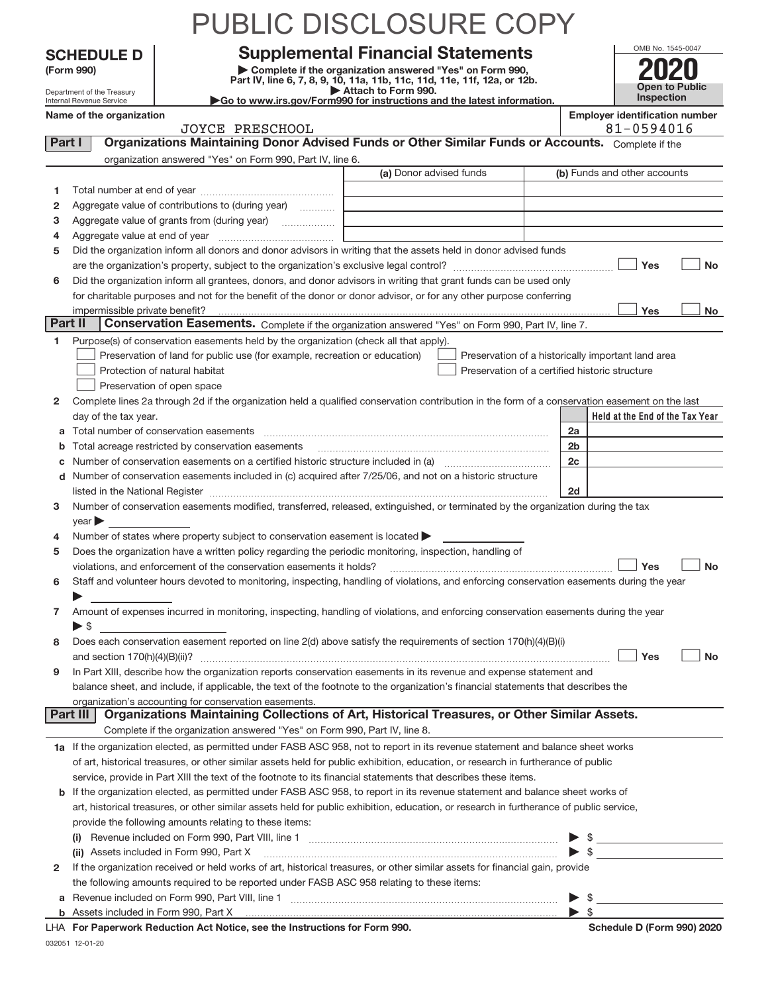|         |                                                                                                                                                    |                                                                                                                                                                               | PUBLIC DISCLOSURE COP'                                                                                                                                                                                                        |                    |                                                     |  |  |
|---------|----------------------------------------------------------------------------------------------------------------------------------------------------|-------------------------------------------------------------------------------------------------------------------------------------------------------------------------------|-------------------------------------------------------------------------------------------------------------------------------------------------------------------------------------------------------------------------------|--------------------|-----------------------------------------------------|--|--|
|         | <b>SCHEDULE D</b>                                                                                                                                  |                                                                                                                                                                               | <b>Supplemental Financial Statements</b>                                                                                                                                                                                      |                    | OMB No. 1545-0047                                   |  |  |
|         | Complete if the organization answered "Yes" on Form 990,<br>(Form 990)<br>Part IV, line 6, 7, 8, 9, 10, 11a, 11b, 11c, 11d, 11e, 11f, 12a, or 12b. |                                                                                                                                                                               |                                                                                                                                                                                                                               |                    |                                                     |  |  |
|         | Attach to Form 990.<br>Department of the Treasury                                                                                                  |                                                                                                                                                                               |                                                                                                                                                                                                                               |                    |                                                     |  |  |
|         | Internal Revenue Service<br>Name of the organization                                                                                               |                                                                                                                                                                               | Go to www.irs.gov/Form990 for instructions and the latest information.                                                                                                                                                        |                    | Inspection<br><b>Employer identification number</b> |  |  |
|         |                                                                                                                                                    | <b>JOYCE PRESCHOOL</b>                                                                                                                                                        |                                                                                                                                                                                                                               |                    | 81-0594016                                          |  |  |
| Part I  |                                                                                                                                                    |                                                                                                                                                                               | Organizations Maintaining Donor Advised Funds or Other Similar Funds or Accounts. Complete if the                                                                                                                             |                    |                                                     |  |  |
|         |                                                                                                                                                    | organization answered "Yes" on Form 990, Part IV, line 6.                                                                                                                     |                                                                                                                                                                                                                               |                    |                                                     |  |  |
|         |                                                                                                                                                    |                                                                                                                                                                               | (a) Donor advised funds                                                                                                                                                                                                       |                    | (b) Funds and other accounts                        |  |  |
| 1       |                                                                                                                                                    |                                                                                                                                                                               |                                                                                                                                                                                                                               |                    |                                                     |  |  |
| 2       |                                                                                                                                                    | Aggregate value of contributions to (during year)                                                                                                                             |                                                                                                                                                                                                                               |                    |                                                     |  |  |
| з       |                                                                                                                                                    | Aggregate value of grants from (during year)                                                                                                                                  |                                                                                                                                                                                                                               |                    |                                                     |  |  |
| 4<br>5  |                                                                                                                                                    |                                                                                                                                                                               | Did the organization inform all donors and donor advisors in writing that the assets held in donor advised funds                                                                                                              |                    |                                                     |  |  |
|         |                                                                                                                                                    |                                                                                                                                                                               |                                                                                                                                                                                                                               |                    | Yes<br><b>No</b>                                    |  |  |
| 6       |                                                                                                                                                    |                                                                                                                                                                               | Did the organization inform all grantees, donors, and donor advisors in writing that grant funds can be used only                                                                                                             |                    |                                                     |  |  |
|         |                                                                                                                                                    |                                                                                                                                                                               | for charitable purposes and not for the benefit of the donor or donor advisor, or for any other purpose conferring                                                                                                            |                    |                                                     |  |  |
|         | impermissible private benefit?                                                                                                                     |                                                                                                                                                                               |                                                                                                                                                                                                                               |                    | Yes<br>No                                           |  |  |
| Part II |                                                                                                                                                    |                                                                                                                                                                               | Conservation Easements. Complete if the organization answered "Yes" on Form 990, Part IV, line 7.                                                                                                                             |                    |                                                     |  |  |
| 1.      |                                                                                                                                                    | Purpose(s) of conservation easements held by the organization (check all that apply).                                                                                         |                                                                                                                                                                                                                               |                    |                                                     |  |  |
|         |                                                                                                                                                    | Preservation of land for public use (for example, recreation or education)                                                                                                    | Preservation of a historically important land area                                                                                                                                                                            |                    |                                                     |  |  |
|         |                                                                                                                                                    | Protection of natural habitat                                                                                                                                                 | Preservation of a certified historic structure                                                                                                                                                                                |                    |                                                     |  |  |
|         |                                                                                                                                                    | Preservation of open space                                                                                                                                                    |                                                                                                                                                                                                                               |                    |                                                     |  |  |
| 2       | day of the tax year.                                                                                                                               |                                                                                                                                                                               | Complete lines 2a through 2d if the organization held a qualified conservation contribution in the form of a conservation easement on the last                                                                                |                    | Held at the End of the Tax Year                     |  |  |
| a       |                                                                                                                                                    |                                                                                                                                                                               |                                                                                                                                                                                                                               | 2a                 |                                                     |  |  |
| b       |                                                                                                                                                    | Total acreage restricted by conservation easements                                                                                                                            |                                                                                                                                                                                                                               | 2 <sub>b</sub>     |                                                     |  |  |
| с       |                                                                                                                                                    |                                                                                                                                                                               |                                                                                                                                                                                                                               | 2 <sub>c</sub>     |                                                     |  |  |
| d       |                                                                                                                                                    |                                                                                                                                                                               | Number of conservation easements included in (c) acquired after 7/25/06, and not on a historic structure                                                                                                                      |                    |                                                     |  |  |
|         |                                                                                                                                                    |                                                                                                                                                                               | listed in the National Register [111] Marshall Register [11] Marshall Register [11] Marshall Register [11] Marshall Register [11] Marshall Register [11] Marshall Register [11] Marshall Register [11] Marshall Register [11] | 2d                 |                                                     |  |  |
| 3       |                                                                                                                                                    |                                                                                                                                                                               | Number of conservation easements modified, transferred, released, extinguished, or terminated by the organization during the tax                                                                                              |                    |                                                     |  |  |
|         | year                                                                                                                                               |                                                                                                                                                                               |                                                                                                                                                                                                                               |                    |                                                     |  |  |
| 4       |                                                                                                                                                    | Number of states where property subject to conservation easement is located                                                                                                   |                                                                                                                                                                                                                               |                    |                                                     |  |  |
| 5       |                                                                                                                                                    | Does the organization have a written policy regarding the periodic monitoring, inspection, handling of<br>violations, and enforcement of the conservation easements it holds? |                                                                                                                                                                                                                               |                    | Yes<br>No                                           |  |  |
| 6       |                                                                                                                                                    |                                                                                                                                                                               | Staff and volunteer hours devoted to monitoring, inspecting, handling of violations, and enforcing conservation easements during the year                                                                                     |                    |                                                     |  |  |
|         |                                                                                                                                                    |                                                                                                                                                                               |                                                                                                                                                                                                                               |                    |                                                     |  |  |
| 7       |                                                                                                                                                    |                                                                                                                                                                               | Amount of expenses incurred in monitoring, inspecting, handling of violations, and enforcing conservation easements during the year                                                                                           |                    |                                                     |  |  |
|         | $\blacktriangleright$ \$                                                                                                                           |                                                                                                                                                                               |                                                                                                                                                                                                                               |                    |                                                     |  |  |
| 8       |                                                                                                                                                    |                                                                                                                                                                               | Does each conservation easement reported on line 2(d) above satisfy the requirements of section 170(h)(4)(B)(i)                                                                                                               |                    |                                                     |  |  |
|         |                                                                                                                                                    |                                                                                                                                                                               |                                                                                                                                                                                                                               |                    | Yes<br><b>No</b>                                    |  |  |
| 9       |                                                                                                                                                    |                                                                                                                                                                               | In Part XIII, describe how the organization reports conservation easements in its revenue and expense statement and                                                                                                           |                    |                                                     |  |  |
|         |                                                                                                                                                    |                                                                                                                                                                               | balance sheet, and include, if applicable, the text of the footnote to the organization's financial statements that describes the                                                                                             |                    |                                                     |  |  |
|         | Part III                                                                                                                                           | organization's accounting for conservation easements.                                                                                                                         | Organizations Maintaining Collections of Art, Historical Treasures, or Other Similar Assets.                                                                                                                                  |                    |                                                     |  |  |
|         |                                                                                                                                                    | Complete if the organization answered "Yes" on Form 990, Part IV, line 8.                                                                                                     |                                                                                                                                                                                                                               |                    |                                                     |  |  |
|         |                                                                                                                                                    |                                                                                                                                                                               | 1a If the organization elected, as permitted under FASB ASC 958, not to report in its revenue statement and balance sheet works                                                                                               |                    |                                                     |  |  |
|         |                                                                                                                                                    |                                                                                                                                                                               | of art, historical treasures, or other similar assets held for public exhibition, education, or research in furtherance of public                                                                                             |                    |                                                     |  |  |
|         |                                                                                                                                                    |                                                                                                                                                                               | service, provide in Part XIII the text of the footnote to its financial statements that describes these items.                                                                                                                |                    |                                                     |  |  |
| b       |                                                                                                                                                    |                                                                                                                                                                               | If the organization elected, as permitted under FASB ASC 958, to report in its revenue statement and balance sheet works of                                                                                                   |                    |                                                     |  |  |
|         |                                                                                                                                                    |                                                                                                                                                                               | art, historical treasures, or other similar assets held for public exhibition, education, or research in furtherance of public service,                                                                                       |                    |                                                     |  |  |
|         |                                                                                                                                                    | provide the following amounts relating to these items:                                                                                                                        |                                                                                                                                                                                                                               |                    |                                                     |  |  |
|         |                                                                                                                                                    |                                                                                                                                                                               |                                                                                                                                                                                                                               |                    | $\frac{1}{2}$                                       |  |  |
|         |                                                                                                                                                    | (ii) Assets included in Form 990, Part X                                                                                                                                      |                                                                                                                                                                                                                               |                    | $\blacktriangleright$ s                             |  |  |
| 2       |                                                                                                                                                    |                                                                                                                                                                               | If the organization received or held works of art, historical treasures, or other similar assets for financial gain, provide                                                                                                  |                    |                                                     |  |  |
| а       |                                                                                                                                                    | the following amounts required to be reported under FASB ASC 958 relating to these items:                                                                                     |                                                                                                                                                                                                                               |                    |                                                     |  |  |
|         |                                                                                                                                                    |                                                                                                                                                                               |                                                                                                                                                                                                                               | $\triangleright$ s |                                                     |  |  |

### LHA For Paperwork Reduction Act Notice, see the Instructions for Form 990. National **Schedule D** (Form 990) 2020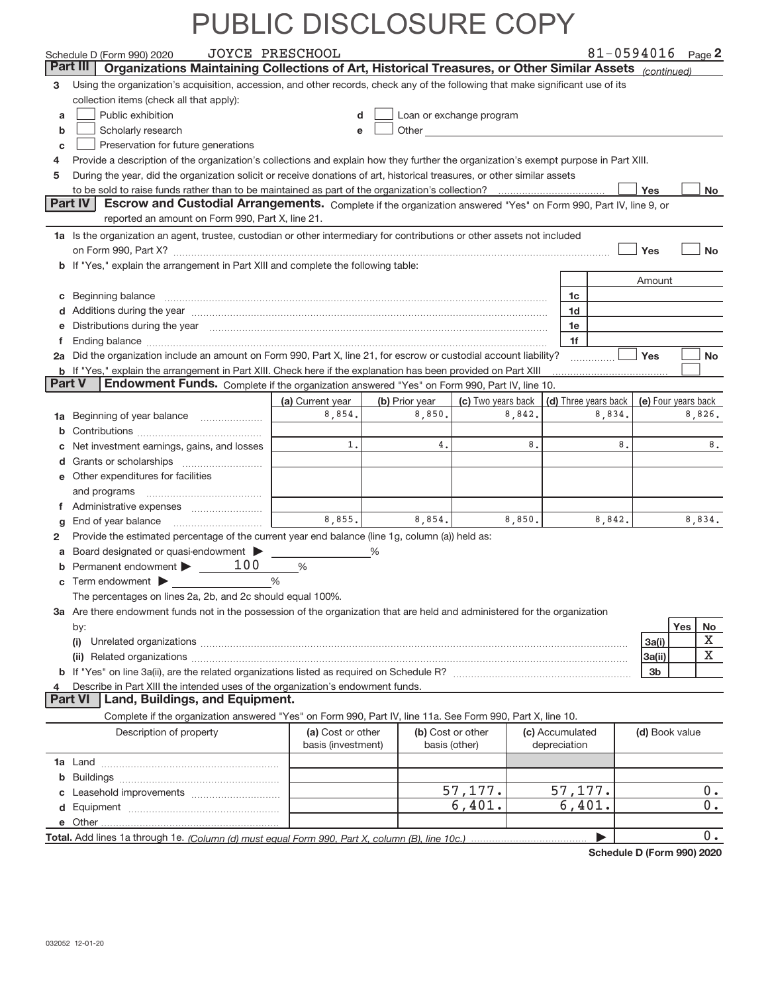|              | Schedule D (Form 990) 2020                                                                                                                                                                                                          | JOYCE PRESCHOOL    |                   |                          |                 |                                                  |                | 81-0594016 Page 2     |
|--------------|-------------------------------------------------------------------------------------------------------------------------------------------------------------------------------------------------------------------------------------|--------------------|-------------------|--------------------------|-----------------|--------------------------------------------------|----------------|-----------------------|
|              | Organizations Maintaining Collections of Art, Historical Treasures, or Other Similar Assets (continued)<br>Part III                                                                                                                 |                    |                   |                          |                 |                                                  |                |                       |
| 3            | Using the organization's acquisition, accession, and other records, check any of the following that make significant use of its<br>collection items (check all that apply):                                                         |                    |                   |                          |                 |                                                  |                |                       |
| a            | Public exhibition                                                                                                                                                                                                                   | d                  |                   | Loan or exchange program |                 |                                                  |                |                       |
| b            | Scholarly research                                                                                                                                                                                                                  | е                  |                   |                          |                 |                                                  |                |                       |
| С            | Preservation for future generations                                                                                                                                                                                                 |                    |                   |                          |                 |                                                  |                |                       |
| 4            | Provide a description of the organization's collections and explain how they further the organization's exempt purpose in Part XIII.                                                                                                |                    |                   |                          |                 |                                                  |                |                       |
| 5            | During the year, did the organization solicit or receive donations of art, historical treasures, or other similar assets                                                                                                            |                    |                   |                          |                 |                                                  |                |                       |
|              |                                                                                                                                                                                                                                     |                    |                   |                          |                 |                                                  | Yes            | No l                  |
|              | Part IV<br>Escrow and Custodial Arrangements. Complete if the organization answered "Yes" on Form 990, Part IV, line 9, or                                                                                                          |                    |                   |                          |                 |                                                  |                |                       |
|              | reported an amount on Form 990, Part X, line 21.                                                                                                                                                                                    |                    |                   |                          |                 |                                                  |                |                       |
|              | 1a Is the organization an agent, trustee, custodian or other intermediary for contributions or other assets not included                                                                                                            |                    |                   |                          |                 |                                                  |                |                       |
|              |                                                                                                                                                                                                                                     |                    |                   |                          |                 |                                                  | Yes            | No                    |
|              | b If "Yes," explain the arrangement in Part XIII and complete the following table:                                                                                                                                                  |                    |                   |                          |                 |                                                  |                |                       |
|              |                                                                                                                                                                                                                                     |                    |                   |                          |                 |                                                  | Amount         |                       |
| С            |                                                                                                                                                                                                                                     |                    |                   |                          |                 | 1c                                               |                |                       |
|              | d Additions during the year measurements are all an according to the year.                                                                                                                                                          |                    |                   |                          |                 | 1d                                               |                |                       |
|              | Distributions during the year manufactured and continuum and contained and the year manufactured and contained                                                                                                                      |                    |                   |                          |                 | 1e                                               |                |                       |
| f            |                                                                                                                                                                                                                                     |                    |                   |                          |                 | 1f                                               |                |                       |
|              | 2a Did the organization include an amount on Form 990, Part X, line 21, for escrow or custodial account liability?                                                                                                                  |                    |                   |                          |                 |                                                  | <b>Yes</b>     | <b>No</b>             |
|              | b If "Yes," explain the arrangement in Part XIII. Check here if the explanation has been provided on Part XIII                                                                                                                      |                    |                   |                          |                 |                                                  |                |                       |
| Part V       | Endowment Funds. Complete if the organization answered "Yes" on Form 990, Part IV, line 10.                                                                                                                                         |                    |                   |                          |                 |                                                  |                |                       |
|              |                                                                                                                                                                                                                                     | (a) Current year   | (b) Prior year    | (c) Two years back       |                 | (d) Three years back $\vert$ (e) Four years back |                |                       |
| 1a           | Beginning of year balance                                                                                                                                                                                                           | 8,854.             | 8,850.            | 8,842.                   |                 | 8,834.                                           |                | 8,826.                |
| b            |                                                                                                                                                                                                                                     |                    |                   |                          |                 |                                                  |                |                       |
| с            | Net investment earnings, gains, and losses                                                                                                                                                                                          | 1.                 | 4.                | 8.                       |                 | 8.                                               |                | 8.                    |
| d            |                                                                                                                                                                                                                                     |                    |                   |                          |                 |                                                  |                |                       |
|              | Other expenditures for facilities                                                                                                                                                                                                   |                    |                   |                          |                 |                                                  |                |                       |
|              | and programs                                                                                                                                                                                                                        |                    |                   |                          |                 |                                                  |                |                       |
|              |                                                                                                                                                                                                                                     |                    |                   |                          |                 |                                                  |                |                       |
| g            |                                                                                                                                                                                                                                     | 8,855.             | 8,854.            | 8,850.                   |                 | 8,842.                                           |                | 8,834.                |
| $\mathbf{2}$ | Provide the estimated percentage of the current year end balance (line 1g, column (a)) held as:                                                                                                                                     |                    |                   |                          |                 |                                                  |                |                       |
| a            | Board designated or quasi-endowment                                                                                                                                                                                                 |                    | %                 |                          |                 |                                                  |                |                       |
| b            | Permanent endowment $\blacktriangleright$ _____ 100                                                                                                                                                                                 | $\%$               |                   |                          |                 |                                                  |                |                       |
| С            | Term endowment $\blacktriangleright$                                                                                                                                                                                                | $\frac{0}{0}$      |                   |                          |                 |                                                  |                |                       |
|              | The percentages on lines 2a, 2b, and 2c should equal 100%.                                                                                                                                                                          |                    |                   |                          |                 |                                                  |                |                       |
|              | 3a Are there endowment funds not in the possession of the organization that are held and administered for the organization                                                                                                          |                    |                   |                          |                 |                                                  |                |                       |
|              | by:                                                                                                                                                                                                                                 |                    |                   |                          |                 |                                                  |                | Yes<br><u>No</u><br>X |
|              | (i)                                                                                                                                                                                                                                 |                    |                   |                          |                 |                                                  | 3a(i)          | X                     |
|              | (ii) Related organizations <b>constructions</b> and construction of the construction of the construction of the construction of the construction of the construction of the construction of the construction of the construction of |                    |                   |                          |                 |                                                  | 3a(ii)<br>3b   |                       |
| 4            | Describe in Part XIII the intended uses of the organization's endowment funds.                                                                                                                                                      |                    |                   |                          |                 |                                                  |                |                       |
|              | <b>Part VI</b><br>Land, Buildings, and Equipment.                                                                                                                                                                                   |                    |                   |                          |                 |                                                  |                |                       |
|              | Complete if the organization answered "Yes" on Form 990, Part IV, line 11a. See Form 990, Part X, line 10.                                                                                                                          |                    |                   |                          |                 |                                                  |                |                       |
|              | Description of property                                                                                                                                                                                                             | (a) Cost or other  | (b) Cost or other |                          | (c) Accumulated |                                                  | (d) Book value |                       |
|              |                                                                                                                                                                                                                                     | basis (investment) | basis (other)     |                          | depreciation    |                                                  |                |                       |
|              |                                                                                                                                                                                                                                     |                    |                   |                          |                 |                                                  |                |                       |
| b            |                                                                                                                                                                                                                                     |                    |                   |                          |                 |                                                  |                |                       |
|              |                                                                                                                                                                                                                                     |                    |                   | 57,177.                  |                 | 57,177.                                          |                | $0$ .                 |
| d            |                                                                                                                                                                                                                                     |                    |                   | 6,401.                   |                 | 6,401.                                           |                | $0$ .                 |
|              |                                                                                                                                                                                                                                     |                    |                   |                          |                 |                                                  |                |                       |
|              |                                                                                                                                                                                                                                     |                    |                   |                          |                 | ▶                                                |                | 0.                    |

**Schedule D (Form 990) 2020**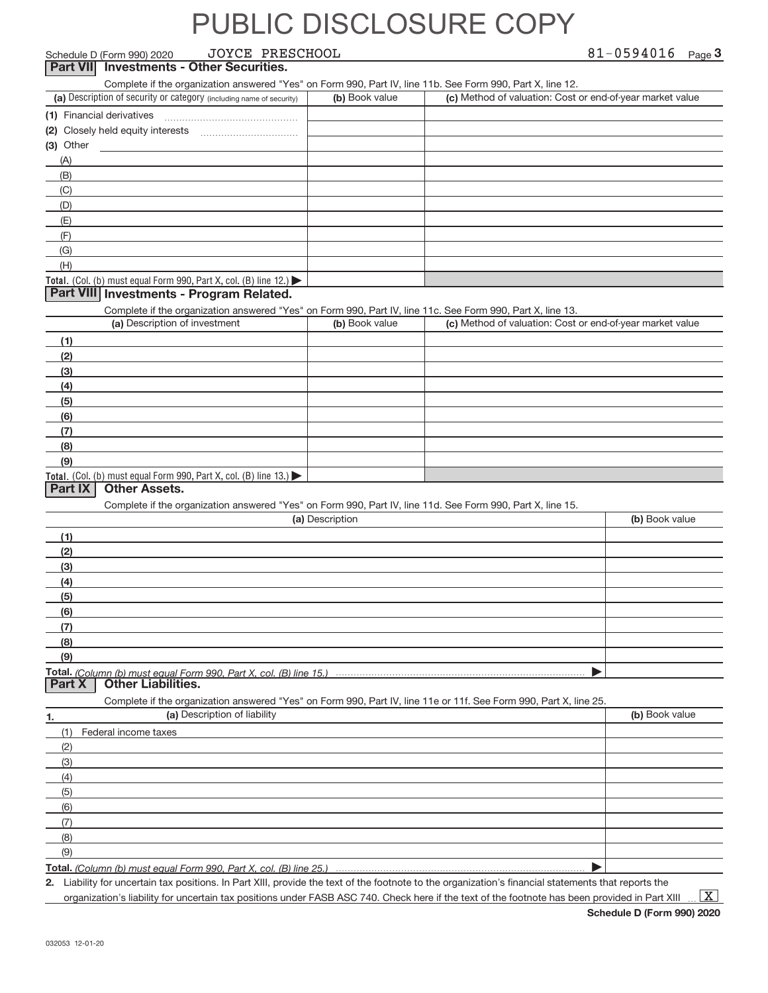| JOYCE PRESCHOOL<br>Schedule D (Form 990) 2020                                                                                                     |                 | 81-0594016 $_{Page}$ 3                                    |                |  |
|---------------------------------------------------------------------------------------------------------------------------------------------------|-----------------|-----------------------------------------------------------|----------------|--|
| <b>Investments - Other Securities.</b><br><b>Part VII</b>                                                                                         |                 |                                                           |                |  |
| Complete if the organization answered "Yes" on Form 990, Part IV, line 11b. See Form 990, Part X, line 12.                                        |                 |                                                           |                |  |
| (a) Description of security or category (including name of security)                                                                              | (b) Book value  | (c) Method of valuation: Cost or end-of-year market value |                |  |
| (1) Financial derivatives                                                                                                                         |                 |                                                           |                |  |
| (2) Closely held equity interests                                                                                                                 |                 |                                                           |                |  |
| (3) Other                                                                                                                                         |                 |                                                           |                |  |
| (A)                                                                                                                                               |                 |                                                           |                |  |
| (B)                                                                                                                                               |                 |                                                           |                |  |
| (C)                                                                                                                                               |                 |                                                           |                |  |
| (D)                                                                                                                                               |                 |                                                           |                |  |
| (E)                                                                                                                                               |                 |                                                           |                |  |
| (F)                                                                                                                                               |                 |                                                           |                |  |
| (G)                                                                                                                                               |                 |                                                           |                |  |
| (H)                                                                                                                                               |                 |                                                           |                |  |
| Total. (Col. (b) must equal Form 990, Part X, col. (B) line 12.)<br>Part VIII Investments - Program Related.                                      |                 |                                                           |                |  |
|                                                                                                                                                   |                 |                                                           |                |  |
| Complete if the organization answered "Yes" on Form 990, Part IV, line 11c. See Form 990, Part X, line 13.<br>(a) Description of investment       | (b) Book value  | (c) Method of valuation: Cost or end-of-year market value |                |  |
|                                                                                                                                                   |                 |                                                           |                |  |
| (1)<br>(2)                                                                                                                                        |                 |                                                           |                |  |
| (3)                                                                                                                                               |                 |                                                           |                |  |
| (4)                                                                                                                                               |                 |                                                           |                |  |
| (5)                                                                                                                                               |                 |                                                           |                |  |
| (6)                                                                                                                                               |                 |                                                           |                |  |
| (7)                                                                                                                                               |                 |                                                           |                |  |
| (8)                                                                                                                                               |                 |                                                           |                |  |
| (9)                                                                                                                                               |                 |                                                           |                |  |
| Total. (Col. (b) must equal Form 990, Part X, col. (B) line 13.)                                                                                  |                 |                                                           |                |  |
| <b>Other Assets.</b><br>Part IX                                                                                                                   |                 |                                                           |                |  |
| Complete if the organization answered "Yes" on Form 990, Part IV, line 11d. See Form 990, Part X, line 15.                                        |                 |                                                           |                |  |
|                                                                                                                                                   | (a) Description |                                                           | (b) Book value |  |
| (1)                                                                                                                                               |                 |                                                           |                |  |
| (2)                                                                                                                                               |                 |                                                           |                |  |
| (3)                                                                                                                                               |                 |                                                           |                |  |
| (4)                                                                                                                                               |                 |                                                           |                |  |
| (5)                                                                                                                                               |                 |                                                           |                |  |
| (6)                                                                                                                                               |                 |                                                           |                |  |
| (7)                                                                                                                                               |                 |                                                           |                |  |
| (8)                                                                                                                                               |                 |                                                           |                |  |
| (9)                                                                                                                                               |                 |                                                           |                |  |
| Total. (Column (b) must equal Form 990. Part X. col. (B) line 15.)<br><b>Other Liabilities.</b><br><b>Part X</b>                                  |                 |                                                           |                |  |
|                                                                                                                                                   |                 |                                                           |                |  |
| Complete if the organization answered "Yes" on Form 990, Part IV, line 11e or 11f. See Form 990, Part X, line 25.<br>(a) Description of liability |                 |                                                           | (b) Book value |  |
| 1.                                                                                                                                                |                 |                                                           |                |  |
| (1)<br>Federal income taxes                                                                                                                       |                 |                                                           |                |  |
| (2)                                                                                                                                               |                 |                                                           |                |  |
| (3)                                                                                                                                               |                 |                                                           |                |  |
| (4)<br>(5)                                                                                                                                        |                 |                                                           |                |  |
| (6)                                                                                                                                               |                 |                                                           |                |  |
| (7)                                                                                                                                               |                 |                                                           |                |  |
| (8)                                                                                                                                               |                 |                                                           |                |  |
| (9)                                                                                                                                               |                 |                                                           |                |  |
| Total. (Column (b) must equal Form 990, Part X, col. (B) line 25.)                                                                                |                 |                                                           |                |  |
|                                                                                                                                                   |                 |                                                           |                |  |

*(Column (b) must equal Form 990, Part X, col. (B) line 25.)*

**2.** Liability for uncertain tax positions. In Part XIII, provide the text of the footnote to the organization's financial statements that reports the organization's liability for uncertain tax positions under FASB ASC 740. Check here if the text of the footnote has been provided in Part XIII

 $\boxed{\text{X}}$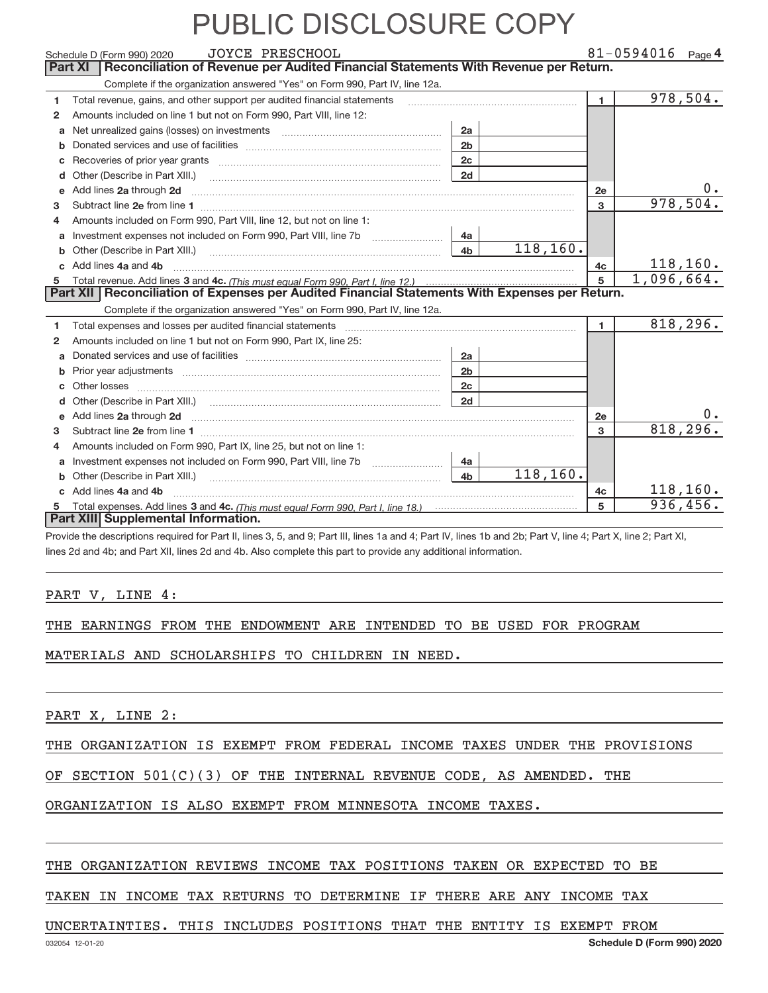|              | <b>JOYCE PRESCHOOL</b><br>Schedule D (Form 990) 2020                                                                                                                                                                                |                |           |                | $81 - 0594016$ Page 4 |
|--------------|-------------------------------------------------------------------------------------------------------------------------------------------------------------------------------------------------------------------------------------|----------------|-----------|----------------|-----------------------|
|              | Reconciliation of Revenue per Audited Financial Statements With Revenue per Return.<br><b>Part XI</b>                                                                                                                               |                |           |                |                       |
|              | Complete if the organization answered "Yes" on Form 990, Part IV, line 12a.                                                                                                                                                         |                |           |                |                       |
| 1.           | Total revenue, gains, and other support per audited financial statements                                                                                                                                                            |                |           | $\blacksquare$ | 978,504.              |
| $\mathbf{2}$ | Amounts included on line 1 but not on Form 990, Part VIII, line 12:                                                                                                                                                                 |                |           |                |                       |
| a            | Net unrealized gains (losses) on investments [11] matter contracts and the unrealized gains (losses) on investments                                                                                                                 | 2a             |           |                |                       |
| b            |                                                                                                                                                                                                                                     | 2 <sub>b</sub> |           |                |                       |
| c            |                                                                                                                                                                                                                                     | 2 <sub>c</sub> |           |                |                       |
| d            | Other (Describe in Part XIII.) <b>Construction</b> and the construction of the construction of the construction of the construction of the construction of the construction of the construction of the construction of the construc | 2d             |           |                |                       |
|              | Add lines 2a through 2d                                                                                                                                                                                                             |                |           | 2e             | $0 \cdot$             |
| з.           |                                                                                                                                                                                                                                     |                |           | 3              | 978,504.              |
| 4            | Amounts included on Form 990, Part VIII, line 12, but not on line 1:                                                                                                                                                                |                |           |                |                       |
|              | Investment expenses not included on Form 990, Part VIII, line 7b [100] [100] [100] [100] [100] [100] [100] [10                                                                                                                      | 4a             |           |                |                       |
| b            |                                                                                                                                                                                                                                     | 4 <sub>b</sub> | 118,160.  |                |                       |
| $\mathbf{c}$ | Add lines 4a and 4b                                                                                                                                                                                                                 |                |           | 4c             | 118, 160.             |
|              |                                                                                                                                                                                                                                     |                |           | 5              | 1,096,664.            |
|              | Part XII   Reconciliation of Expenses per Audited Financial Statements With Expenses per Return.                                                                                                                                    |                |           |                |                       |
|              | Complete if the organization answered "Yes" on Form 990, Part IV, line 12a.                                                                                                                                                         |                |           |                |                       |
| 1            | Total expenses and losses per audited financial statements [11] [12] manuscription and statements [13] Total expenses and losses per audited financial statements [13] manuscription and the statements [13] manuscription and      |                |           | 1.             | 818,296.              |
| 2            | Amounts included on line 1 but not on Form 990, Part IX, line 25:                                                                                                                                                                   |                |           |                |                       |
| a            |                                                                                                                                                                                                                                     | 2a             |           |                |                       |
| b            |                                                                                                                                                                                                                                     | 2 <sub>b</sub> |           |                |                       |
|              | Other losses                                                                                                                                                                                                                        | 2 <sub>c</sub> |           |                |                       |
| d            |                                                                                                                                                                                                                                     | 2d             |           |                |                       |
| e            | Add lines 2a through 2d <b>contained a contained a contained a contained a</b> contained a contained a contained a contained a contact a contact a contact a contact a contact a contact a contact a contact a contact a contact a  |                |           | 2e             |                       |
| 3            |                                                                                                                                                                                                                                     |                |           | 3              | 818,296.              |
| 4            | Amounts included on Form 990, Part IX, line 25, but not on line 1:                                                                                                                                                                  |                |           |                |                       |
| a            | Investment expenses not included on Form 990, Part VIII, line 7b [1000000000000000000000000000000000                                                                                                                                | 4a             |           |                |                       |
| b            | Other (Describe in Part XIII.) <b>Construction Contract Construction</b> Chemical Construction Chemical Chemical Chemical Chemical Chemical Chemical Chemical Chemical Chemical Chemical Chemical Chemical Chemical Chemical Chemic | 4 <sub>h</sub> | 118, 160. |                |                       |
|              | Add lines 4a and 4b                                                                                                                                                                                                                 |                |           | 4c             | 118,160.              |
|              |                                                                                                                                                                                                                                     |                |           | 5              | 936,456.              |
|              | Part XIII Supplemental Information.                                                                                                                                                                                                 |                |           |                |                       |

Provide the descriptions required for Part II, lines 3, 5, and 9; Part III, lines 1a and 4; Part IV, lines 1b and 2b; Part V, line 4; Part X, line 2; Part XI, lines 2d and 4b; and Part XII, lines 2d and 4b. Also complete this part to provide any additional information.

#### PART V, LINE 4:

|  |  |  |  | THE EARNINGS FROM THE ENDOWMENT ARE INTENDED TO BE USED FOR PROGRAM |  |  |  |  |  |  |  |
|--|--|--|--|---------------------------------------------------------------------|--|--|--|--|--|--|--|
|--|--|--|--|---------------------------------------------------------------------|--|--|--|--|--|--|--|

MATERIALS AND SCHOLARSHIPS TO CHILDREN IN NEED.

PART X, LINE 2:

#### THE ORGANIZATION IS EXEMPT FROM FEDERAL INCOME TAXES UNDER THE PROVISIONS

OF SECTION 501(C)(3) OF THE INTERNAL REVENUE CODE, AS AMENDED. THE

### ORGANIZATION IS ALSO EXEMPT FROM MINNESOTA INCOME TAXES.

#### THE ORGANIZATION REVIEWS INCOME TAX POSITIONS TAKEN OR EXPECTED TO BE

TAKEN IN INCOME TAX RETURNS TO DETERMINE IF THERE ARE ANY INCOME TAX

#### UNCERTAINTIES. THIS INCLUDES POSITIONS THAT THE ENTITY IS EXEMPT FROM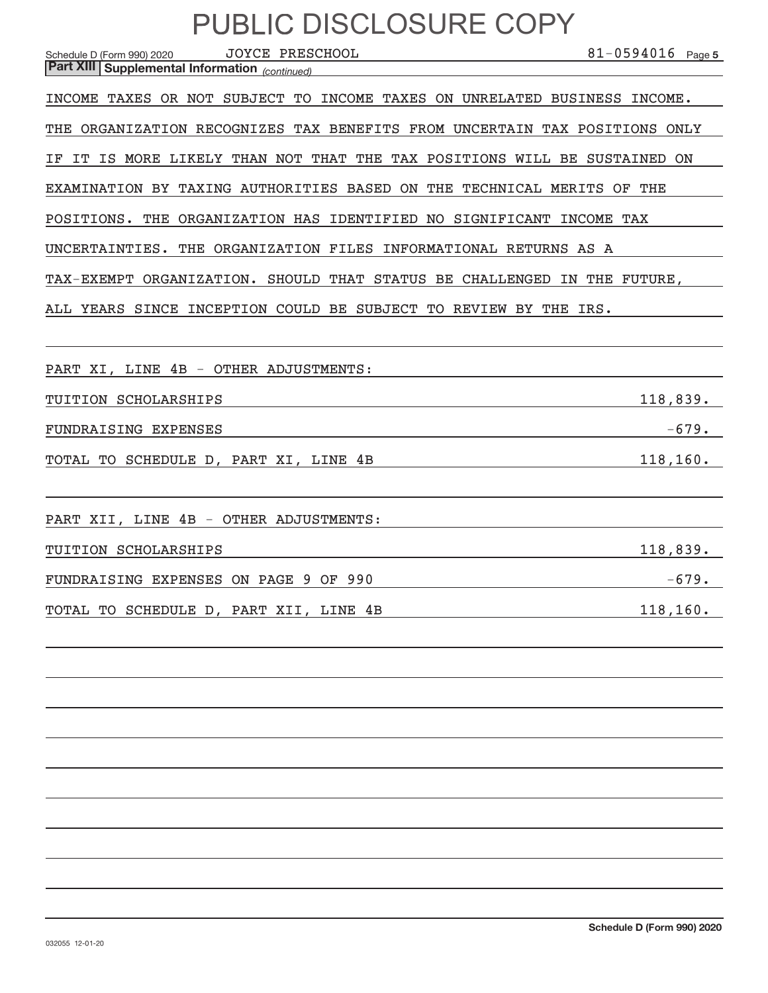| PUBLIC DISCLOSURE COPY                                                                                                                       |                       |
|----------------------------------------------------------------------------------------------------------------------------------------------|-----------------------|
| <b>JOYCE PRESCHOOL</b><br>Schedule D (Form 990) 2020<br>Part XIII Supplemental Information (continued)                                       | $81 - 0594016$ Page 5 |
| INCOME TAXES OR NOT SUBJECT TO INCOME TAXES ON UNRELATED BUSINESS INCOME.                                                                    |                       |
| THE ORGANIZATION RECOGNIZES TAX BENEFITS FROM UNCERTAIN TAX POSITIONS ONLY                                                                   |                       |
| IT IS MORE LIKELY THAN NOT THAT THE TAX POSITIONS WILL BE SUSTAINED ON                                                                       |                       |
| EXAMINATION BY TAXING AUTHORITIES BASED ON THE TECHNICAL MERITS OF THE                                                                       |                       |
| POSITIONS. THE ORGANIZATION HAS IDENTIFIED NO SIGNIFICANT INCOME TAX                                                                         |                       |
| UNCERTAINTIES. THE ORGANIZATION FILES INFORMATIONAL RETURNS AS A                                                                             |                       |
| TAX-EXEMPT ORGANIZATION. SHOULD THAT STATUS BE CHALLENGED IN THE FUTURE,<br>ALL YEARS SINCE INCEPTION COULD BE SUBJECT TO REVIEW BY THE IRS. |                       |
| PART XI, LINE 4B - OTHER ADJUSTMENTS:                                                                                                        |                       |
| TUITION SCHOLARSHIPS                                                                                                                         | 118,839.              |
| FUNDRAISING EXPENSES                                                                                                                         | $-679.$               |
| TOTAL TO SCHEDULE D, PART XI, LINE 4B<br>the control of the control of the control of the control of the                                     | 118, 160.             |
|                                                                                                                                              |                       |
| PART XII, LINE 4B - OTHER ADJUSTMENTS:                                                                                                       |                       |
| TUITION SCHOLARSHIPS                                                                                                                         | 118,839.              |
| FUNDRAISING EXPENSES ON PAGE 9 OF 990                                                                                                        | $-679.$               |

TOTAL TO SCHEDULE D, PART XII, LINE 4B 118,160.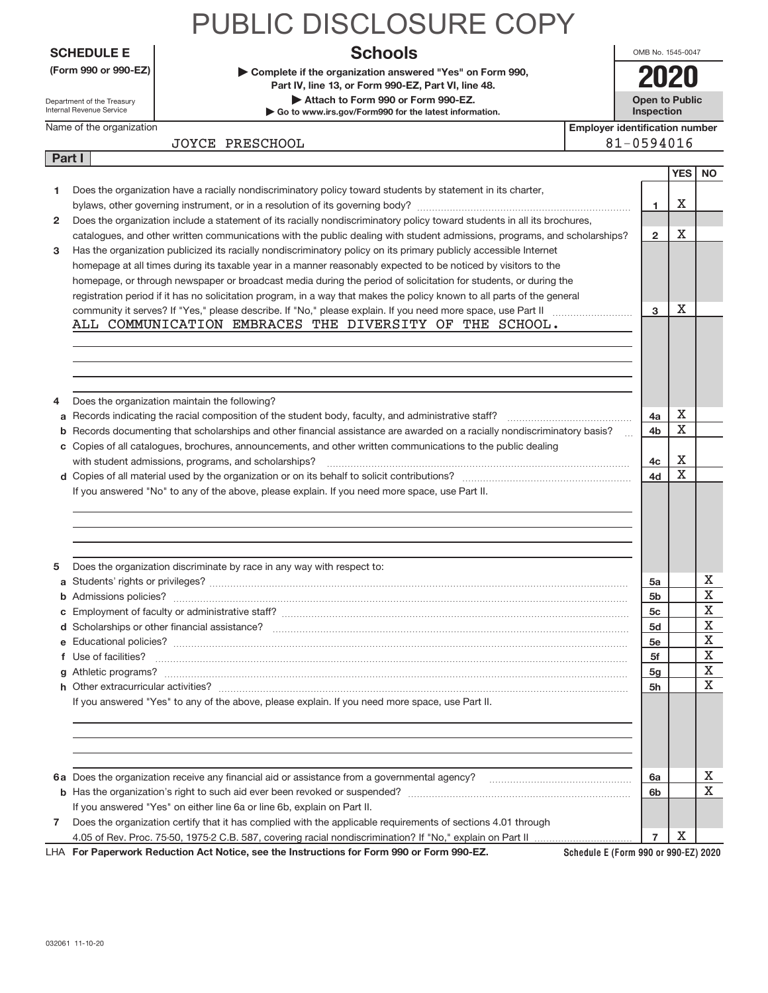|                |                                                        | PUBLIC DISCLOSURE COPY                                                                                                    |                                       |            |                                     |           |
|----------------|--------------------------------------------------------|---------------------------------------------------------------------------------------------------------------------------|---------------------------------------|------------|-------------------------------------|-----------|
|                | <b>SCHEDULE E</b>                                      | <b>Schools</b>                                                                                                            |                                       |            | OMB No. 1545-0047                   |           |
|                | (Form 990 or 990-EZ)                                   | Complete if the organization answered "Yes" on Form 990,<br>Part IV, line 13, or Form 990-EZ, Part VI, line 48.           |                                       |            | 2020                                |           |
|                | Department of the Treasury<br>Internal Revenue Service | Attach to Form 990 or Form 990-EZ.<br>Go to www.irs.gov/Form990 for the latest information.                               |                                       |            | <b>Open to Public</b><br>Inspection |           |
|                | Name of the organization                               |                                                                                                                           | <b>Employer identification number</b> |            |                                     |           |
|                |                                                        | JOYCE PRESCHOOL                                                                                                           |                                       | 81-0594016 |                                     |           |
| <b>Part I</b>  |                                                        |                                                                                                                           |                                       |            |                                     |           |
|                |                                                        |                                                                                                                           |                                       |            | <b>YES</b>                          | <b>NO</b> |
|                |                                                        | Does the organization have a racially nondiscriminatory policy toward students by statement in its charter,               |                                       |            |                                     |           |
|                |                                                        |                                                                                                                           |                                       |            | х                                   |           |
| $\overline{2}$ |                                                        | Does the organization include a statement of its racially nondiscriminatory policy toward students in all its brochures,  |                                       |            |                                     |           |
|                |                                                        | catalogues, and other written communications with the public dealing with student admissions, programs, and scholarships? |                                       |            | X<br>$\overline{2}$                 |           |
| 3              |                                                        | Has the organization publicized its racially nondiscriminatory policy on its primary publicly accessible Internet         |                                       |            |                                     |           |
|                |                                                        | homepage at all times during its taxable year in a manner reasonably expected to be noticed by visitors to the            |                                       |            |                                     |           |
|                |                                                        | homepage, or through newspaper or broadcast media during the period of solicitation for students, or during the           |                                       |            |                                     |           |
|                |                                                        | registration period if it has no solicitation program, in a way that makes the policy known to all parts of the general   |                                       |            |                                     |           |
|                |                                                        | community it serves? If "Yes," please describe. If "No," please explain. If you need more space, use Part II              |                                       | 3          | X                                   |           |
|                |                                                        | ALL COMMUNICATION EMBRACES THE DIVERSITY OF THE SCHOOL.                                                                   |                                       |            |                                     |           |
|                |                                                        |                                                                                                                           |                                       |            |                                     |           |

**a** Records indicating the racial composition of the student body, faculty, and administrative staff? ~~~~~~~~~~~~~~ **b** Records documenting that scholarships and other financial assistance are awarded on a racially nondiscriminatory basis?

**d** Copies of all material used by the organization or on its behalf to solicit contributions? ~~~~~~~~~~~~~~~~~~~

with student admissions, programs, and scholarships? ~~~~~~~~~~~~~~~~~~~~~~~~~~~~~~~~~~

**a** Students' rights or privileges? ~~~~~~~~~~~~~~~~~~~~~~~~~~~~~~~~~~~~~~~~~~~~~~~ **b** Admissions policies? ~~~~~~~~~~~~~~~~~~~~~~~~~~~~~~~~~~~~~~~~~~~~~~~~~~~ **c** Employment of faculty or administrative staff? ~~~~~~~~~~~~~~~~~~~~~~~~~~~~~~~~~~~~~~~ **d** Scholarships or other financial assistance? ~~~~~~~~~~~~~~~~~~~~~~~~~~~~~~~~~~~~~~~~ **e** Educational policies? ~~~~~~~~~~~~~~~~~~~~~~~~~~~~~~~~~~~~~~~~~~~~~~~~~~~ **f** Use of facilities? ~~~~~~~~~~~~~~~~~~~~~~~~~~~~~~~~~~~~~~~~~~~~~~~~~~~~~ **g** Athletic programs? ~~~~~~~~~~~~~~~~~~~~~~~~~~~~~~~~~~~~~~~~~~~~~~~~~~~~ **h** Other extracurricular activities? ~~~~~~~~~~~~~~~~~~~~~~~~~~~~~~~~~~~~~~~~~~~~~~

**6 a** Does the organization receive any financial aid or assistance from a governmental agency? ~~~~~~~~~~~~~~~~

**b** Has the organization's right to such aid ever been revoked or suspended? ~~~~~~~~~~~~~~~~~~~~~~~~~

Does the organization certify that it has complied with the applicable requirements of sections 4.01 through 4.05 of Rev. Proc. 75-50, 1975-2 C.B. 587, covering racial nondiscrimination? If "No," explain on Part II

**c** Copies of all catalogues, brochures, announcements, and other written communications to the public dealing

If you answered "No" to any of the above, please explain. If you need more space, use Part II.

Does the organization discriminate by race in any way with respect to:

If you answered "Yes" on either line 6a or line 6b, explain on Part II.

| LHA For Paperwork Reduction Act Notice, see the Instructions for Form 990 or Form 990-EZ. |  |
|-------------------------------------------------------------------------------------------|--|
|-------------------------------------------------------------------------------------------|--|

If you answered "Yes" to any of the above, please explain. If you need more space, use Part II.

**Schedule E (Form 990 or 990‐EZ) 2020**

**6a 6b**

**7**

X

**4a 4b** X X

X X

> X X X X X X X X

X X

~

**4c 4d**

**5a 5b 5c 5d 5e 5f 5g 5h**

**7**

**4**

Does the organization maintain the following?

**5**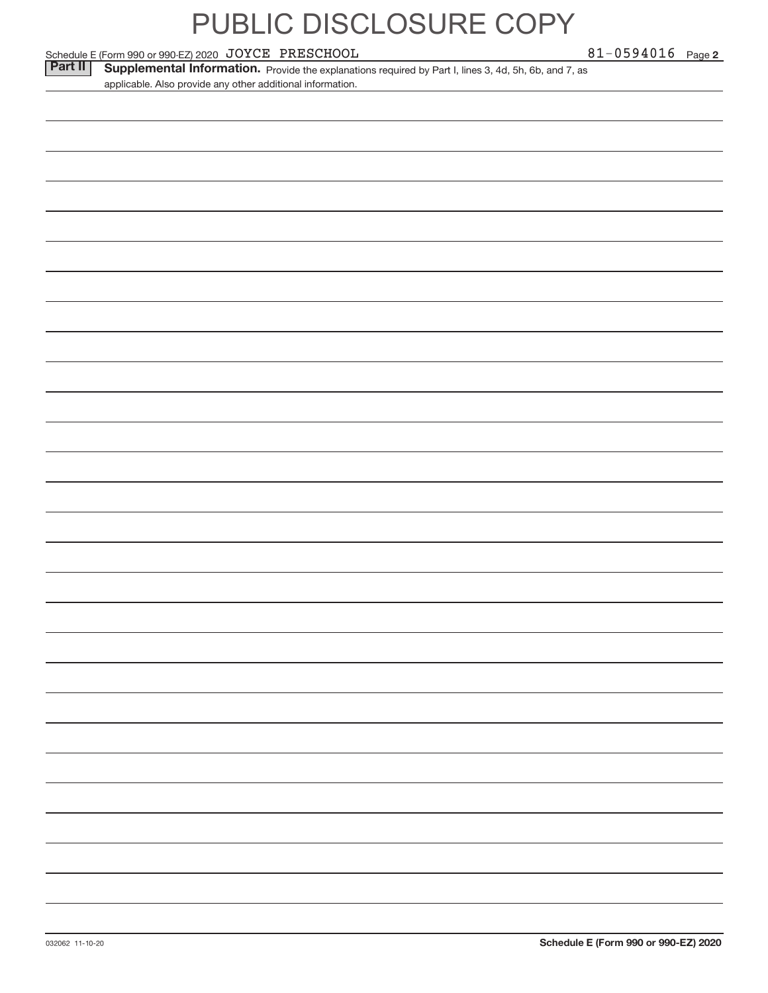Schedule E (Form 990 or 990‐EZ) 2020 Page JOYCE PRESCHOOL 81‐0594016

Part II | Supplemental Information. Provide the explanations required by Part I, lines 3, 4d, 5h, 6b, and 7, as applicable. Also provide any other additional information.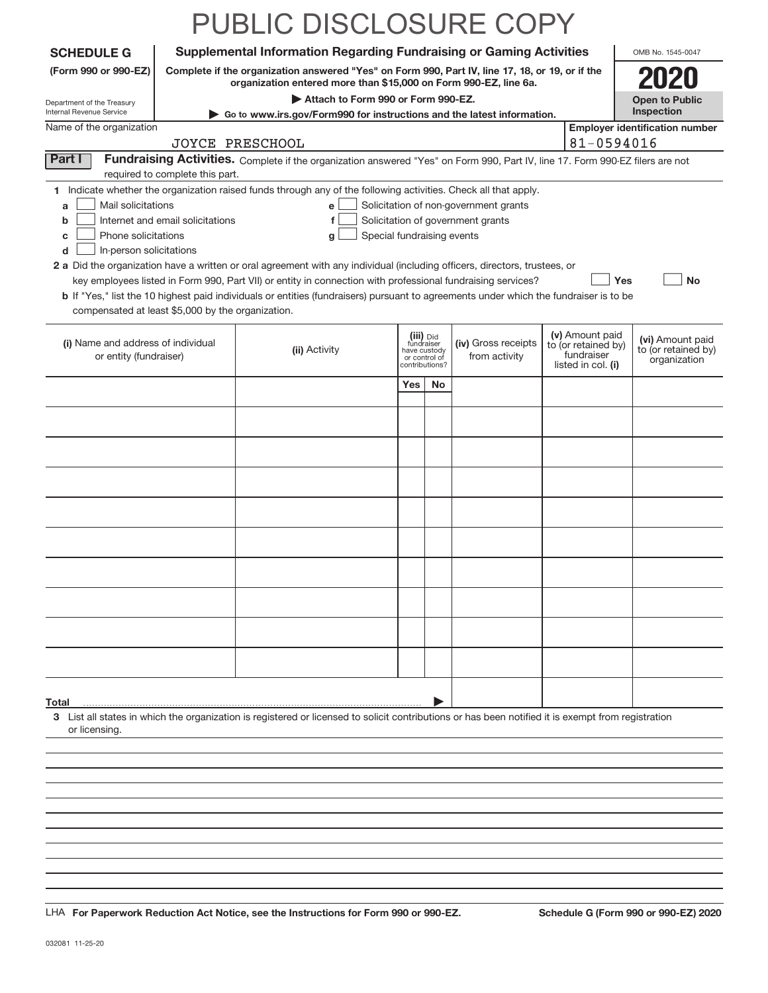|                                                                                                                                               |                                                                     | PUBLIC DISCLOSURE COPY                                                                                                                                                                                                                                                                                                                                                                                                                                                                                                                                      |                                         |                                 |                                                                            |                                                                            |                                                         |
|-----------------------------------------------------------------------------------------------------------------------------------------------|---------------------------------------------------------------------|-------------------------------------------------------------------------------------------------------------------------------------------------------------------------------------------------------------------------------------------------------------------------------------------------------------------------------------------------------------------------------------------------------------------------------------------------------------------------------------------------------------------------------------------------------------|-----------------------------------------|---------------------------------|----------------------------------------------------------------------------|----------------------------------------------------------------------------|---------------------------------------------------------|
| <b>SCHEDULE G</b>                                                                                                                             |                                                                     | <b>Supplemental Information Regarding Fundraising or Gaming Activities</b>                                                                                                                                                                                                                                                                                                                                                                                                                                                                                  |                                         |                                 |                                                                            |                                                                            | OMB No. 1545-0047                                       |
| (Form 990 or 990-EZ)                                                                                                                          |                                                                     | Complete if the organization answered "Yes" on Form 990, Part IV, line 17, 18, or 19, or if the                                                                                                                                                                                                                                                                                                                                                                                                                                                             |                                         |                                 |                                                                            |                                                                            |                                                         |
| Department of the Treasury                                                                                                                    |                                                                     | organization entered more than \$15,000 on Form 990-EZ, line 6a.<br>Attach to Form 990 or Form 990-EZ.                                                                                                                                                                                                                                                                                                                                                                                                                                                      |                                         |                                 |                                                                            |                                                                            | <b>Open to Public</b>                                   |
| Internal Revenue Service                                                                                                                      |                                                                     | ► Go to www.irs.gov/Form990 for instructions and the latest information.                                                                                                                                                                                                                                                                                                                                                                                                                                                                                    |                                         |                                 |                                                                            |                                                                            | Inspection                                              |
| Name of the organization                                                                                                                      |                                                                     | JOYCE PRESCHOOL                                                                                                                                                                                                                                                                                                                                                                                                                                                                                                                                             |                                         |                                 |                                                                            | 81-0594016                                                                 | <b>Employer identification number</b>                   |
| Part I                                                                                                                                        |                                                                     | Fundraising Activities. Complete if the organization answered "Yes" on Form 990, Part IV, line 17. Form 990-EZ filers are not                                                                                                                                                                                                                                                                                                                                                                                                                               |                                         |                                 |                                                                            |                                                                            |                                                         |
| Mail solicitations<br>a<br>b<br>Phone solicitations<br>c<br>d<br>In-person solicitations<br>compensated at least \$5,000 by the organization. | required to complete this part.<br>Internet and email solicitations | 1 Indicate whether the organization raised funds through any of the following activities. Check all that apply.<br>e l<br>f<br>Special fundraising events<br>g<br>2 a Did the organization have a written or oral agreement with any individual (including officers, directors, trustees, or<br>key employees listed in Form 990, Part VII) or entity in connection with professional fundraising services?<br><b>b</b> If "Yes," list the 10 highest paid individuals or entities (fundraisers) pursuant to agreements under which the fundraiser is to be |                                         |                                 | Solicitation of non-government grants<br>Solicitation of government grants | Yes                                                                        | No                                                      |
| (i) Name and address of individual<br>or entity (fundraiser)                                                                                  |                                                                     | (ii) Activity                                                                                                                                                                                                                                                                                                                                                                                                                                                                                                                                               | (iii) Did<br>fundraiser<br>have custody | or control of<br>contributions? | (iv) Gross receipts<br>from activity                                       | (v) Amount paid<br>to (or retained by)<br>fundraiser<br>listed in col. (i) | (vi) Amount paid<br>to (or retained by)<br>organization |
|                                                                                                                                               |                                                                     |                                                                                                                                                                                                                                                                                                                                                                                                                                                                                                                                                             | Yes                                     | No                              |                                                                            |                                                                            |                                                         |
|                                                                                                                                               |                                                                     |                                                                                                                                                                                                                                                                                                                                                                                                                                                                                                                                                             |                                         |                                 |                                                                            |                                                                            |                                                         |
|                                                                                                                                               |                                                                     |                                                                                                                                                                                                                                                                                                                                                                                                                                                                                                                                                             |                                         |                                 |                                                                            |                                                                            |                                                         |
|                                                                                                                                               |                                                                     |                                                                                                                                                                                                                                                                                                                                                                                                                                                                                                                                                             |                                         |                                 |                                                                            |                                                                            |                                                         |
|                                                                                                                                               |                                                                     |                                                                                                                                                                                                                                                                                                                                                                                                                                                                                                                                                             |                                         |                                 |                                                                            |                                                                            |                                                         |
|                                                                                                                                               |                                                                     |                                                                                                                                                                                                                                                                                                                                                                                                                                                                                                                                                             |                                         |                                 |                                                                            |                                                                            |                                                         |
|                                                                                                                                               |                                                                     |                                                                                                                                                                                                                                                                                                                                                                                                                                                                                                                                                             |                                         |                                 |                                                                            |                                                                            |                                                         |
|                                                                                                                                               |                                                                     |                                                                                                                                                                                                                                                                                                                                                                                                                                                                                                                                                             |                                         |                                 |                                                                            |                                                                            |                                                         |
|                                                                                                                                               |                                                                     |                                                                                                                                                                                                                                                                                                                                                                                                                                                                                                                                                             |                                         |                                 |                                                                            |                                                                            |                                                         |
|                                                                                                                                               |                                                                     |                                                                                                                                                                                                                                                                                                                                                                                                                                                                                                                                                             |                                         |                                 |                                                                            |                                                                            |                                                         |
|                                                                                                                                               |                                                                     |                                                                                                                                                                                                                                                                                                                                                                                                                                                                                                                                                             |                                         |                                 |                                                                            |                                                                            |                                                         |
|                                                                                                                                               |                                                                     |                                                                                                                                                                                                                                                                                                                                                                                                                                                                                                                                                             |                                         |                                 |                                                                            |                                                                            |                                                         |
|                                                                                                                                               |                                                                     |                                                                                                                                                                                                                                                                                                                                                                                                                                                                                                                                                             |                                         |                                 |                                                                            |                                                                            |                                                         |
|                                                                                                                                               |                                                                     |                                                                                                                                                                                                                                                                                                                                                                                                                                                                                                                                                             |                                         |                                 |                                                                            |                                                                            |                                                         |
| Total<br>or licensing.                                                                                                                        |                                                                     | 3 List all states in which the organization is registered or licensed to solicit contributions or has been notified it is exempt from registration                                                                                                                                                                                                                                                                                                                                                                                                          |                                         |                                 |                                                                            |                                                                            |                                                         |
|                                                                                                                                               |                                                                     |                                                                                                                                                                                                                                                                                                                                                                                                                                                                                                                                                             |                                         |                                 |                                                                            |                                                                            |                                                         |
|                                                                                                                                               |                                                                     |                                                                                                                                                                                                                                                                                                                                                                                                                                                                                                                                                             |                                         |                                 |                                                                            |                                                                            |                                                         |
|                                                                                                                                               |                                                                     |                                                                                                                                                                                                                                                                                                                                                                                                                                                                                                                                                             |                                         |                                 |                                                                            |                                                                            |                                                         |

**For Paperwork Reduction Act Notice, see the Instructions for Form 990 or 990‐EZ. Schedule G (Form 990 or 990‐EZ) 2020** LHA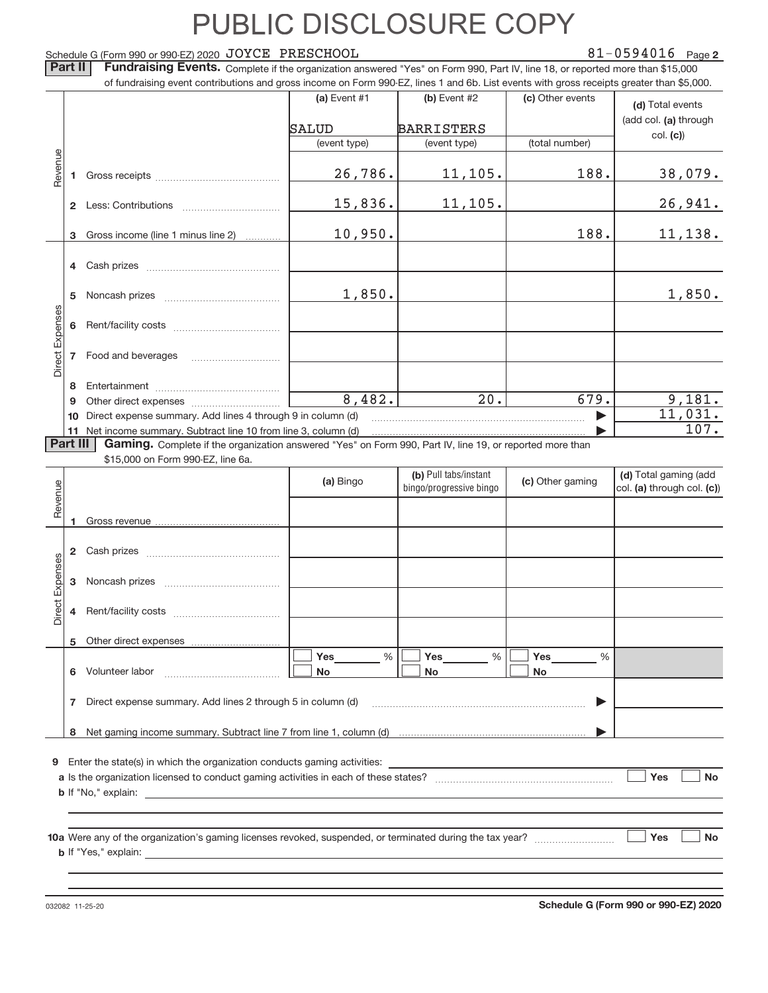#### Schedule G (Form 990 or 990‐EZ) 2020  $\rm\,JOYCE$   $\rm\,PRESCHOOL$   $\rm\,81-0594016$   $\rm\,Page$

### 81-0594016 Page 2

Part II | Fundraising Events. Complete if the organization answered "Yes" on Form 990, Part IV, line 18, or reported more than \$15,000 of fundraising event contributions and gross income on Form 990‐EZ, lines 1 and 6b. List events with gross receipts greater than \$5,000.

|                 |          | 01 Turidiaising event continuutions and gross income on Form 990-EZ, intes T and OD. Elst events with gross receipts greater than \$0,000.    |                |                         |                       |                            |
|-----------------|----------|-----------------------------------------------------------------------------------------------------------------------------------------------|----------------|-------------------------|-----------------------|----------------------------|
|                 |          |                                                                                                                                               | (a) Event $#1$ | (b) Event $#2$          | (c) Other events      | (d) Total events           |
|                 |          |                                                                                                                                               | SALUD          | <b>BARRISTERS</b>       |                       | (add col. (a) through      |
|                 |          |                                                                                                                                               | (event type)   | (event type)            | (total number)        | col. (c)                   |
|                 |          |                                                                                                                                               |                |                         |                       |                            |
| Revenue         |          |                                                                                                                                               | 26,786.        | 11, 105.                | 188.                  | 38,079.                    |
|                 |          |                                                                                                                                               |                |                         |                       |                            |
|                 |          |                                                                                                                                               | 15,836.        | 11, 105.                |                       | 26,941.                    |
|                 |          |                                                                                                                                               |                |                         |                       |                            |
|                 | 3        | Gross income (line 1 minus line 2)                                                                                                            | 10,950.        |                         | 188.                  | 11, 138.                   |
|                 |          |                                                                                                                                               |                |                         |                       |                            |
|                 |          |                                                                                                                                               |                |                         |                       |                            |
|                 |          |                                                                                                                                               |                |                         |                       |                            |
|                 | 5        |                                                                                                                                               | 1,850.         |                         |                       | 1,850.                     |
| Direct Expenses |          |                                                                                                                                               |                |                         |                       |                            |
|                 |          |                                                                                                                                               |                |                         |                       |                            |
|                 |          | 7 Food and beverages                                                                                                                          |                |                         |                       |                            |
|                 |          |                                                                                                                                               |                |                         |                       |                            |
|                 | 8        |                                                                                                                                               |                |                         |                       |                            |
|                 | 9        |                                                                                                                                               | 8,482.         | 20.                     | 679.                  | 9,181.                     |
|                 | 10       | Direct expense summary. Add lines 4 through 9 in column (d)                                                                                   |                |                         | $\blacktriangleright$ | 11,031.                    |
|                 | Part III | 11 Net income summary. Subtract line 10 from line 3, column (d)                                                                               |                |                         |                       | 107.                       |
|                 |          | Gaming. Complete if the organization answered "Yes" on Form 990, Part IV, line 19, or reported more than<br>\$15,000 on Form 990-EZ, line 6a. |                |                         |                       |                            |
|                 |          |                                                                                                                                               |                | (b) Pull tabs/instant   |                       | (d) Total gaming (add      |
|                 |          |                                                                                                                                               | (a) Bingo      | bingo/progressive bingo | (c) Other gaming      | col. (a) through col. (c)) |
| Revenue         |          |                                                                                                                                               |                |                         |                       |                            |
|                 | 1.       |                                                                                                                                               |                |                         |                       |                            |
|                 |          |                                                                                                                                               |                |                         |                       |                            |
|                 |          |                                                                                                                                               |                |                         |                       |                            |
|                 |          |                                                                                                                                               |                |                         |                       |                            |
| Direct Expenses |          |                                                                                                                                               |                |                         |                       |                            |
|                 |          |                                                                                                                                               |                |                         |                       |                            |
|                 |          |                                                                                                                                               |                |                         |                       |                            |
|                 |          | 5 Other direct expenses                                                                                                                       |                |                         |                       |                            |
|                 |          |                                                                                                                                               | Yes<br>%       | Yes<br>%                | Yes<br>%              |                            |
|                 | 6        | Volunteer labor                                                                                                                               | No             | No                      | No                    |                            |
|                 |          |                                                                                                                                               |                |                         |                       |                            |
|                 | 7        | Direct expense summary. Add lines 2 through 5 in column (d)                                                                                   |                |                         |                       |                            |
|                 |          |                                                                                                                                               |                |                         |                       |                            |
|                 | 8        |                                                                                                                                               |                |                         |                       |                            |
|                 |          |                                                                                                                                               |                |                         |                       |                            |
| 9               |          | Enter the state(s) in which the organization conducts gaming activities:                                                                      |                |                         |                       | Yes<br><b>No</b>           |
|                 |          |                                                                                                                                               |                |                         |                       |                            |
|                 |          |                                                                                                                                               |                |                         |                       |                            |
|                 |          |                                                                                                                                               |                |                         |                       |                            |
|                 |          |                                                                                                                                               |                |                         |                       | Yes<br>No                  |
|                 |          |                                                                                                                                               |                |                         |                       |                            |
|                 |          |                                                                                                                                               |                |                         |                       |                            |
|                 |          |                                                                                                                                               |                |                         |                       |                            |

032082 11‐25‐20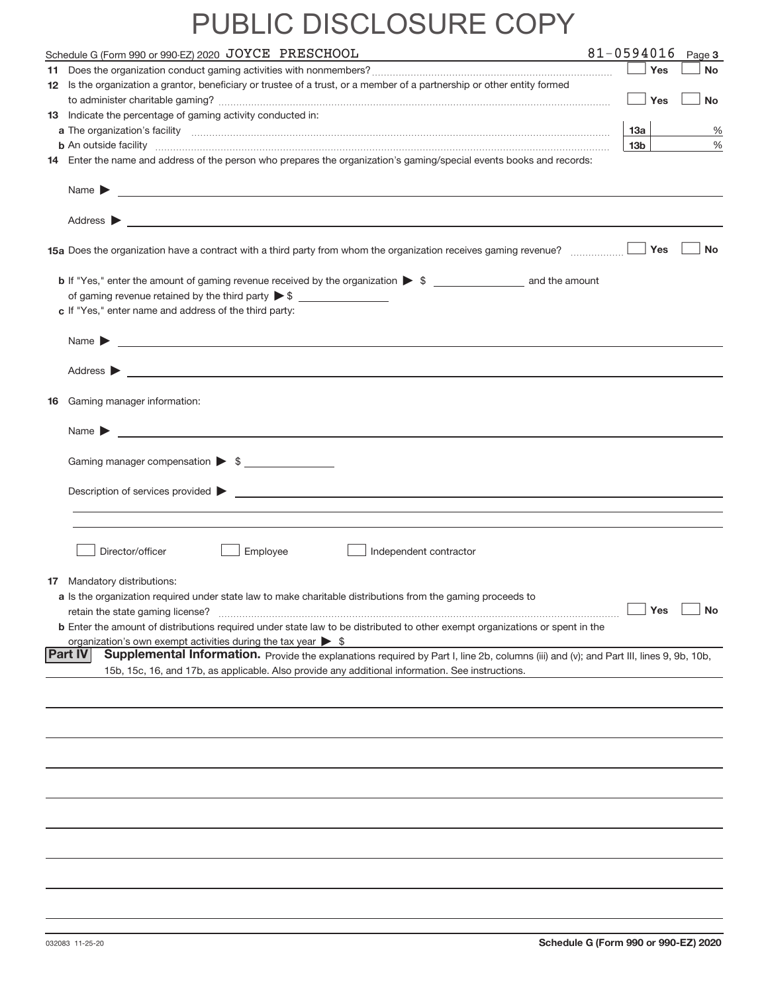| Schedule G (Form 990 or 990-EZ) 2020 JOYCE PRESCHOOL                                                                                                     | 81-0594016 |                 |        | Page 3    |
|----------------------------------------------------------------------------------------------------------------------------------------------------------|------------|-----------------|--------|-----------|
|                                                                                                                                                          |            | $\vert$ Yes     |        | <b>No</b> |
| 12 Is the organization a grantor, beneficiary or trustee of a trust, or a member of a partnership or other entity formed                                 |            |                 |        |           |
|                                                                                                                                                          |            |                 | ∣ ∣Yes | <b>No</b> |
| 13 Indicate the percentage of gaming activity conducted in:                                                                                              |            |                 |        |           |
|                                                                                                                                                          |            | 13a             |        | %         |
| <b>b</b> An outside facility <i>www.communicality www.communicality.communicality www.communicality www.communicality.com</i>                            |            | 13 <sub>b</sub> |        | %         |
| 14 Enter the name and address of the person who prepares the organization's gaming/special events books and records:                                     |            |                 |        |           |
|                                                                                                                                                          |            |                 |        |           |
|                                                                                                                                                          |            |                 |        |           |
|                                                                                                                                                          |            |                 | Yes    | <b>No</b> |
|                                                                                                                                                          |            |                 |        |           |
|                                                                                                                                                          |            |                 |        |           |
| c If "Yes," enter name and address of the third party:                                                                                                   |            |                 |        |           |
|                                                                                                                                                          |            |                 |        |           |
| Name $\blacktriangleright$ $\frac{1}{\sqrt{1-\frac{1}{2}}\left(1-\frac{1}{2}\right)}$                                                                    |            |                 |        |           |
|                                                                                                                                                          |            |                 |        |           |
|                                                                                                                                                          |            |                 |        |           |
| 16 Gaming manager information:                                                                                                                           |            |                 |        |           |
|                                                                                                                                                          |            |                 |        |           |
|                                                                                                                                                          |            |                 |        |           |
| Gaming manager compensation > \$                                                                                                                         |            |                 |        |           |
|                                                                                                                                                          |            |                 |        |           |
|                                                                                                                                                          |            |                 |        |           |
|                                                                                                                                                          |            |                 |        |           |
|                                                                                                                                                          |            |                 |        |           |
|                                                                                                                                                          |            |                 |        |           |
| Director/officer<br>Employee<br>Independent contractor                                                                                                   |            |                 |        |           |
| <b>17</b> Mandatory distributions:                                                                                                                       |            |                 |        |           |
| a Is the organization required under state law to make charitable distributions from the gaming proceeds to                                              |            |                 |        |           |
| retain the state gaming license?                                                                                                                         |            |                 | Yes    | <b>No</b> |
| <b>b</b> Enter the amount of distributions required under state law to be distributed to other exempt organizations or spent in the                      |            |                 |        |           |
| organization's own exempt activities during the tax year $\triangleright$ \$                                                                             |            |                 |        |           |
| <b>Part IV</b><br>Supplemental Information. Provide the explanations required by Part I, line 2b, columns (iii) and (v); and Part III, lines 9, 9b, 10b, |            |                 |        |           |
| 15b, 15c, 16, and 17b, as applicable. Also provide any additional information. See instructions.                                                         |            |                 |        |           |
|                                                                                                                                                          |            |                 |        |           |
|                                                                                                                                                          |            |                 |        |           |
|                                                                                                                                                          |            |                 |        |           |
|                                                                                                                                                          |            |                 |        |           |
|                                                                                                                                                          |            |                 |        |           |
|                                                                                                                                                          |            |                 |        |           |
|                                                                                                                                                          |            |                 |        |           |
|                                                                                                                                                          |            |                 |        |           |
|                                                                                                                                                          |            |                 |        |           |
|                                                                                                                                                          |            |                 |        |           |
|                                                                                                                                                          |            |                 |        |           |
|                                                                                                                                                          |            |                 |        |           |
|                                                                                                                                                          |            |                 |        |           |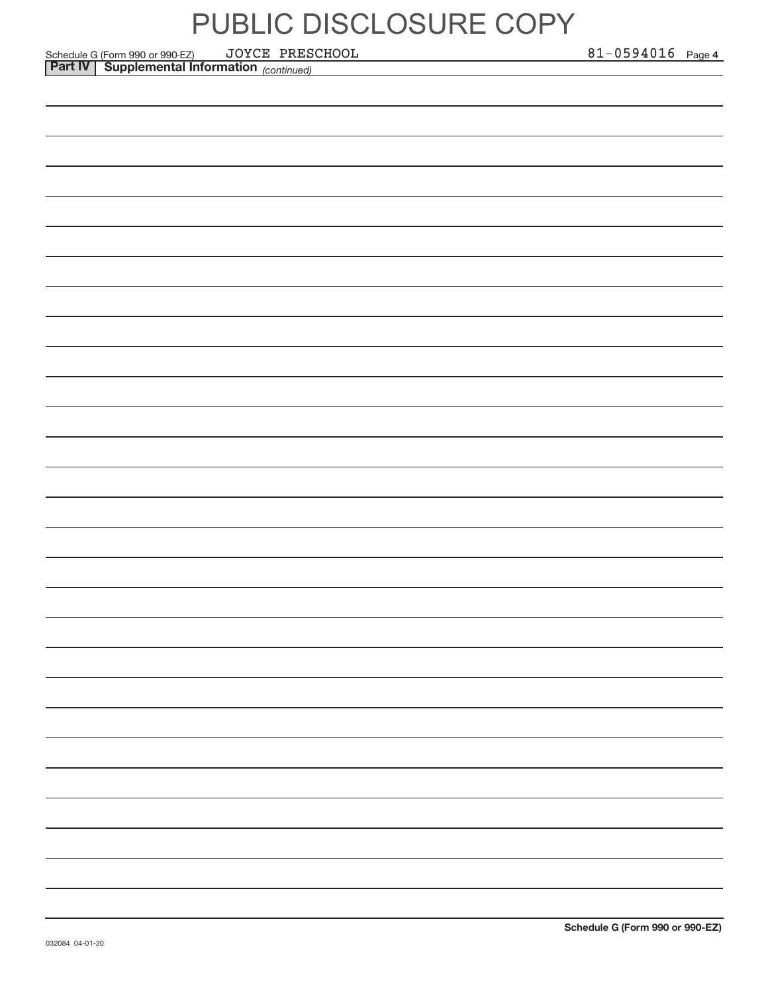*(continued)* Schedule G (Form 990 or 990‐EZ) JOYCE PRESCHOOL 81-0594016 Page **Part IV Supplemental Information**  JOYCE PRESCHOOL 81‐0594016

81-0594016 Page 4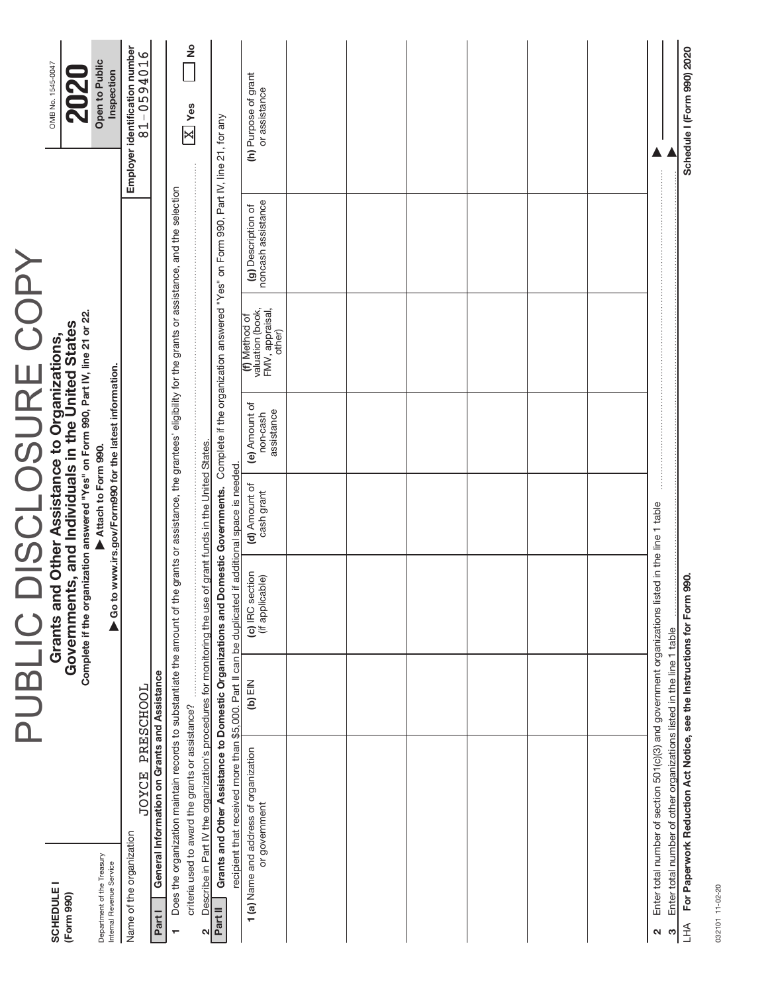032101 11-02-20 032101 11‐02‐20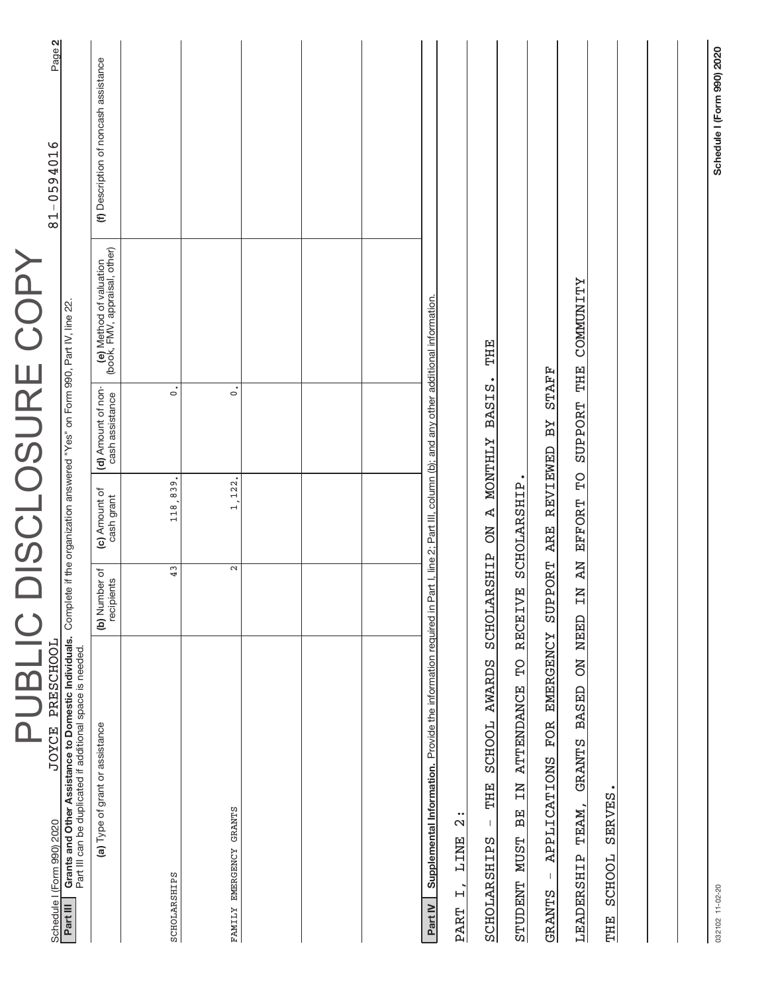| PUBLIC                                                                                                                                              |                              |                                 |                                                                            | DISCLOSURE COPY                                          |                                       |
|-----------------------------------------------------------------------------------------------------------------------------------------------------|------------------------------|---------------------------------|----------------------------------------------------------------------------|----------------------------------------------------------|---------------------------------------|
| JOYCE PRESCHOOL<br>Schedule I (Form 990) 2020<br>Part III                                                                                           |                              |                                 | Complete if the organization answered "Yes" on Form 990, Part IV, line 22. |                                                          | Page 2<br>81-0594016                  |
| Grants and Other Assistance to Domestic Individuals.<br>Part III can be duplicated if additional space is needed.                                   |                              |                                 |                                                                            |                                                          |                                       |
| (a) Type of grant or assistance                                                                                                                     | (b) Number of<br>recipients  | (c) Amount of<br>cash grant     | (d) Amount of non-<br>cash assistance                                      | (e) Method of valuation<br>(book, FMV, appraisal, other) | (f) Description of noncash assistance |
|                                                                                                                                                     |                              |                                 |                                                                            |                                                          |                                       |
| SCHOLARSHIPS                                                                                                                                        | 43                           | 118,839                         | $\mathbf{c}$                                                               |                                                          |                                       |
| FAMILY EMERGENCY GRANTS                                                                                                                             | $\mathbf{\Omega}$            | 1,122                           | $\dot{\circ}$                                                              |                                                          |                                       |
|                                                                                                                                                     |                              |                                 |                                                                            |                                                          |                                       |
|                                                                                                                                                     |                              |                                 |                                                                            |                                                          |                                       |
|                                                                                                                                                     |                              |                                 |                                                                            |                                                          |                                       |
| Supplemental Information. Provide the information required in Part I, line 2; Part III, column (b); and any other additional information<br>Part IV |                              |                                 |                                                                            |                                                          |                                       |
| $\ddot{2}$<br>LINE<br>$\overline{a}$<br>PART                                                                                                        |                              |                                 |                                                                            |                                                          |                                       |
| <b>AWARDS</b><br><b>SCHOOL</b><br>THE<br>J.<br>SCHOLARSHIPS                                                                                         | SCHOLARSHIP                  | Ą<br><b>NO</b>                  | <b>BASIS</b><br><b>NONTHLY</b>                                             | THE                                                      |                                       |
| $\Omega$<br><b>ATTENDANCE</b><br>NI<br>BE<br><b>NUST</b><br><b>STUDENT</b>                                                                          | $\dot{\mathbf{H}}$<br>RECEIV | SCHOLARSHIP                     |                                                                            |                                                          |                                       |
| <b>EMERGENCY</b><br><b>FOR</b><br>APPLICATIONS<br>$\mathbf{I}$<br><b>GRANTS</b>                                                                     | SUPPORT ARE                  | <b>REVIEWED</b>                 | <b>STAFF</b><br>ВY                                                         |                                                          |                                       |
| <b>ON NEED</b><br><b>BASED</b><br><b>GRANTS</b><br>TEAM,<br>LEADERSHIP                                                                              | N AN<br>$\overline{H}$       | $\overline{C}$<br><b>EFFORT</b> | <b>SUPPORT</b>                                                             | <b>COMMUNITY</b><br>THE                                  |                                       |
| <b>SERVES</b><br><b>SCHOOL</b><br>THE                                                                                                               |                              |                                 |                                                                            |                                                          |                                       |
|                                                                                                                                                     |                              |                                 |                                                                            |                                                          |                                       |
|                                                                                                                                                     |                              |                                 |                                                                            |                                                          |                                       |
|                                                                                                                                                     |                              |                                 |                                                                            |                                                          |                                       |

Schedule I (Form 990) 2020 **Schedule I (Form 990) 2020**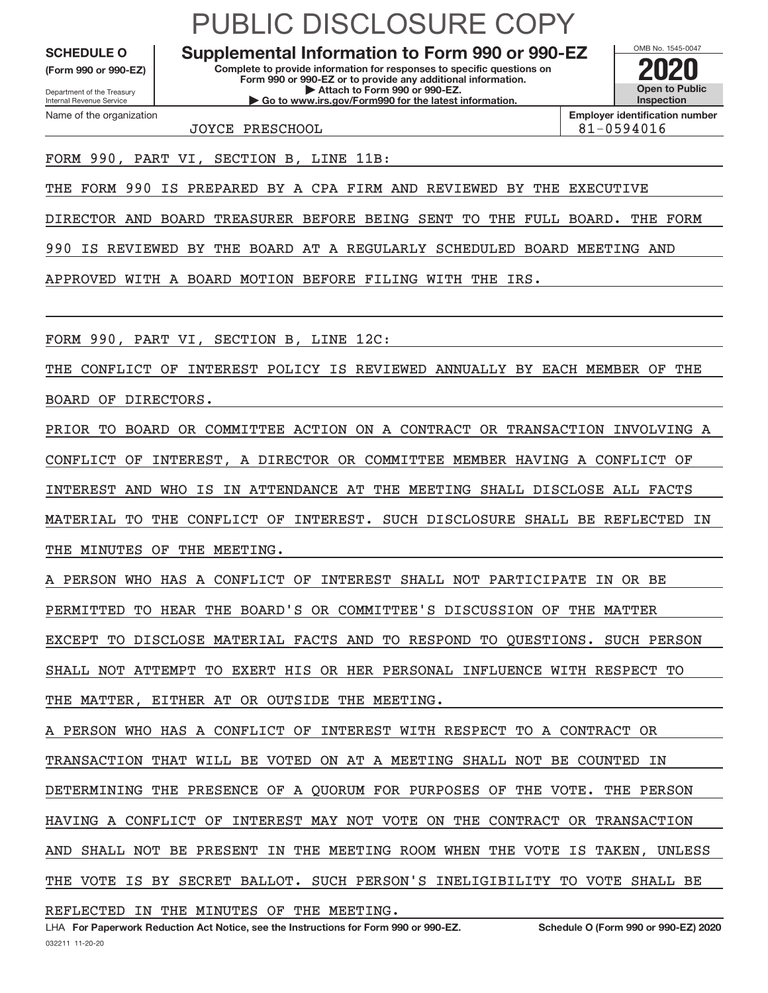**(Form 990 or 990‐EZ)**

Department of the Treasury Internal Revenue Service Name of the organization

### PUBLIC DISCLOSURE COPY

**Complete to provide information for responses to specific questions on Form 990 or 990‐EZ or to provide any additional information. | Attach to Form 990 or 990‐EZ. | Go to www.irs.gov/Form990 for the latest information. SCHEDULE O Supplemental Information to Form 990 or 990‐EZ 2020**



**Employer identification number**

JOYCE PRESCHOOL 81‐0594016

FORM 990, PART VI, SECTION B, LINE 11B:

THE FORM 990 IS PREPARED BY A CPA FIRM AND REVIEWED BY THE EXECUTIVE

DIRECTOR AND BOARD TREASURER BEFORE BEING SENT TO THE FULL BOARD. THE FORM

990 IS REVIEWED BY THE BOARD AT A REGULARLY SCHEDULED BOARD MEETING AND

APPROVED WITH A BOARD MOTION BEFORE FILING WITH THE IRS.

FORM 990, PART VI, SECTION B, LINE 12C:

THE CONFLICT OF INTEREST POLICY IS REVIEWED ANNUALLY BY EACH MEMBER OF THE BOARD OF DIRECTORS.

PRIOR TO BOARD OR COMMITTEE ACTION ON A CONTRACT OR TRANSACTION INVOLVING A CONFLICT OF INTEREST, A DIRECTOR OR COMMITTEE MEMBER HAVING A CONFLICT OF INTEREST AND WHO IS IN ATTENDANCE AT THE MEETING SHALL DISCLOSE ALL FACTS MATERIAL TO THE CONFLICT OF INTEREST. SUCH DISCLOSURE SHALL BE REFLECTED IN THE MINUTES OF THE MEETING.

A PERSON WHO HAS A CONFLICT OF INTEREST SHALL NOT PARTICIPATE IN OR BE PERMITTED TO HEAR THE BOARD'S OR COMMITTEE'S DISCUSSION OF THE MATTER EXCEPT TO DISCLOSE MATERIAL FACTS AND TO RESPOND TO QUESTIONS. SUCH PERSON SHALL NOT ATTEMPT TO EXERT HIS OR HER PERSONAL INFLUENCE WITH RESPECT TO THE MATTER, EITHER AT OR OUTSIDE THE MEETING.

PERSON WHO HAS A CONFLICT OF INTEREST WITH RESPECT TO A CONTRACT OR TRANSACTION THAT WILL BE VOTED ON AT A MEETING SHALL NOT BE COUNTED IN DETERMINING THE PRESENCE OF A QUORUM FOR PURPOSES OF THE VOTE. THE PERSON HAVING A CONFLICT OF INTEREST MAY NOT VOTE ON THE CONTRACT OR TRANSACTION AND SHALL NOT BE PRESENT IN THE MEETING ROOM WHEN THE VOTE IS TAKEN, UNLESS THE VOTE IS BY SECRET BALLOT. SUCH PERSON'S INELIGIBILITY TO VOTE SHALL BE

REFLECTED IN THE MINUTES OF THE MEETING.